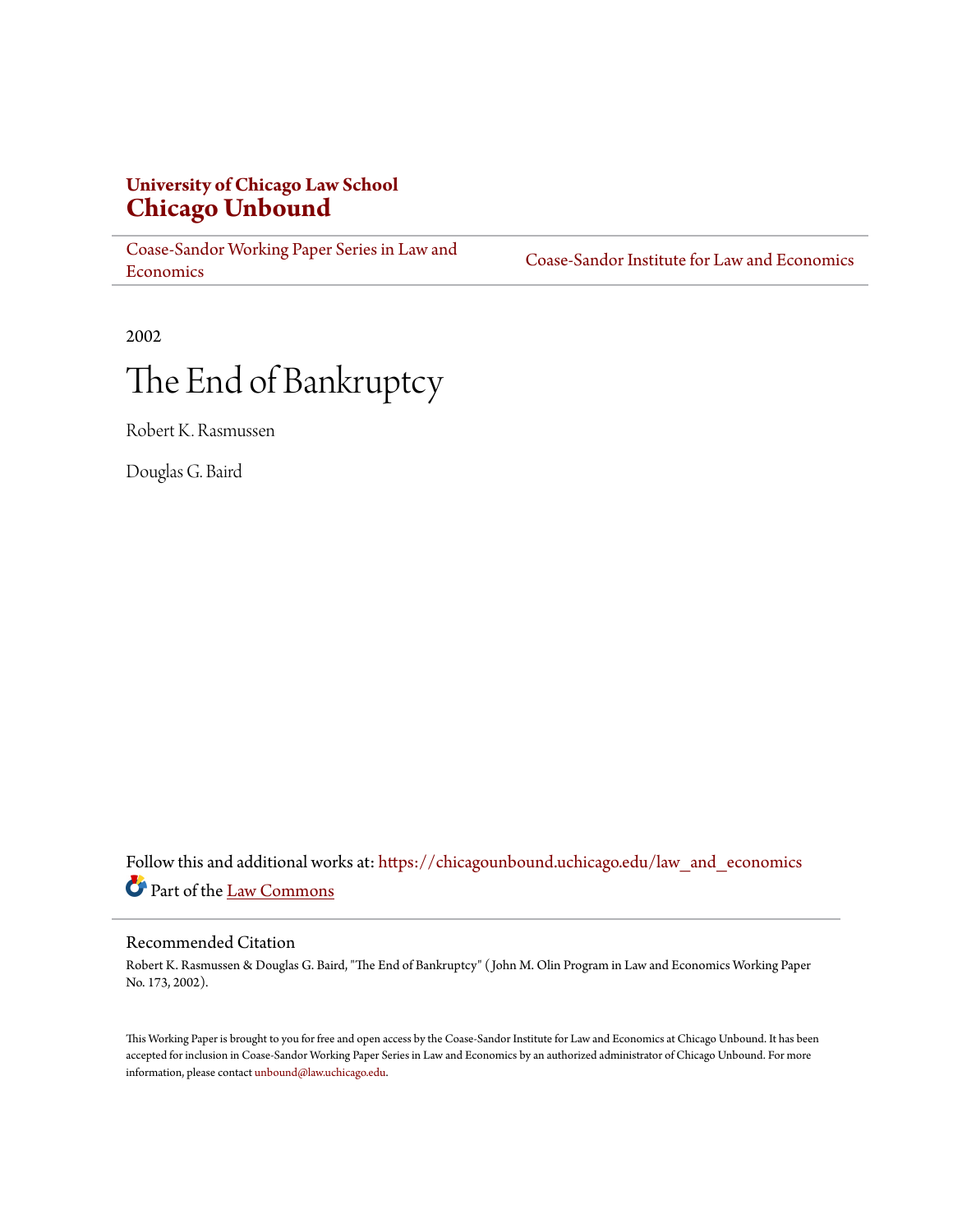# **University of Chicago Law School [Chicago Unbound](https://chicagounbound.uchicago.edu?utm_source=chicagounbound.uchicago.edu%2Flaw_and_economics%2F518&utm_medium=PDF&utm_campaign=PDFCoverPages)**

[Coase-Sandor Working Paper Series in Law and](https://chicagounbound.uchicago.edu/law_and_economics?utm_source=chicagounbound.uchicago.edu%2Flaw_and_economics%2F518&utm_medium=PDF&utm_campaign=PDFCoverPages) [Economics](https://chicagounbound.uchicago.edu/law_and_economics?utm_source=chicagounbound.uchicago.edu%2Flaw_and_economics%2F518&utm_medium=PDF&utm_campaign=PDFCoverPages)

[Coase-Sandor Institute for Law and Economics](https://chicagounbound.uchicago.edu/coase_sandor_institute?utm_source=chicagounbound.uchicago.edu%2Flaw_and_economics%2F518&utm_medium=PDF&utm_campaign=PDFCoverPages)

2002

# The End of Bankruptcy

Robert K. Rasmussen

Douglas G. Baird

Follow this and additional works at: [https://chicagounbound.uchicago.edu/law\\_and\\_economics](https://chicagounbound.uchicago.edu/law_and_economics?utm_source=chicagounbound.uchicago.edu%2Flaw_and_economics%2F518&utm_medium=PDF&utm_campaign=PDFCoverPages) Part of the [Law Commons](http://network.bepress.com/hgg/discipline/578?utm_source=chicagounbound.uchicago.edu%2Flaw_and_economics%2F518&utm_medium=PDF&utm_campaign=PDFCoverPages)

#### Recommended Citation

Robert K. Rasmussen & Douglas G. Baird, "The End of Bankruptcy" ( John M. Olin Program in Law and Economics Working Paper No. 173, 2002).

This Working Paper is brought to you for free and open access by the Coase-Sandor Institute for Law and Economics at Chicago Unbound. It has been accepted for inclusion in Coase-Sandor Working Paper Series in Law and Economics by an authorized administrator of Chicago Unbound. For more information, please contact [unbound@law.uchicago.edu.](mailto:unbound@law.uchicago.edu)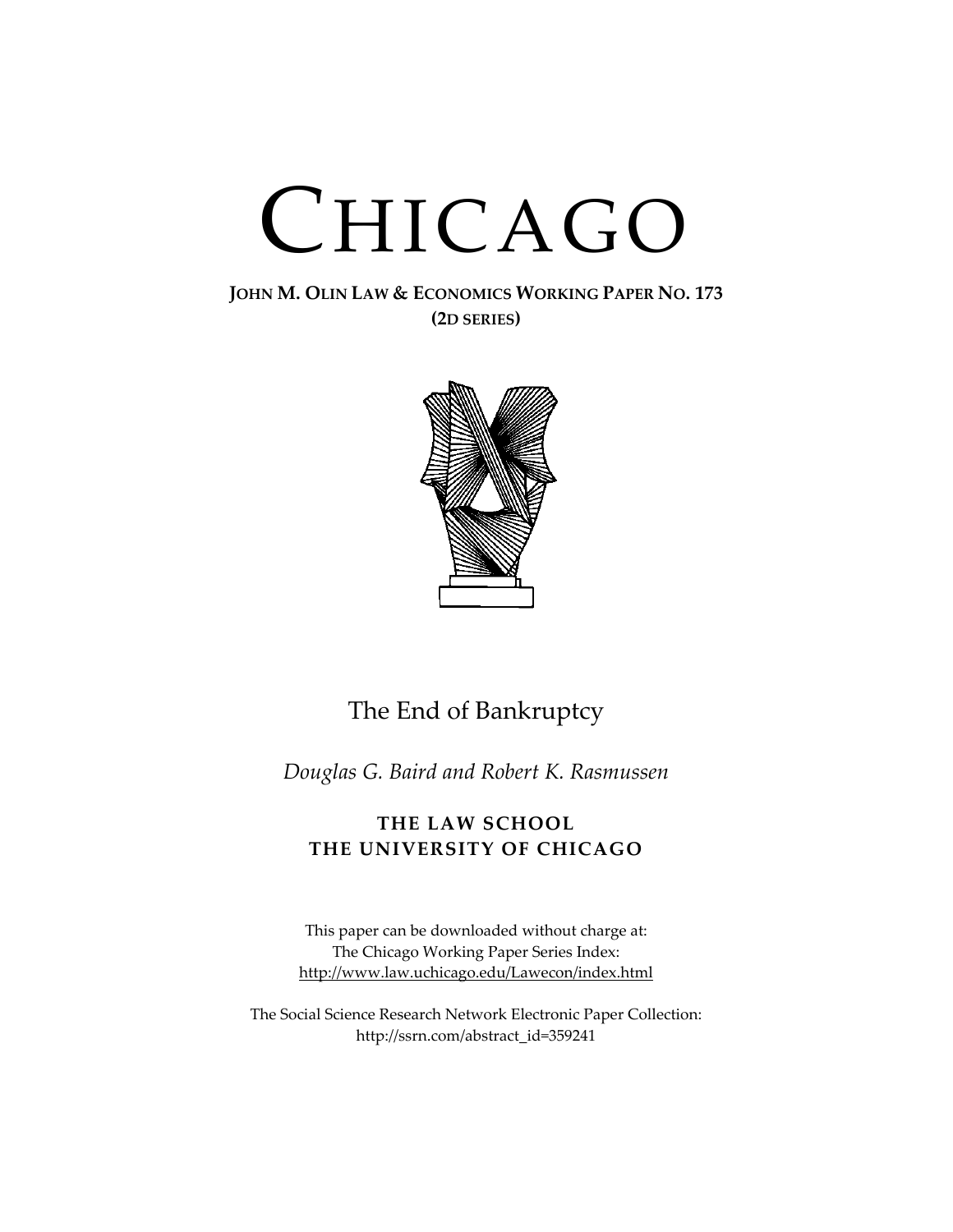# CHICAGO

## **JOHN M. OLIN LAW & ECONOMICS WORKING PAPER NO. 173 (2D SERIES)**



# The End of Bankruptcy

*Douglas G. Baird and Robert K. Rasmussen*

# **THE LAW SCHOOL THE UNIVERSITY OF CHICAGO**

This paper can be downloaded without charge at: The Chicago Working Paper Series Index: http://www.law.uchicago.edu/Lawecon/index.html

The Social Science Research [Network Electronic](http://www.law.uchicago.edu/Publications/Working/index.html) Paper Collection: http://ssrn.com/abstract\_id=359241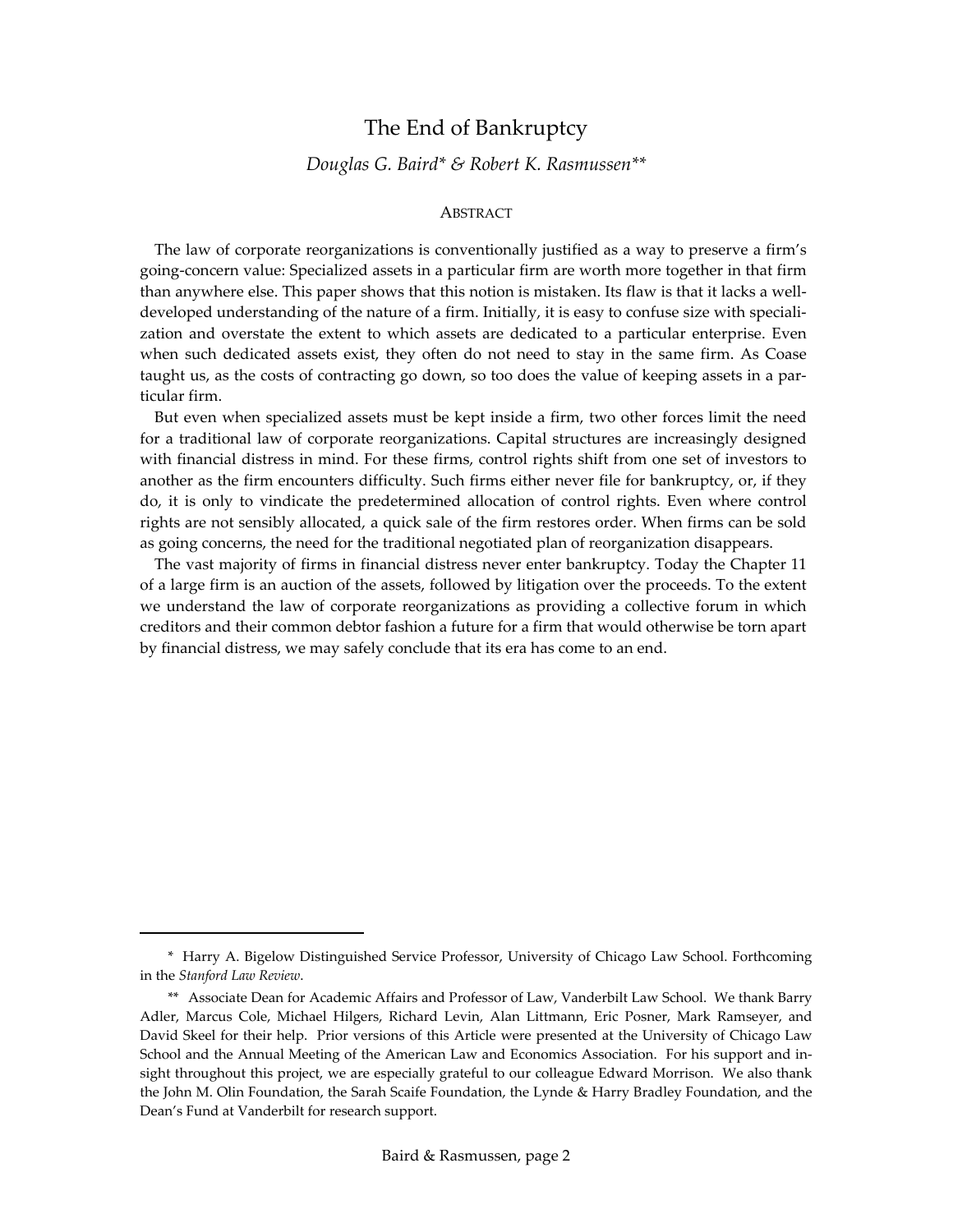## The End of Bankruptcy

#### *Douglas G. Baird[\\*](#page-2-0) & Robert K. Rasmussen[\\*\\*](#page-2-1)*

#### ABSTRACT

The law of corporate reorganizations is conventionally justified as a way to preserve a firm's going-concern value: Specialized assets in a particular firm are worth more together in that firm than anywhere else. This paper shows that this notion is mistaken. Its flaw is that it lacks a welldeveloped understanding of the nature of a firm. Initially, it is easy to confuse size with specialization and overstate the extent to which assets are dedicated to a particular enterprise. Even when such dedicated assets exist, they often do not need to stay in the same firm. As Coase taught us, as the costs of contracting go down, so too does the value of keeping assets in a particular firm.

But even when specialized assets must be kept inside a firm, two other forces limit the need for a traditional law of corporate reorganizations. Capital structures are increasingly designed with financial distress in mind. For these firms, control rights shift from one set of investors to another as the firm encounters difficulty. Such firms either never file for bankruptcy, or, if they do, it is only to vindicate the predetermined allocation of control rights. Even where control rights are not sensibly allocated, a quick sale of the firm restores order. When firms can be sold as going concerns, the need for the traditional negotiated plan of reorganization disappears.

The vast majority of firms in financial distress never enter bankruptcy. Today the Chapter 11 of a large firm is an auction of the assets, followed by litigation over the proceeds. To the extent we understand the law of corporate reorganizations as providing a collective forum in which creditors and their common debtor fashion a future for a firm that would otherwise be torn apart by financial distress, we may safely conclude that its era has come to an end.

<span id="page-2-0"></span><sup>\*</sup> Harry A. Bigelow Distinguished Service Professor, University of Chicago Law School. Forthcoming in the *Stanford Law Review*.

<span id="page-2-1"></span><sup>\*\*</sup> Associate Dean for Academic Affairs and Professor of Law, Vanderbilt Law School. We thank Barry Adler, Marcus Cole, Michael Hilgers, Richard Levin, Alan Littmann, Eric Posner, Mark Ramseyer, and David Skeel for their help. Prior versions of this Article were presented at the University of Chicago Law School and the Annual Meeting of the American Law and Economics Association. For his support and insight throughout this project, we are especially grateful to our colleague Edward Morrison. We also thank the John M. Olin Foundation, the Sarah Scaife Foundation, the Lynde & Harry Bradley Foundation, and the Dean's Fund at Vanderbilt for research support.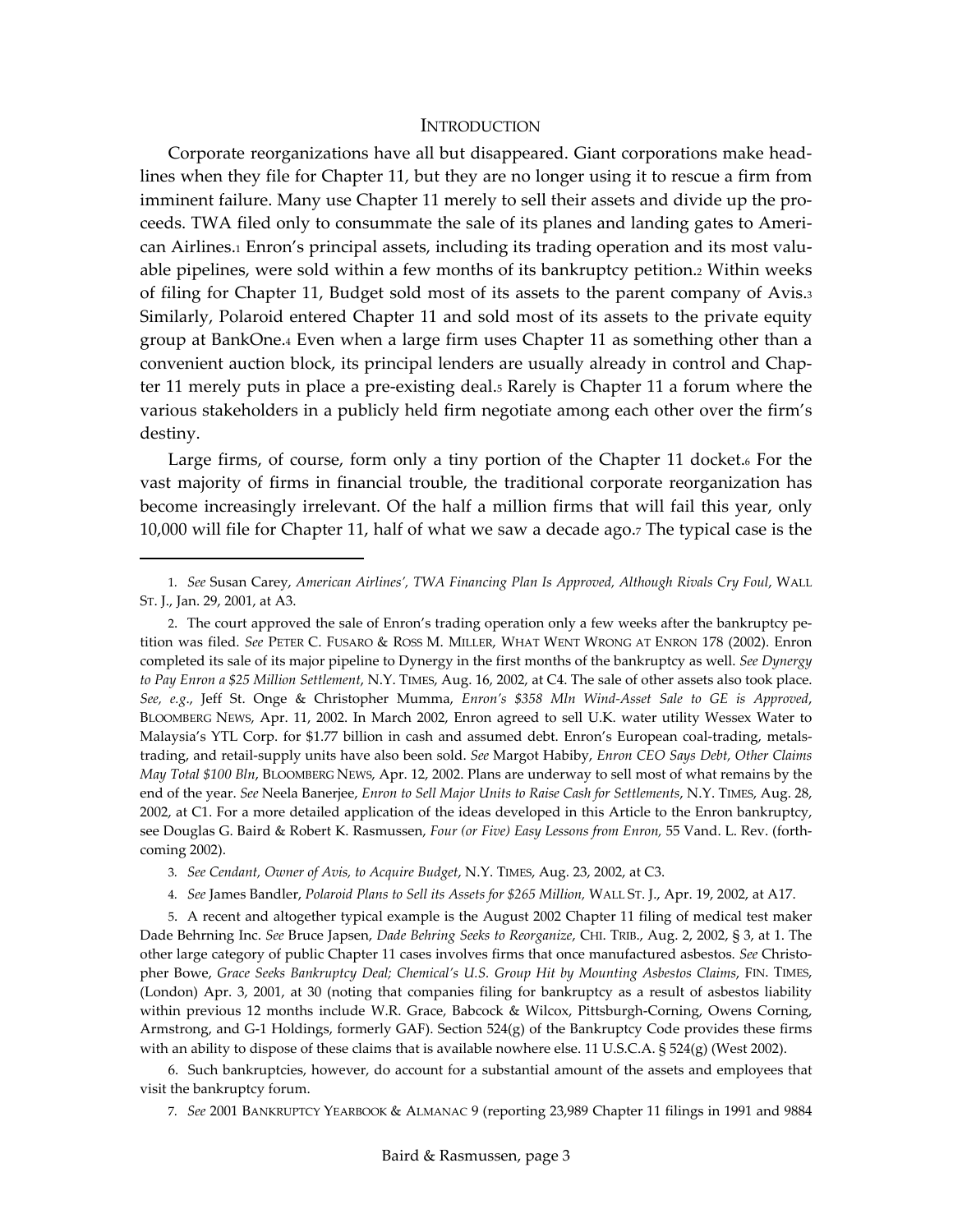#### **INTRODUCTION**

<span id="page-3-6"></span>Corporate reorganizations have all but disappeared. Giant corporations make headlines when they file for Chapter 11, but they are no longer using it to rescue a firm from imminent failure. Many use Chapter 11 merely to sell their assets and divide up the proceeds. TWA filed only to consummate the sale of its planes and landing gates to American Airlines.[1](#page-3-0) Enron's principal assets, including its trading operation and its most valuable pipelines, were sold within a few months of its bankruptcy petition.[2](#page-3-1) Within weeks of filing for Chapter 11, Budget sold most of its assets to the parent company of Avis[.3](#page-3-2) Similarly, Polaroid entered Chapter 11 and sold most of its assets to the private equity group at BankOne.[4](#page-3-3) Even when a large firm uses Chapter 11 as something other than a convenient auction block, its principal lenders are usually already in control and Chapter 11 merely puts in place a pre-existing deal.[5](#page-3-4) Rarely is Chapter 11 a forum where the various stakeholders in a publicly held firm negotiate among each other over the firm's destiny.

Large firms, of course, form only a tiny portion of the Chapter 11 docket.[6](#page-3-5) For the vast majority of firms in financial trouble, the traditional corporate reorganization has become increasingly irrelevant. Of the half a million firms that will fail this year, only 10,000 will file for Chapter 11, half of what we saw a decade ago.[7](#page-3-6) The typical case is the

 $\overline{a}$ 

<span id="page-3-5"></span>6. Such bankruptcies, however, do account for a substantial amount of the assets and employees that visit the bankruptcy forum.

<span id="page-3-0"></span><sup>1</sup>*. See* Susan Carey, *American Airlines', TWA Financing Plan Is Approved, Although Rivals Cry Foul*, WALL ST. J., Jan. 29, 2001, at A3.

<span id="page-3-1"></span><sup>2.</sup> The court approved the sale of Enron's trading operation only a few weeks after the bankruptcy petition was filed. *See* PETER C. FUSARO & ROSS M. MILLER, WHAT WENT WRONG AT ENRON 178 (2002). Enron completed its sale of its major pipeline to Dynergy in the first months of the bankruptcy as well. *See Dynergy to Pay Enron a \$25 Million Settlement*, N.Y. TIMES, Aug. 16, 2002, at C4. The sale of other assets also took place. *See, e.g*., Jeff St. Onge & Christopher Mumma, *Enron's \$358 Mln Wind-Asset Sale to GE is Approved*, BLOOMBERG NEWS, Apr. 11, 2002. In March 2002, Enron agreed to sell U.K. water utility Wessex Water to Malaysia's YTL Corp. for \$1.77 billion in cash and assumed debt. Enron's European coal-trading, metalstrading, and retail-supply units have also been sold. *See* Margot Habiby, *Enron CEO Says Debt, Other Claims May Total \$100 Bln*, BLOOMBERG NEWS, Apr. 12, 2002. Plans are underway to sell most of what remains by the end of the year. *See* Neela Banerjee, *Enron to Sell Major Units to Raise Cash for Settlements*, N.Y. TIMES, Aug. 28, 2002, at C1. For a more detailed application of the ideas developed in this Article to the Enron bankruptcy, see Douglas G. Baird & Robert K. Rasmussen, *Four (or Five) Easy Lessons from Enron,* 55 Vand. L. Rev. (forthcoming 2002).

<span id="page-3-2"></span><sup>3</sup>*. See Cendant, Owner of Avis, to Acquire Budget*, N.Y. TIMES, Aug. 23, 2002, at C3.

<sup>4</sup>*. See* James Bandler, *Polaroid Plans to Sell its Assets for \$265 Million,* WALL ST. J., Apr. 19, 2002, at A17.

<span id="page-3-4"></span><span id="page-3-3"></span><sup>5.</sup> A recent and altogether typical example is the August 2002 Chapter 11 filing of medical test maker Dade Behrning Inc. *See* Bruce Japsen, *Dade Behring Seeks to Reorganize*, CHI. TRIB., Aug. 2, 2002, § 3, at 1. The other large category of public Chapter 11 cases involves firms that once manufactured asbestos. *See* Christopher Bowe, *Grace Seeks Bankruptcy Deal; Chemical's U.S. Group Hit by Mounting Asbestos Claims*, FIN. TIMES, (London) Apr. 3, 2001, at 30 (noting that companies filing for bankruptcy as a result of asbestos liability within previous 12 months include W.R. Grace, Babcock & Wilcox, Pittsburgh-Corning, Owens Corning, Armstrong, and G-1 Holdings, formerly GAF). Section 524(g) of the Bankruptcy Code provides these firms with an ability to dispose of these claims that is available nowhere else. 11 U.S.C.A. § 524(g) (West 2002).

<sup>7</sup>*. See* 2001 BANKRUPTCY YEARBOOK & ALMANAC 9 (reporting 23,989 Chapter 11 filings in 1991 and 9884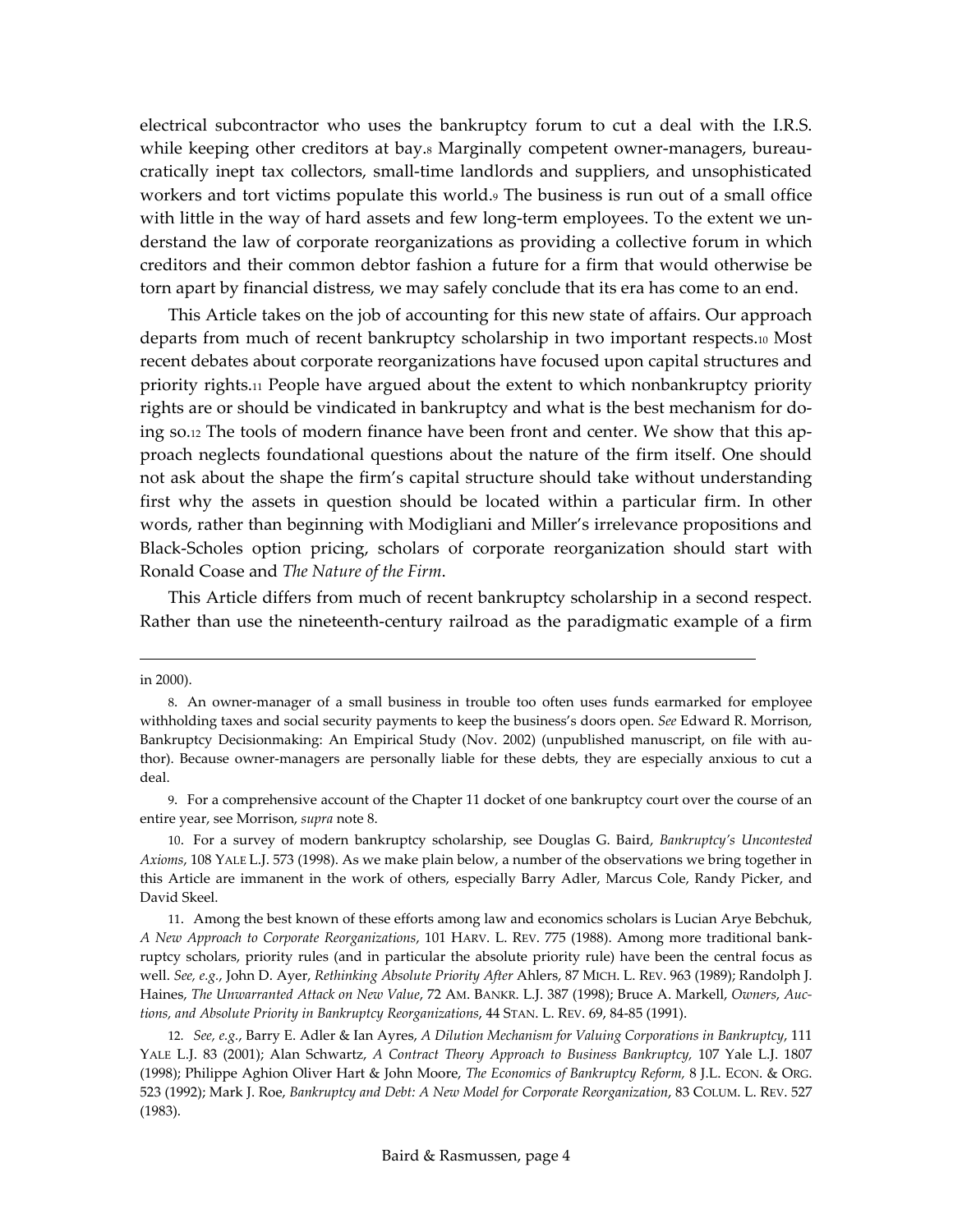electrical subcontractor who uses the bankruptcy forum to cut a deal with the I.R.S. while keeping other creditors at bay.[8](#page-4-0) Marginally competent owner-managers, bureaucratically inept tax collectors, small-time landlords and suppliers, and unsophisticated workers and tort victims populate this world.[9](#page-4-1) The business is run out of a small office with little in the way of hard assets and few long-term employees. To the extent we understand the law of corporate reorganizations as providing a collective forum in which creditors and their common debtor fashion a future for a firm that would otherwise be torn apart by financial distress, we may safely conclude that its era has come to an end.

This Article takes on the job of accounting for this new state of affairs. Our approach departs from much of recent bankruptcy scholarship in two important respects.[10](#page-4-2) Most recent debates about corporate reorganizations have focused upon capital structures and priority rights[.11](#page-4-3) People have argued about the extent to which nonbankruptcy priority rights are or should be vindicated in bankruptcy and what is the best mechanism for doing so[.12](#page-4-4) The tools of modern finance have been front and center. We show that this approach neglects foundational questions about the nature of the firm itself. One should not ask about the shape the firm's capital structure should take without understanding first why the assets in question should be located within a particular firm. In other words, rather than beginning with Modigliani and Miller's irrelevance propositions and Black-Scholes option pricing, scholars of corporate reorganization should start with Ronald Coase and *The Nature of the Firm*.

This Article differs from much of recent bankruptcy scholarship in a second respect. Rather than use the nineteenth-century railroad as the paradigmatic example of a firm

in 2000).

<span id="page-4-0"></span><sup>8.</sup> An owner-manager of a small business in trouble too often uses funds earmarked for employee withholding taxes and social security payments to keep the business's doors open. *See* Edward R. Morrison, Bankruptcy Decisionmaking: An Empirical Study (Nov. 2002) (unpublished manuscript, on file with author). Because owner-managers are personally liable for these debts, they are especially anxious to cut a deal.

<span id="page-4-1"></span><sup>9.</sup> For a comprehensive account of the Chapter 11 docket of one bankruptcy court over the course of an entire year, see Morrison, *supra* note 8.

<span id="page-4-2"></span><sup>10.</sup> For a survey of modern bankruptcy scholarship, see Douglas G. Baird, *Bankruptcy's Uncontested Axioms*, 108 YALE L.J. 573 (1998). As we make plain below, a number of the observations we bring together in this Article are immanent in the work of others, especially Barry Adler, Marcus Cole, Randy Picker, and David Skeel.

<span id="page-4-3"></span><sup>11.</sup> Among the best known of these efforts among law and economics scholars is Lucian Arye Bebchuk, *A New Approach to Corporate Reorganizations*, 101 HARV. L. REV. 775 (1988). Among more traditional bankruptcy scholars, priority rules (and in particular the absolute priority rule) have been the central focus as well. *See, e.g.*, John D. Ayer, *Rethinking Absolute Priority After* Ahlers, 87 MICH. L. REV. 963 (1989); Randolph J. Haines, *The Unwarranted Attack on New Value*, 72 AM. BANKR. L.J. 387 (1998); Bruce A. Markell, *Owners*, *Auctions, and Absolute Priority in Bankruptcy Reorganizations*, 44 STAN. L. REV. 69, 84-85 (1991).

<span id="page-4-4"></span><sup>12</sup>*. See, e.g.*, Barry E. Adler & Ian Ayres, *A Dilution Mechanism for Valuing Corporations in Bankruptcy*, 111 YALE L.J. 83 (2001); Alan Schwartz, *A Contract Theory Approach to Business Bankruptcy,* 107 Yale L.J. 1807 (1998); Philippe Aghion Oliver Hart & John Moore, *The Economics of Bankruptcy Reform,* 8 J.L. ECON. & ORG. 523 (1992); Mark J. Roe, *Bankruptcy and Debt: A New Model for Corporate Reorganization*, 83 COLUM. L. REV. 527 (1983).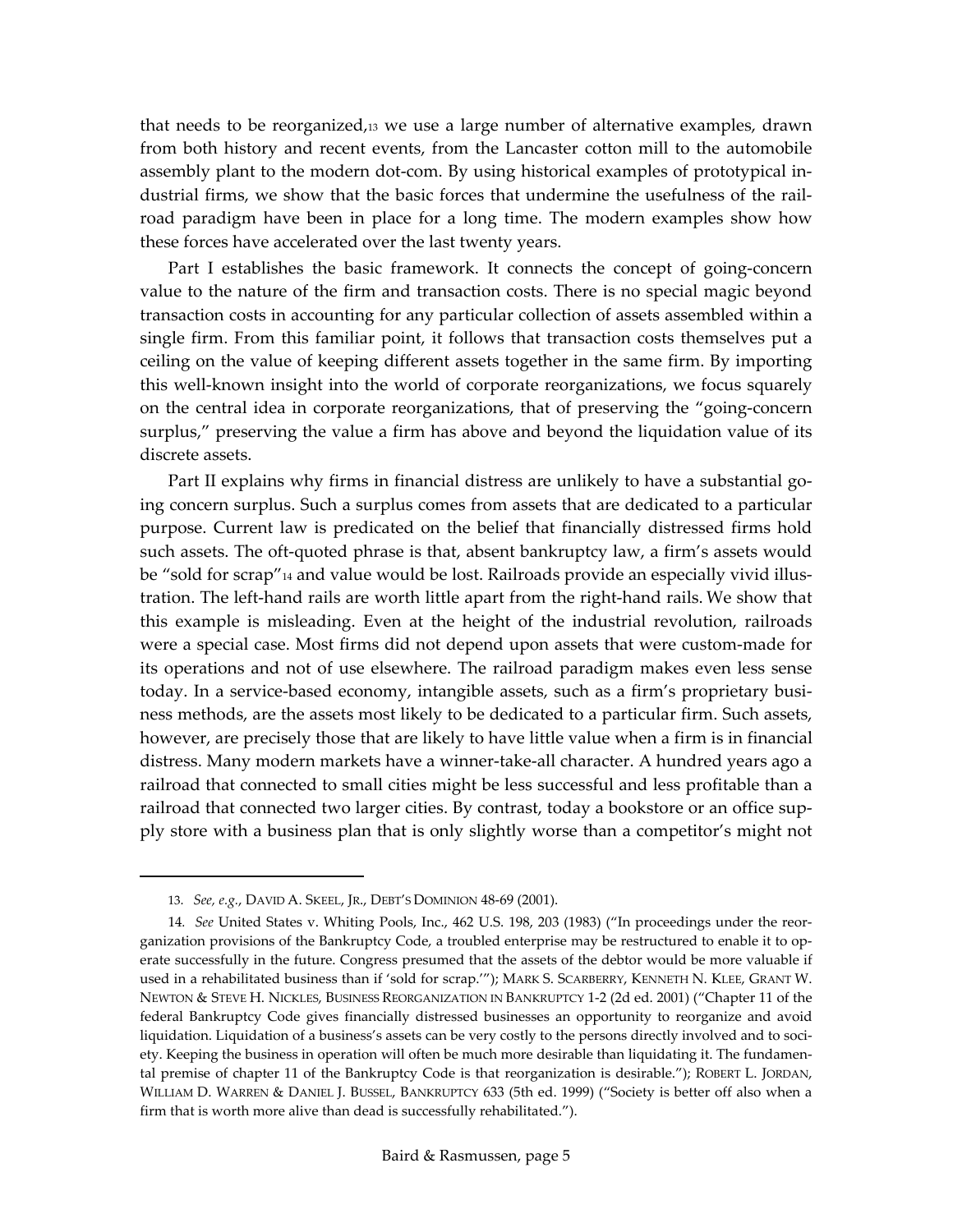that needs to be reorganized[,13](#page-5-0) we use a large number of alternative examples, drawn from both history and recent events, from the Lancaster cotton mill to the automobile assembly plant to the modern dot-com. By using historical examples of prototypical industrial firms, we show that the basic forces that undermine the usefulness of the railroad paradigm have been in place for a long time. The modern examples show how these forces have accelerated over the last twenty years.

Part I establishes the basic framework. It connects the concept of going-concern value to the nature of the firm and transaction costs. There is no special magic beyond transaction costs in accounting for any particular collection of assets assembled within a single firm. From this familiar point, it follows that transaction costs themselves put a ceiling on the value of keeping different assets together in the same firm. By importing this well-known insight into the world of corporate reorganizations, we focus squarely on the central idea in corporate reorganizations, that of preserving the "going-concern surplus," preserving the value a firm has above and beyond the liquidation value of its discrete assets.

Part II explains why firms in financial distress are unlikely to have a substantial going concern surplus. Such a surplus comes from assets that are dedicated to a particular purpose. Current law is predicated on the belief that financially distressed firms hold such assets. The oft-quoted phrase is that, absent bankruptcy law, a firm's assets would be "sold for scrap"[14 a](#page-5-1)nd value would be lost. Railroads provide an especially vivid illustration. The left-hand rails are worth little apart from the right-hand rails. We show that this example is misleading. Even at the height of the industrial revolution, railroads were a special case. Most firms did not depend upon assets that were custom-made for its operations and not of use elsewhere. The railroad paradigm makes even less sense today. In a service-based economy, intangible assets, such as a firm's proprietary business methods, are the assets most likely to be dedicated to a particular firm. Such assets, however, are precisely those that are likely to have little value when a firm is in financial distress. Many modern markets have a winner-take-all character. A hundred years ago a railroad that connected to small cities might be less successful and less profitable than a railroad that connected two larger cities. By contrast, today a bookstore or an office supply store with a business plan that is only slightly worse than a competitor's might not

<sup>13</sup>*. See, e.g.*, DAVID A. SKEEL, JR., DEBT'S DOMINION 48-69 (2001).

<span id="page-5-1"></span><span id="page-5-0"></span><sup>14</sup>*. See* United States v. Whiting Pools, Inc., 462 U.S. 198, 203 (1983) ("In proceedings under the reorganization provisions of the Bankruptcy Code, a troubled enterprise may be restructured to enable it to operate successfully in the future. Congress presumed that the assets of the debtor would be more valuable if used in a rehabilitated business than if 'sold for scrap.'"); MARK S. SCARBERRY, KENNETH N. KLEE, GRANT W. NEWTON & STEVE H. NICKLES, BUSINESS REORGANIZATION IN BANKRUPTCY 1-2 (2d ed. 2001) ("Chapter 11 of the federal Bankruptcy Code gives financially distressed businesses an opportunity to reorganize and avoid liquidation. Liquidation of a business's assets can be very costly to the persons directly involved and to society. Keeping the business in operation will often be much more desirable than liquidating it. The fundamental premise of chapter 11 of the Bankruptcy Code is that reorganization is desirable."); ROBERT L. JORDAN, WILLIAM D. WARREN & DANIEL J. BUSSEL, BANKRUPTCY 633 (5th ed. 1999) ("Society is better off also when a firm that is worth more alive than dead is successfully rehabilitated.").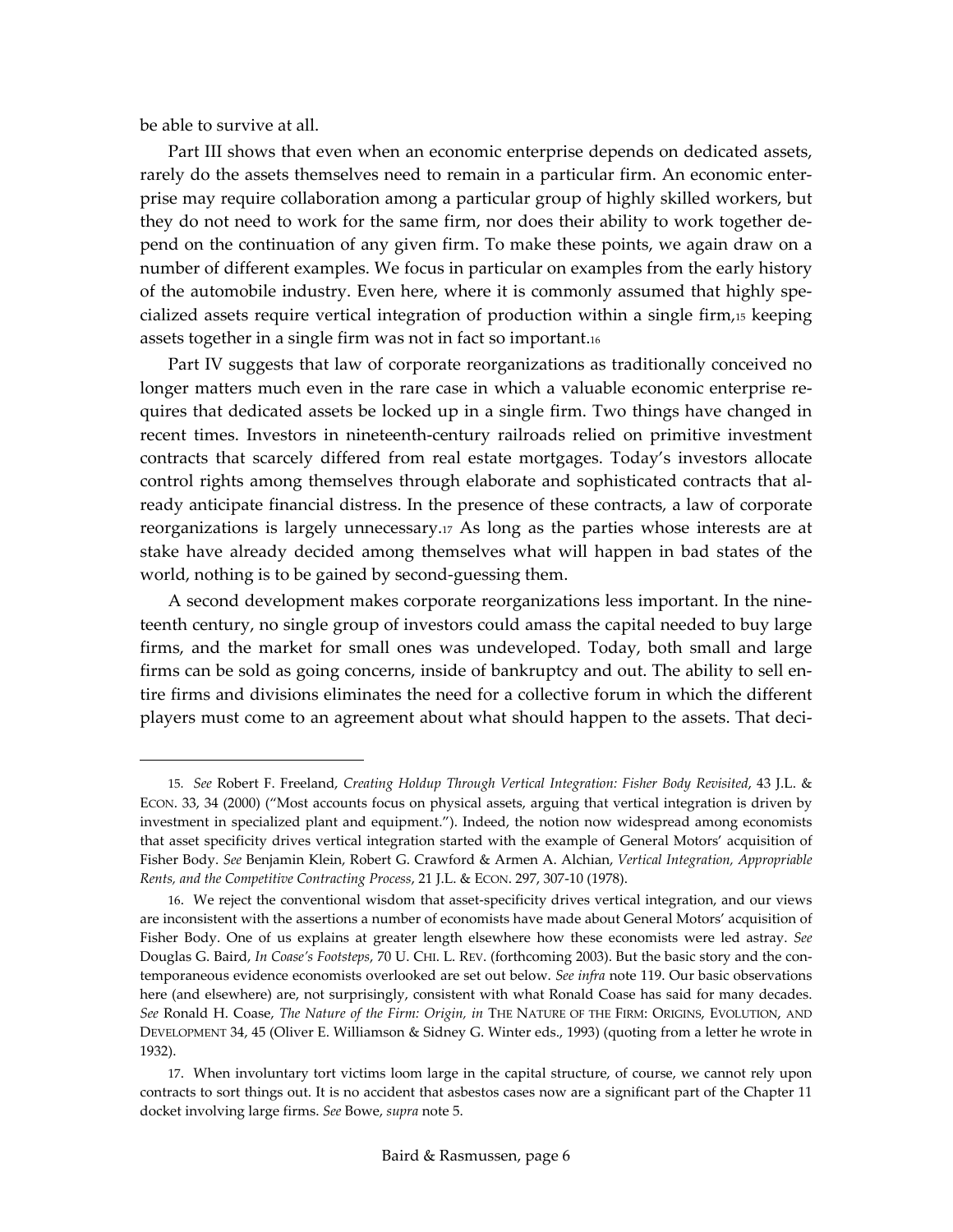be able to survive at all.

 $\overline{a}$ 

Part III shows that even when an economic enterprise depends on dedicated assets, rarely do the assets themselves need to remain in a particular firm. An economic enterprise may require collaboration among a particular group of highly skilled workers, but they do not need to work for the same firm, nor does their ability to work together depend on the continuation of any given firm. To make these points, we again draw on a number of different examples. We focus in particular on examples from the early history of the automobile industry. Even here, where it is commonly assumed that highly specialized assets require vertical integration of production within a single firm,[15](#page-6-0) keeping assets together in a single firm was not in fact so important.[16](#page-6-1)

Part IV suggests that law of corporate reorganizations as traditionally conceived no longer matters much even in the rare case in which a valuable economic enterprise requires that dedicated assets be locked up in a single firm. Two things have changed in recent times. Investors in nineteenth-century railroads relied on primitive investment contracts that scarcely differed from real estate mortgages. Today's investors allocate control rights among themselves through elaborate and sophisticated contracts that already anticipate financial distress. In the presence of these contracts, a law of corporate reorganizations is largely unnecessary[.17](#page-6-2) As long as the parties whose interests are at stake have already decided among themselves what will happen in bad states of the world, nothing is to be gained by second-guessing them.

A second development makes corporate reorganizations less important. In the nineteenth century, no single group of investors could amass the capital needed to buy large firms, and the market for small ones was undeveloped. Today, both small and large firms can be sold as going concerns, inside of bankruptcy and out. The ability to sell entire firms and divisions eliminates the need for a collective forum in which the different players must come to an agreement about what should happen to the assets. That deci-

<span id="page-6-0"></span><sup>15</sup>*. See* Robert F. Freeland, *Creating Holdup Through Vertical Integration: Fisher Body Revisited*, 43 J.L. & ECON. 33, 34 (2000) ("Most accounts focus on physical assets, arguing that vertical integration is driven by investment in specialized plant and equipment."). Indeed, the notion now widespread among economists that asset specificity drives vertical integration started with the example of General Motors' acquisition of Fisher Body. *See* Benjamin Klein, Robert G. Crawford & Armen A. Alchian, *Vertical Integration, Appropriable Rents, and the Competitive Contracting Process*, 21 J.L. & ECON. 297, 307-10 (1978).

<span id="page-6-1"></span><sup>16.</sup> We reject the conventional wisdom that asset-specificity drives vertical integration, and our views are inconsistent with the assertions a number of economists have made about General Motors' acquisition of Fisher Body. One of us explains at greater length elsewhere how these economists were led astray. *See* Douglas G. Baird, *In Coase's Footsteps*, 70 U. CHI. L. REV. (forthcoming 2003). But the basic story and the contemporaneous evidence economists overlooked are set out below. *See infra* note 119. Our basic observations here (and elsewhere) are, not surprisingly, consistent with what Ronald Coase has said for many decades. *See* Ronald H. Coase, *The Nature of the Firm: Origin, in* THE NATURE OF THE FIRM: ORIGINS, EVOLUTION, AND DEVELOPMENT 34, 45 (Oliver E. Williamson & Sidney G. Winter eds., 1993) (quoting from a letter he wrote in 1932).

<span id="page-6-2"></span><sup>17.</sup> When involuntary tort victims loom large in the capital structure, of course, we cannot rely upon contracts to sort things out. It is no accident that asbestos cases now are a significant part of the Chapter 11 docket involving large firms. *See* Bowe, *supra* note 5.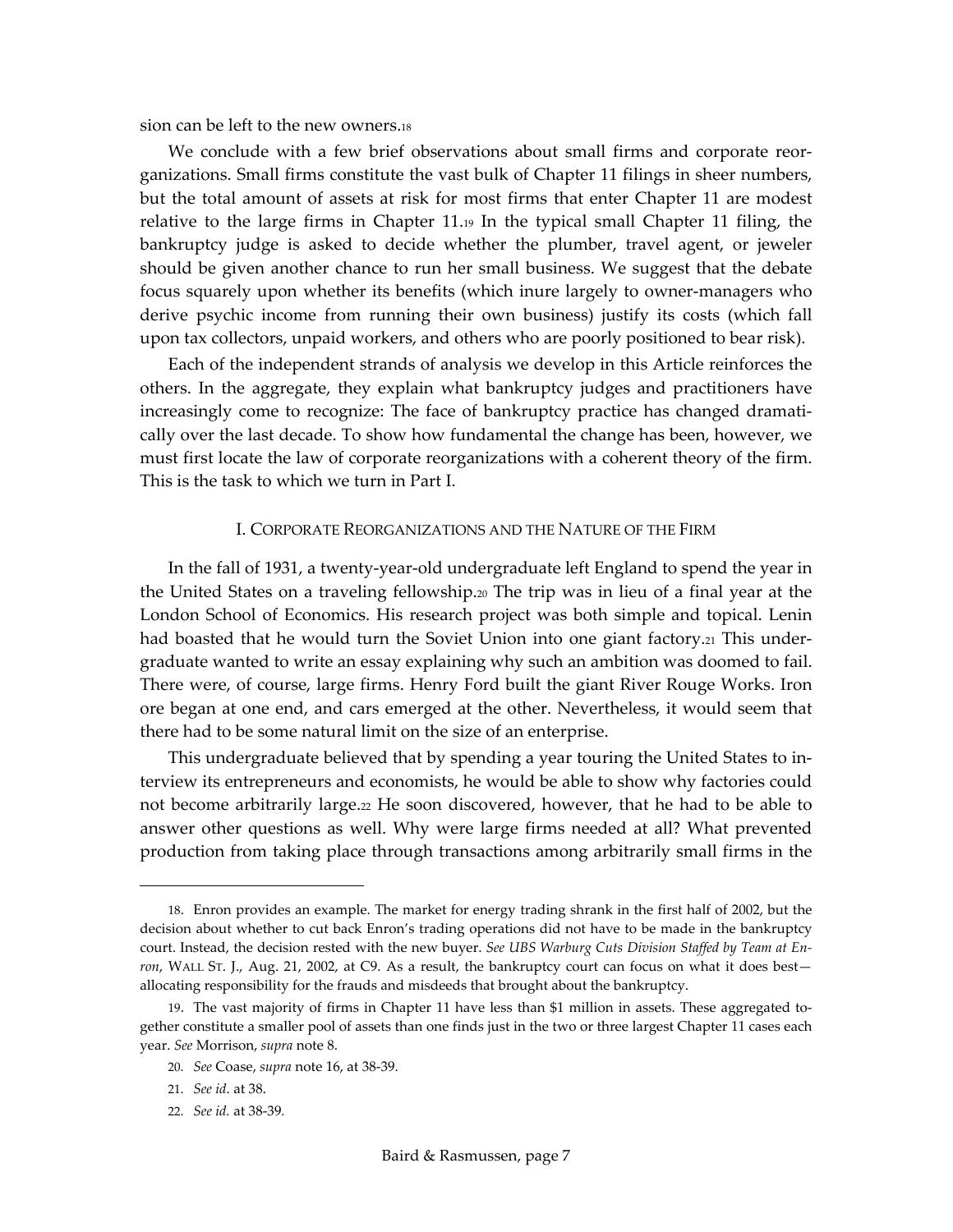sion can be left to the new owners.[18](#page-7-0)

We conclude with a few brief observations about small firms and corporate reorganizations. Small firms constitute the vast bulk of Chapter 11 filings in sheer numbers, but the total amount of assets at risk for most firms that enter Chapter 11 are modest relative to the large firms in Chapter 11.[19](#page-7-1) In the typical small Chapter 11 filing, the bankruptcy judge is asked to decide whether the plumber, travel agent, or jeweler should be given another chance to run her small business. We suggest that the debate focus squarely upon whether its benefits (which inure largely to owner-managers who derive psychic income from running their own business) justify its costs (which fall upon tax collectors, unpaid workers, and others who are poorly positioned to bear risk).

Each of the independent strands of analysis we develop in this Article reinforces the others. In the aggregate, they explain what bankruptcy judges and practitioners have increasingly come to recognize: The face of bankruptcy practice has changed dramatically over the last decade. To show how fundamental the change has been, however, we must first locate the law of corporate reorganizations with a coherent theory of the firm. This is the task to which we turn in Part I.

#### I. CORPORATE REORGANIZATIONS AND THE NATURE OF THE FIRM

In the fall of 1931, a twenty-year-old undergraduate left England to spend the year in the United States on a traveling fellowship.[20](#page-7-2) The trip was in lieu of a final year at the London School of Economics. His research project was both simple and topical. Lenin had boasted that he would turn the Soviet Union into one giant factory.<sub>21</sub> This undergraduate wanted to write an essay explaining why such an ambition was doomed to fail. There were, of course, large firms. Henry Ford built the giant River Rouge Works. Iron ore began at one end, and cars emerged at the other. Nevertheless, it would seem that there had to be some natural limit on the size of an enterprise.

This undergraduate believed that by spending a year touring the United States to interview its entrepreneurs and economists, he would be able to show why factories could not become arbitrarily large.[22](#page-7-4) He soon discovered, however, that he had to be able to answer other questions as well. Why were large firms needed at all? What prevented production from taking place through transactions among arbitrarily small firms in the

<span id="page-7-0"></span><sup>18.</sup> Enron provides an example. The market for energy trading shrank in the first half of 2002, but the decision about whether to cut back Enron's trading operations did not have to be made in the bankruptcy court. Instead, the decision rested with the new buyer. *See UBS Warburg Cuts Division Staffed by Team at En*ron, WALL ST. J., Aug. 21, 2002, at C9. As a result, the bankruptcy court can focus on what it does bestallocating responsibility for the frauds and misdeeds that brought about the bankruptcy.

<span id="page-7-1"></span><sup>19.</sup> The vast majority of firms in Chapter 11 have less than \$1 million in assets. These aggregated together constitute a smaller pool of assets than one finds just in the two or three largest Chapter 11 cases each year. *See* Morrison, *supra* note 8.

<span id="page-7-2"></span><sup>20</sup>*. See* Coase, *supra* note 16, at 38-39.

<span id="page-7-3"></span><sup>21</sup>*. See id*. at 38.

<span id="page-7-4"></span><sup>22</sup>*. See id.* at 38-39*.*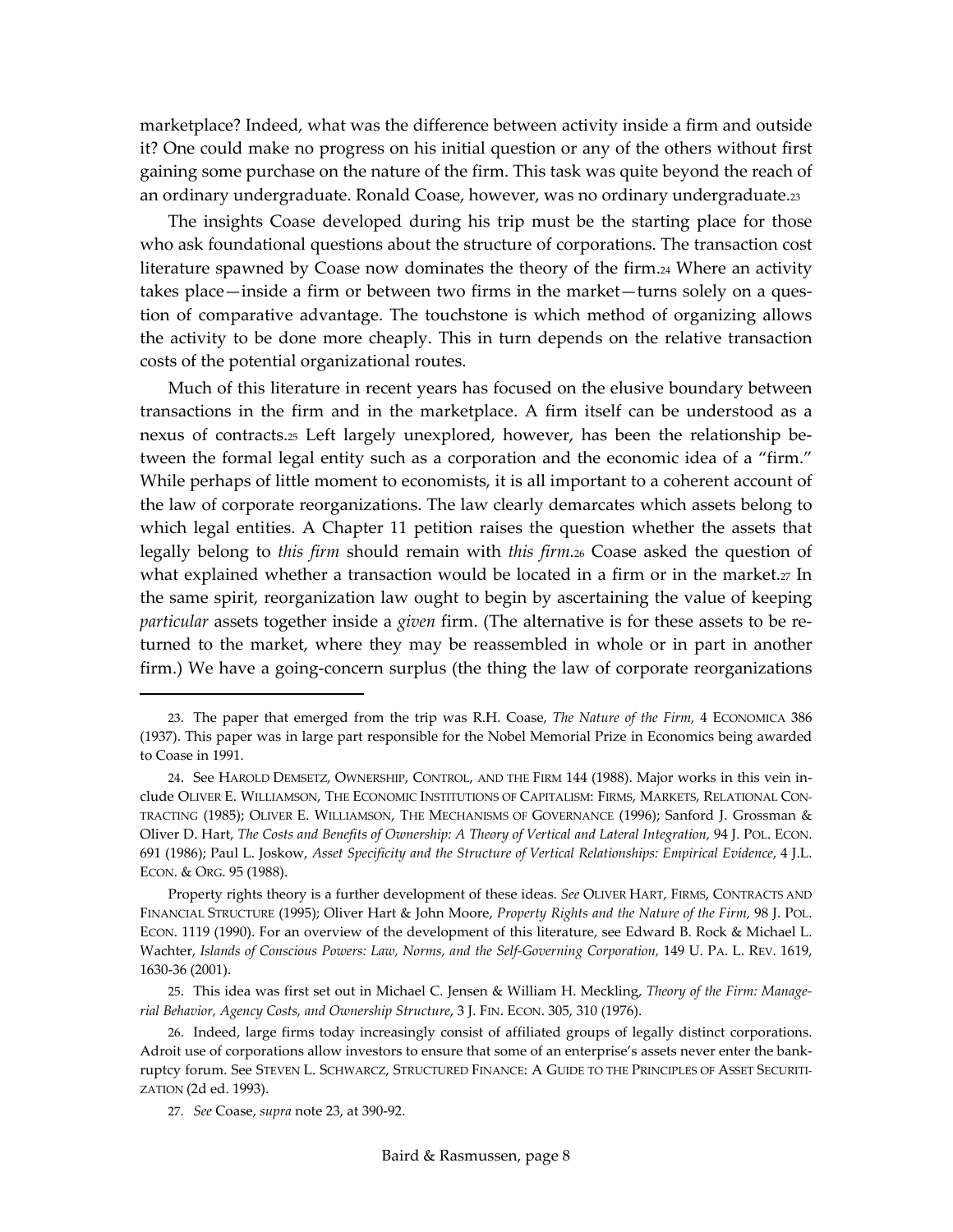marketplace? Indeed, what was the difference between activity inside a firm and outside it? One could make no progress on his initial question or any of the others without first gaining some purchase on the nature of the firm. This task was quite beyond the reach of an ordinary undergraduate. Ronald Coase, however, was no ordinary undergraduate[.23](#page-8-0)

The insights Coase developed during his trip must be the starting place for those who ask foundational questions about the structure of corporations. The transaction cost literature spawned by Coase now dominates the theory of the firm.[24](#page-8-1) Where an activity takes place—inside a firm or between two firms in the market—turns solely on a question of comparative advantage. The touchstone is which method of organizing allows the activity to be done more cheaply. This in turn depends on the relative transaction costs of the potential organizational routes.

Much of this literature in recent years has focused on the elusive boundary between transactions in the firm and in the marketplace. A firm itself can be understood as a nexus of contracts.[25](#page-8-2) Left largely unexplored, however, has been the relationship between the formal legal entity such as a corporation and the economic idea of a "firm." While perhaps of little moment to economists, it is all important to a coherent account of the law of corporate reorganizations. The law clearly demarcates which assets belong to which legal entities. A Chapter 11 petition raises the question whether the assets that legally belong to *this firm* should remain with *this firm.*[26](#page-8-3) Coase asked the question of what explained whether a transaction would be located in a firm or in the market.[27](#page-8-4) In the same spirit, reorganization law ought to begin by ascertaining the value of keeping *particular* assets together inside a *given* firm. (The alternative is for these assets to be returned to the market, where they may be reassembled in whole or in part in another firm.) We have a going-concern surplus (the thing the law of corporate reorganizations

<span id="page-8-0"></span><sup>23.</sup> The paper that emerged from the trip was R.H. Coase, *The Nature of the Firm,* 4 ECONOMICA 386 (1937). This paper was in large part responsible for the Nobel Memorial Prize in Economics being awarded to Coase in 1991.

<span id="page-8-1"></span><sup>24.</sup> See HAROLD DEMSETZ, OWNERSHIP, CONTROL, AND THE FIRM 144 (1988). Major works in this vein include OLIVER E. WILLIAMSON, THE ECONOMIC INSTITUTIONS OF CAPITALISM: FIRMS, MARKETS, RELATIONAL CON-TRACTING (1985); OLIVER E. WILLIAMSON, THE MECHANISMS OF GOVERNANCE (1996); Sanford J. Grossman & Oliver D. Hart, *The Costs and Benefits of Ownership: A Theory of Vertical and Lateral Integration,* 94 J. POL. ECON. 691 (1986); Paul L. Joskow, *Asset Specificity and the Structure of Vertical Relationships: Empirical Evidence*, 4 J.L. ECON. & ORG. 95 (1988).

Property rights theory is a further development of these ideas. *See* OLIVER HART, FIRMS, CONTRACTS AND FINANCIAL STRUCTURE (1995); Oliver Hart & John Moore, *Property Rights and the Nature of the Firm,* 98 J. POL. ECON. 1119 (1990). For an overview of the development of this literature, see Edward B. Rock & Michael L. Wachter, *Islands of Conscious Powers: Law, Norms, and the Self-Governing Corporation,* 149 U. PA. L. REV. 1619, 1630-36 (2001).

<span id="page-8-2"></span><sup>25.</sup> This idea was first set out in Michael C. Jensen & William H. Meckling, *Theory of the Firm: Managerial Behavior, Agency Costs, and Ownership Structure*, 3 J. FIN. ECON. 305, 310 (1976).

<span id="page-8-3"></span><sup>26.</sup> Indeed, large firms today increasingly consist of affiliated groups of legally distinct corporations. Adroit use of corporations allow investors to ensure that some of an enterprise's assets never enter the bankruptcy forum. See STEVEN L. SCHWARCZ, STRUCTURED FINANCE: A GUIDE TO THE PRINCIPLES OF ASSET SECURITI-ZATION (2d ed. 1993).

<span id="page-8-4"></span><sup>27</sup>*. See* Coase, *supra* note 23, at 390-92.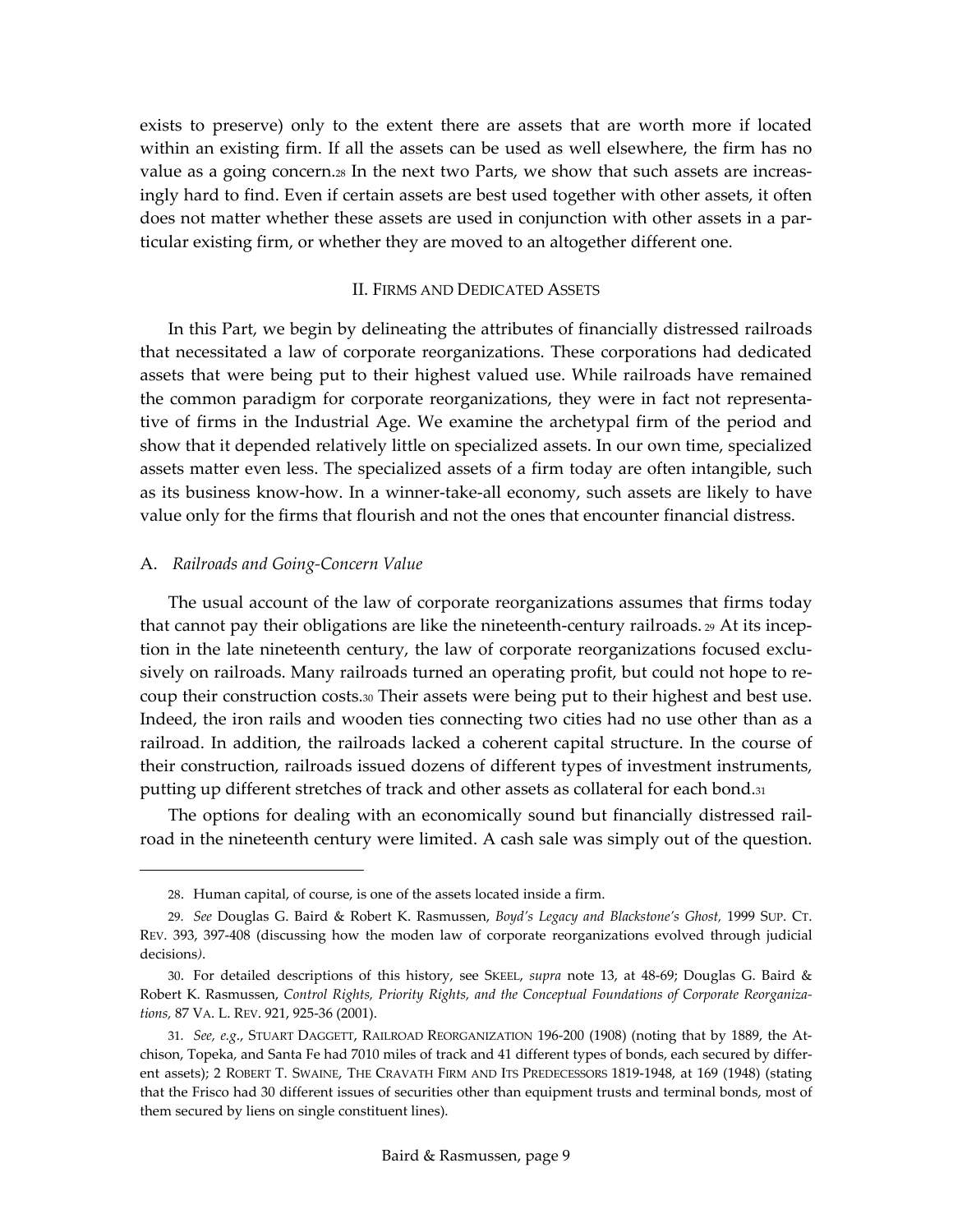exists to preserve) only to the extent there are assets that are worth more if located within an existing firm. If all the assets can be used as well elsewhere, the firm has no value as a going concern.[28 I](#page-9-0)n the next two Parts, we show that such assets are increasingly hard to find. Even if certain assets are best used together with other assets, it often does not matter whether these assets are used in conjunction with other assets in a particular existing firm, or whether they are moved to an altogether different one.

#### II. FIRMS AND DEDICATED ASSETS

In this Part, we begin by delineating the attributes of financially distressed railroads that necessitated a law of corporate reorganizations. These corporations had dedicated assets that were being put to their highest valued use. While railroads have remained the common paradigm for corporate reorganizations, they were in fact not representative of firms in the Industrial Age. We examine the archetypal firm of the period and show that it depended relatively little on specialized assets. In our own time, specialized assets matter even less. The specialized assets of a firm today are often intangible, such as its business know-how. In a winner-take-all economy, such assets are likely to have value only for the firms that flourish and not the ones that encounter financial distress.

#### A. *Railroads and Going-Concern Value*

<span id="page-9-0"></span> $\overline{a}$ 

The usual account of the law of corporate reorganizations assumes that firms today that cannot pay their obligations are like the nineteenth-century railroads. [29 A](#page-9-1)t its inception in the late nineteenth century, the law of corporate reorganizations focused exclusively on railroads. Many railroads turned an operating profit, but could not hope to recoup their construction costs[.30 T](#page-9-2)heir assets were being put to their highest and best use. Indeed, the iron rails and wooden ties connecting two cities had no use other than as a railroad. In addition, the railroads lacked a coherent capital structure. In the course of their construction, railroads issued dozens of different types of investment instruments, putting up different stretches of track and other assets as collateral for each bond.[31](#page-9-3)

The options for dealing with an economically sound but financially distressed railroad in the nineteenth century were limited. A cash sale was simply out of the question.

<sup>28.</sup> Human capital, of course, is one of the assets located inside a firm.

<span id="page-9-1"></span><sup>29</sup>*. See* Douglas G. Baird & Robert K. Rasmussen, *Boyd's Legacy and Blackstone's Ghost,* 1999 SUP. CT. REV. 393, 397-408 (discussing how the moden law of corporate reorganizations evolved through judicial decisions*)*.

<span id="page-9-2"></span><sup>30.</sup> For detailed descriptions of this history, see SKEEL, *supra* note 13, at 48-69; Douglas G. Baird & Robert K. Rasmussen, *Control Rights, Priority Rights, and the Conceptual Foundations of Corporate Reorganizations,* 87 VA. L. REV. 921, 925-36 (2001).

<span id="page-9-3"></span><sup>31</sup>*. See, e.g*., STUART DAGGETT, RAILROAD REORGANIZATION 196-200 (1908) (noting that by 1889, the Atchison, Topeka, and Santa Fe had 7010 miles of track and 41 different types of bonds, each secured by different assets); 2 ROBERT T. SWAINE, THE CRAVATH FIRM AND ITS PREDECESSORS 1819-1948, at 169 (1948) (stating that the Frisco had 30 different issues of securities other than equipment trusts and terminal bonds, most of them secured by liens on single constituent lines).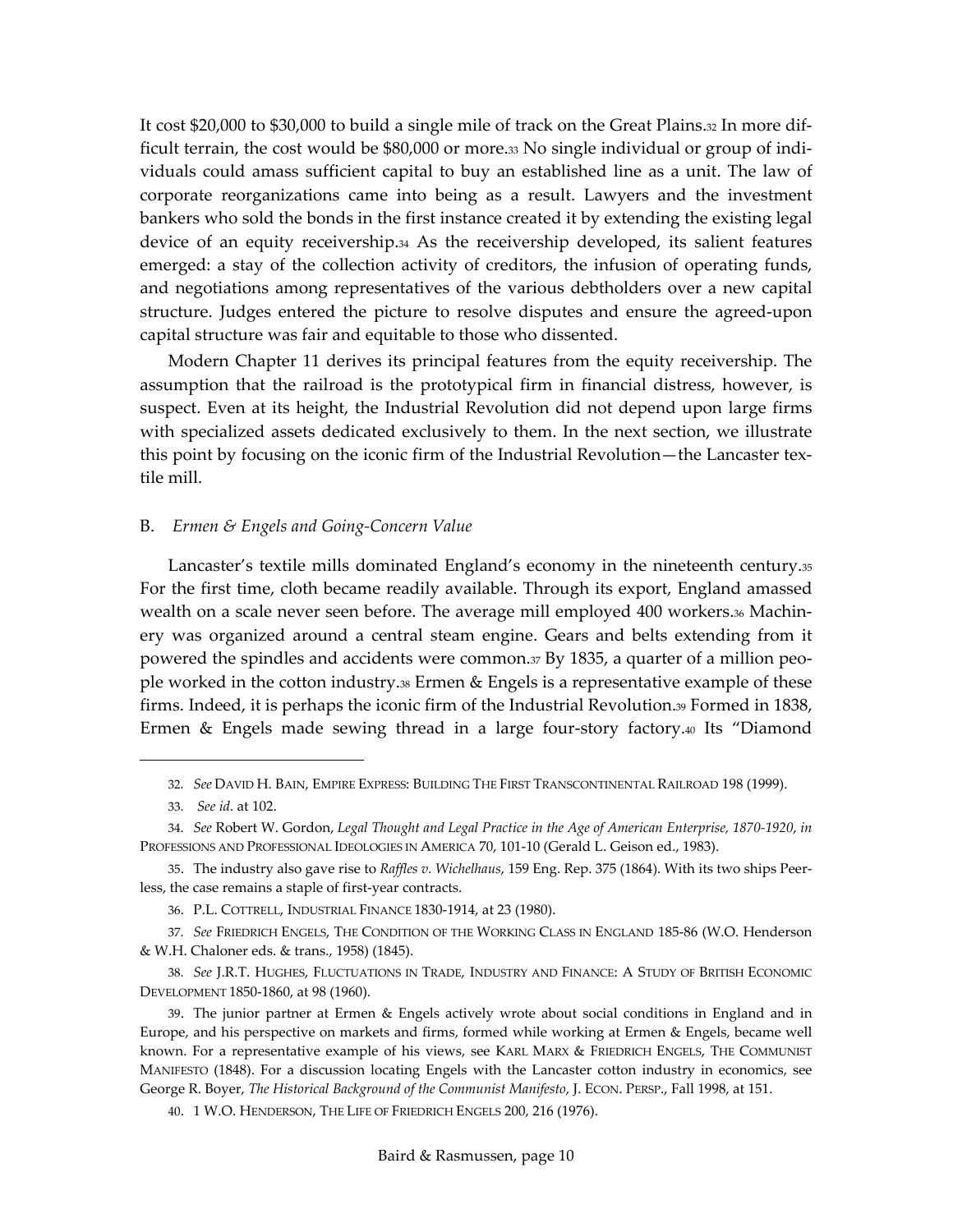It cost \$20,000 to \$30,000 to build a single mile of track on the Great Plains.[32 I](#page-10-0)n more difficult terrain, the cost would be \$80,000 or more[.33](#page-10-1) No single individual or group of individuals could amass sufficient capital to buy an established line as a unit. The law of corporate reorganizations came into being as a result. Lawyers and the investment bankers who sold the bonds in the first instance created it by extending the existing legal device of an equity receivership.[34](#page-10-2) As the receivership developed, its salient features emerged: a stay of the collection activity of creditors, the infusion of operating funds, and negotiations among representatives of the various debtholders over a new capital structure. Judges entered the picture to resolve disputes and ensure the agreed-upon capital structure was fair and equitable to those who dissented.

Modern Chapter 11 derives its principal features from the equity receivership. The assumption that the railroad is the prototypical firm in financial distress, however, is suspect. Even at its height, the Industrial Revolution did not depend upon large firms with specialized assets dedicated exclusively to them. In the next section, we illustrate this point by focusing on the iconic firm of the Industrial Revolution—the Lancaster textile mill.

#### B. *Ermen & Engels and Going-Concern Value*

Lancaster's textile mills dominated England's economy in the nineteenth century[.35](#page-10-3) For the first time, cloth became readily available. Through its export, England amassed wealth on a scale never seen before. The average mill employed 400 workers.[36](#page-10-4) Machinery was organized around a central steam engine. Gears and belts extending from it powered the spindles and accidents were common[.37 B](#page-10-5)y 1835, a quarter of a million people worked in the cotton industry[.38 E](#page-10-6)rmen & Engels is a representative example of these firms. Indeed, it is perhaps the iconic firm of the Industrial Revolution.[39 F](#page-10-7)ormed in 1838, Ermen & Engels made sewing thread in a large four-story factory[.40](#page-10-8) Its "Diamond

<span id="page-10-0"></span><sup>32</sup>*. See* DAVID H. BAIN, EMPIRE EXPRESS: BUILDING THE FIRST TRANSCONTINENTAL RAILROAD 198 (1999).

<sup>33</sup>*. See id*. at 102.

<span id="page-10-2"></span><span id="page-10-1"></span><sup>34</sup>*. See* Robert W. Gordon, *Legal Thought and Legal Practice in the Age of American Enterprise, 1870-1920*, *in* PROFESSIONS AND PROFESSIONAL IDEOLOGIES IN AMERICA 70, 101-10 (Gerald L. Geison ed., 1983).

<span id="page-10-3"></span><sup>35.</sup> The industry also gave rise to *Raffles v. Wichelhaus*, 159 Eng. Rep. 375 (1864). With its two ships Peerless, the case remains a staple of first-year contracts.

<sup>36.</sup> P.L. COTTRELL, INDUSTRIAL FINANCE 1830-1914, at 23 (1980).

<span id="page-10-5"></span><span id="page-10-4"></span><sup>37</sup>*. See* FRIEDRICH ENGELS, THE CONDITION OF THE WORKING CLASS IN ENGLAND 185-86 (W.O. Henderson & W.H. Chaloner eds. & trans., 1958) (1845).

<span id="page-10-6"></span><sup>38</sup>*. See* J.R.T. HUGHES, FLUCTUATIONS IN TRADE, INDUSTRY AND FINANCE: A STUDY OF BRITISH ECONOMIC DEVELOPMENT 1850-1860, at 98 (1960).

<span id="page-10-7"></span><sup>39.</sup> The junior partner at Ermen & Engels actively wrote about social conditions in England and in Europe, and his perspective on markets and firms, formed while working at Ermen & Engels, became well known. For a representative example of his views, see KARL MARX & FRIEDRICH ENGELS, THE COMMUNIST MANIFESTO (1848). For a discussion locating Engels with the Lancaster cotton industry in economics, see George R. Boyer, *The Historical Background of the Communist Manifesto*, J. ECON. PERSP., Fall 1998, at 151.

<span id="page-10-8"></span><sup>40.</sup> 1 W.O. HENDERSON, THE LIFE OF FRIEDRICH ENGELS 200, 216 (1976).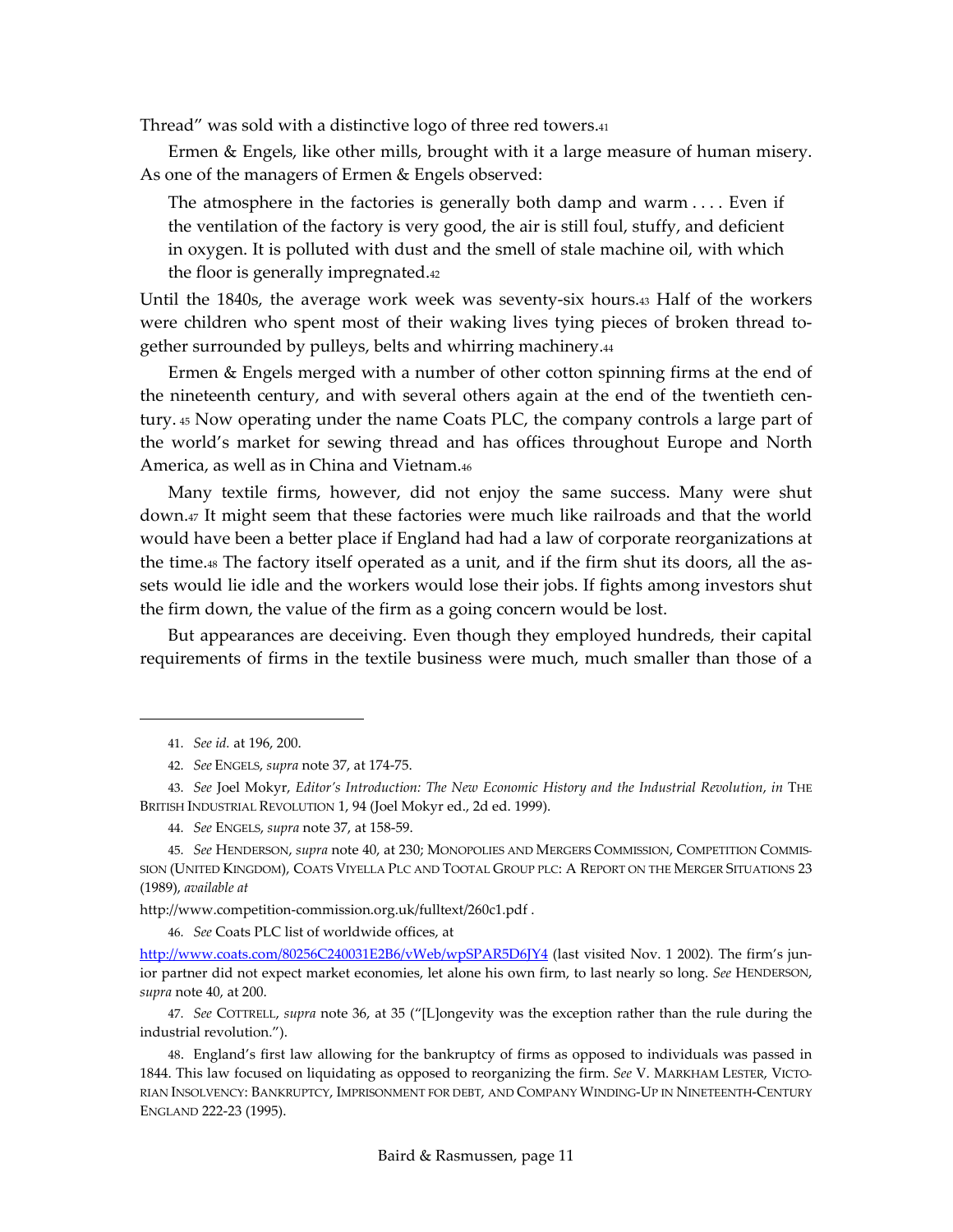Thread" was sold with a distinctive logo of three red towers.[41](#page-11-0)

Ermen & Engels, like other mills, brought with it a large measure of human misery. As one of the managers of Ermen & Engels observed:

The atmosphere in the factories is generally both damp and warm . . . . Even if the ventilation of the factory is very good, the air is still foul, stuffy, and deficient in oxygen. It is polluted with dust and the smell of stale machine oil, with which the floor is generally impregnated[.42](#page-11-1)

Until the 1840s, the average work week was seventy-six hours.[43](#page-11-2) Half of the workers were children who spent most of their waking lives tying pieces of broken thread together surrounded by pulleys, belts and whirring machinery.[44](#page-11-3)

Ermen & Engels merged with a number of other cotton spinning firms at the end of the nineteenth century, and with several others again at the end of the twentieth century. [45](#page-11-4) Now operating under the name Coats PLC, the company controls a large part of the world's market for sewing thread and has offices throughout Europe and North America, as well as in China and Vietnam.[46](#page-11-5)

Many textile firms, however, did not enjoy the same success. Many were shut down[.47](#page-11-6) It might seem that these factories were much like railroads and that the world would have been a better place if England had had a law of corporate reorganizations at the time.[48](#page-11-7) The factory itself operated as a unit, and if the firm shut its doors, all the assets would lie idle and the workers would lose their jobs. If fights among investors shut the firm down, the value of the firm as a going concern would be lost.

But appearances are deceiving. Even though they employed hundreds, their capital requirements of firms in the textile business were much, much smaller than those of a

<span id="page-11-0"></span> $\overline{a}$ 

44*. See* ENGELS, *supra* note 37, at 158-59.

<span id="page-11-4"></span><span id="page-11-3"></span>45*. See* HENDERSON, *supra* note 40, at 230; MONOPOLIES AND MERGERS COMMISSION, COMPETITION COMMIS-SION (UNITED KINGDOM), COATS VIYELLA PLC AND TOOTAL GROUP PLC: A REPORT ON THE MERGER SITUATIONS 23 (1989), *available at*

<span id="page-11-5"></span>http://www.competition-commission.org.uk/fulltext/260c1.pdf .

46*. See* Coats PLC list of worldwide offices, at

<http://www.coats.com/80256C240031E2B6/vWeb/wpSPAR5D6JY4> (last visited Nov. 1 2002)*.* The firm's junior partner did not expect market economies, let alone his own firm, to last nearly so long. *See* HENDERSON, *supra* note 40, at 200.

<span id="page-11-6"></span>47*. See* COTTRELL, *supra* note 36, at 35 ("[L]ongevity was the exception rather than the rule during the industrial revolution.").

<span id="page-11-7"></span>48. England's first law allowing for the bankruptcy of firms as opposed to individuals was passed in 1844. This law focused on liquidating as opposed to reorganizing the firm. *See* V. MARKHAM LESTER, VICTO-RIAN INSOLVENCY: BANKRUPTCY, IMPRISONMENT FOR DEBT, AND COMPANY WINDING-UP IN NINETEENTH-CENTURY ENGLAND 222-23 (1995).

<sup>41</sup>*. See id.* at 196, 200.

<sup>42</sup>*. See* ENGELS, *supra* note 37, at 174-75.

<span id="page-11-2"></span><span id="page-11-1"></span><sup>43</sup>*. See* Joel Mokyr, *Editor's Introduction: The New Economic History and the Industrial Revolution*, *in* THE BRITISH INDUSTRIAL REVOLUTION 1, 94 (Joel Mokyr ed., 2d ed. 1999).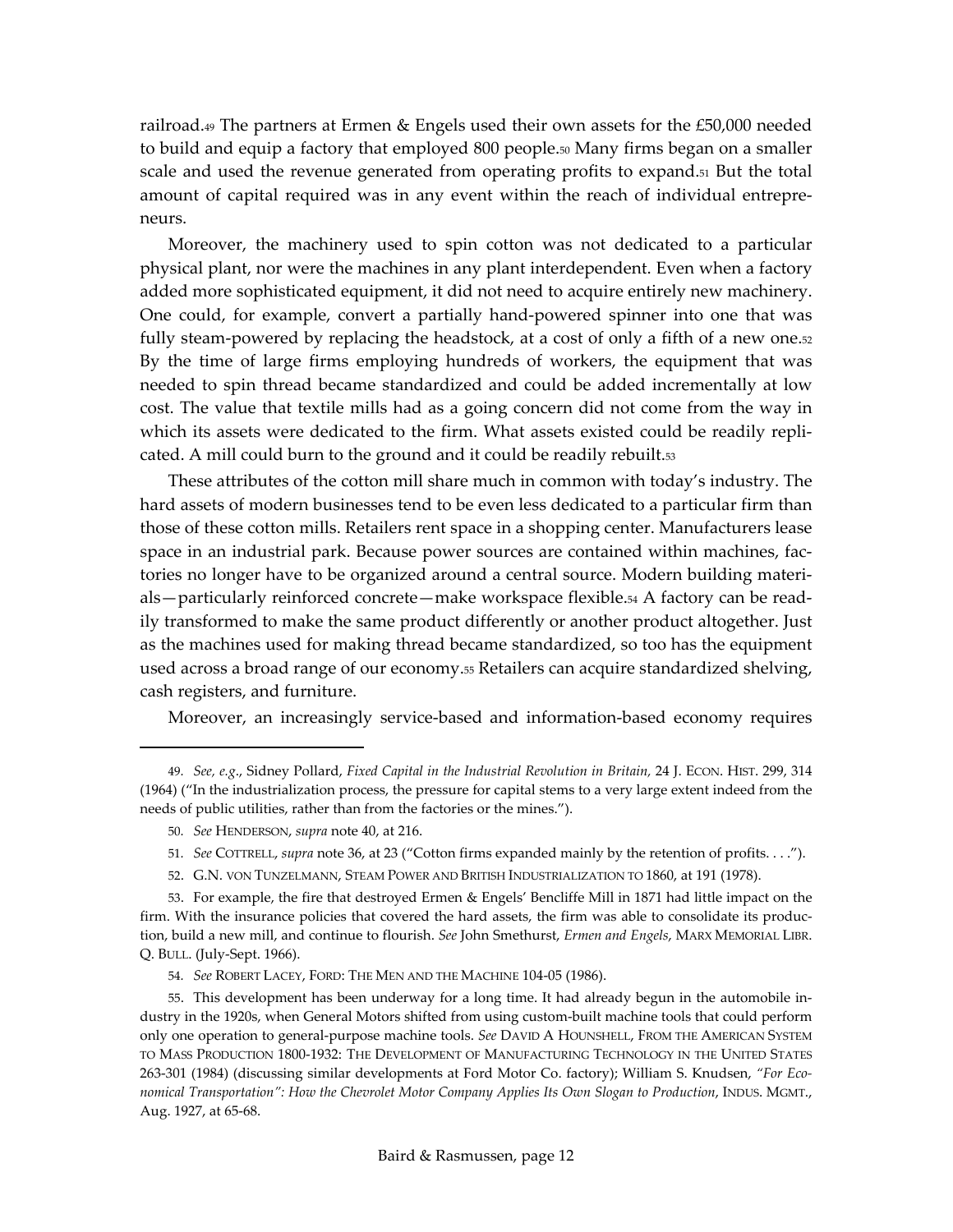railroad[.49](#page-12-0) The partners at Ermen & Engels used their own assets for the  $£50,000$  needed to build and equip a factory that employed 800 people.[50 M](#page-12-1)any firms began on a smaller scale and used the revenue generated from operating profits to expand.[51](#page-12-2) But the total amount of capital required was in any event within the reach of individual entrepreneurs.

Moreover, the machinery used to spin cotton was not dedicated to a particular physical plant, nor were the machines in any plant interdependent. Even when a factory added more sophisticated equipment, it did not need to acquire entirely new machinery. One could, for example, convert a partially hand-powered spinner into one that was fully steam-powered by replacing the headstock, at a cost of only a fifth of a new one. $52$ By the time of large firms employing hundreds of workers, the equipment that was needed to spin thread became standardized and could be added incrementally at low cost. The value that textile mills had as a going concern did not come from the way in which its assets were dedicated to the firm. What assets existed could be readily replicated. A mill could burn to the ground and it could be readily rebuilt.[53](#page-12-4) 

These attributes of the cotton mill share much in common with today's industry. The hard assets of modern businesses tend to be even less dedicated to a particular firm than those of these cotton mills. Retailers rent space in a shopping center. Manufacturers lease space in an industrial park. Because power sources are contained within machines, factories no longer have to be organized around a central source. Modern building materials—particularly reinforced concrete—make workspace flexible.[54](#page-12-5) A factory can be readily transformed to make the same product differently or another product altogether. Just as the machines used for making thread became standardized, so too has the equipment used across a broad range of our economy.[55 R](#page-12-6)etailers can acquire standardized shelving, cash registers, and furniture.

Moreover, an increasingly service-based and information-based economy requires

- <span id="page-12-2"></span>51*. See* COTTRELL, *supra* note 36, at 23 ("Cotton firms expanded mainly by the retention of profits. . . .").
- 52. G.N. VON TUNZELMANN, STEAM POWER AND BRITISH INDUSTRIALIZATION TO 1860, at 191 (1978).

<span id="page-12-0"></span><sup>49</sup>*. See, e.g*., Sidney Pollard, *Fixed Capital in the Industrial Revolution in Britain,* 24 J. ECON. HIST. 299, 314 (1964) ("In the industrialization process, the pressure for capital stems to a very large extent indeed from the needs of public utilities, rather than from the factories or the mines.").

<span id="page-12-1"></span><sup>50</sup>*. See* HENDERSON, *supra* note 40, at 216.

<span id="page-12-4"></span><span id="page-12-3"></span><sup>53.</sup> For example, the fire that destroyed Ermen & Engels' Bencliffe Mill in 1871 had little impact on the firm. With the insurance policies that covered the hard assets, the firm was able to consolidate its production, build a new mill, and continue to flourish. *See* John Smethurst, *Ermen and Engels*, MARX MEMORIAL LIBR. Q. BULL. (July-Sept. 1966).

<sup>54</sup>*. See* ROBERT LACEY, FORD: THE MEN AND THE MACHINE 104-05 (1986).

<span id="page-12-6"></span><span id="page-12-5"></span><sup>55.</sup> This development has been underway for a long time. It had already begun in the automobile industry in the 1920s, when General Motors shifted from using custom-built machine tools that could perform only one operation to general-purpose machine tools. *See* DAVID A HOUNSHELL, FROM THE AMERICAN SYSTEM TO MASS PRODUCTION 1800-1932: THE DEVELOPMENT OF MANUFACTURING TECHNOLOGY IN THE UNITED STATES 263-301 (1984) (discussing similar developments at Ford Motor Co. factory); William S. Knudsen, *"For Economical Transportation": How the Chevrolet Motor Company Applies Its Own Slogan to Production*, INDUS. MGMT., Aug. 1927, at 65-68.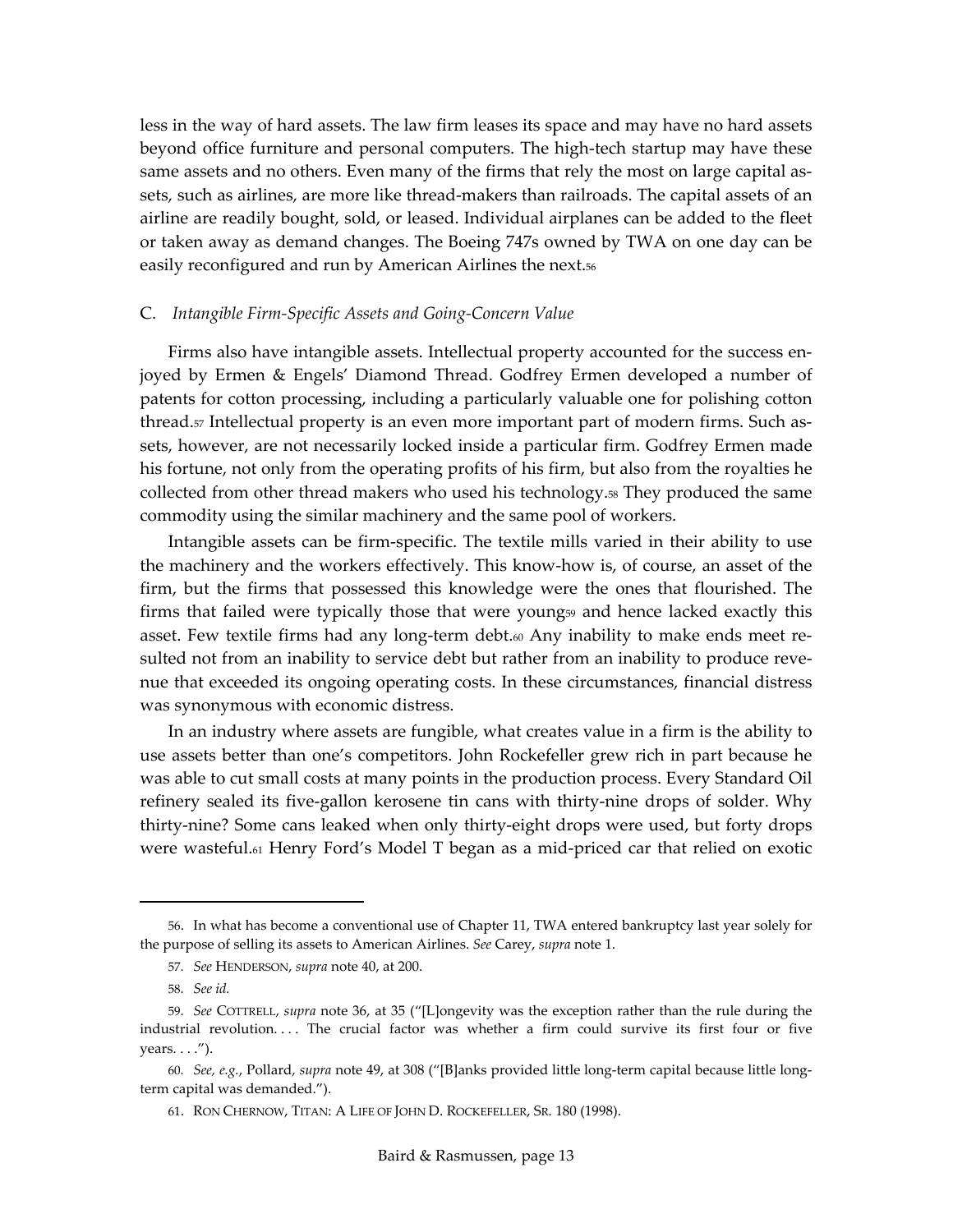less in the way of hard assets. The law firm leases its space and may have no hard assets beyond office furniture and personal computers. The high-tech startup may have these same assets and no others. Even many of the firms that rely the most on large capital assets, such as airlines, are more like thread-makers than railroads. The capital assets of an airline are readily bought, sold, or leased. Individual airplanes can be added to the fleet or taken away as demand changes. The Boeing 747s owned by TWA on one day can be easily reconfigured and run by American Airlines the next.[56](#page-13-0)

#### C. *Intangible Firm-Specific Assets and Going-Concern Value*

Firms also have intangible assets. Intellectual property accounted for the success enjoyed by Ermen & Engels' Diamond Thread. Godfrey Ermen developed a number of patents for cotton processing, including a particularly valuable one for polishing cotton thread.[57](#page-13-1) Intellectual property is an even more important part of modern firms. Such assets, however, are not necessarily locked inside a particular firm. Godfrey Ermen made his fortune, not only from the operating profits of his firm, but also from the royalties he collected from other thread makers who used his technology.[58](#page-13-2) They produced the same commodity using the similar machinery and the same pool of workers.

Intangible assets can be firm-specific. The textile mills varied in their ability to use the machinery and the workers effectively. This know-how is, of course, an asset of the firm, but the firms that possessed this knowledge were the ones that flourished. The firms that failed were typically those that were young<sub>59</sub> and hence lacked exactly this asset. Few textile firms had any long-term debt.[60](#page-13-4) Any inability to make ends meet resulted not from an inability to service debt but rather from an inability to produce revenue that exceeded its ongoing operating costs. In these circumstances, financial distress was synonymous with economic distress.

In an industry where assets are fungible, what creates value in a firm is the ability to use assets better than one's competitors. John Rockefeller grew rich in part because he was able to cut small costs at many points in the production process. Every Standard Oil refinery sealed its five-gallon kerosene tin cans with thirty-nine drops of solder. Why thirty-nine? Some cans leaked when only thirty-eight drops were used, but forty drops were wasteful.[61](#page-13-5) Henry Ford's Model T began as a mid-priced car that relied on exotic

<span id="page-13-0"></span><sup>56.</sup> In what has become a conventional use of Chapter 11, TWA entered bankruptcy last year solely for the purpose of selling its assets to American Airlines. *See* Carey, *supra* note 1.

<span id="page-13-1"></span><sup>57</sup>*. See* HENDERSON, *supra* note 40, at 200.

<sup>58</sup>*. See id.*

<span id="page-13-3"></span><span id="page-13-2"></span><sup>59</sup>*. See* COTTRELL, *supra* note 36, at 35 ("[L]ongevity was the exception rather than the rule during the industrial revolution. . . . The crucial factor was whether a firm could survive its first four or five years. . . .").

<span id="page-13-4"></span><sup>60</sup>*. See, e.g.*, Pollard, *supra* note 49, at 308 ("[B]anks provided little long-term capital because little longterm capital was demanded.").

<span id="page-13-5"></span><sup>61.</sup> RON CHERNOW, TITAN: A LIFE OF JOHN D. ROCKEFELLER, SR. 180 (1998).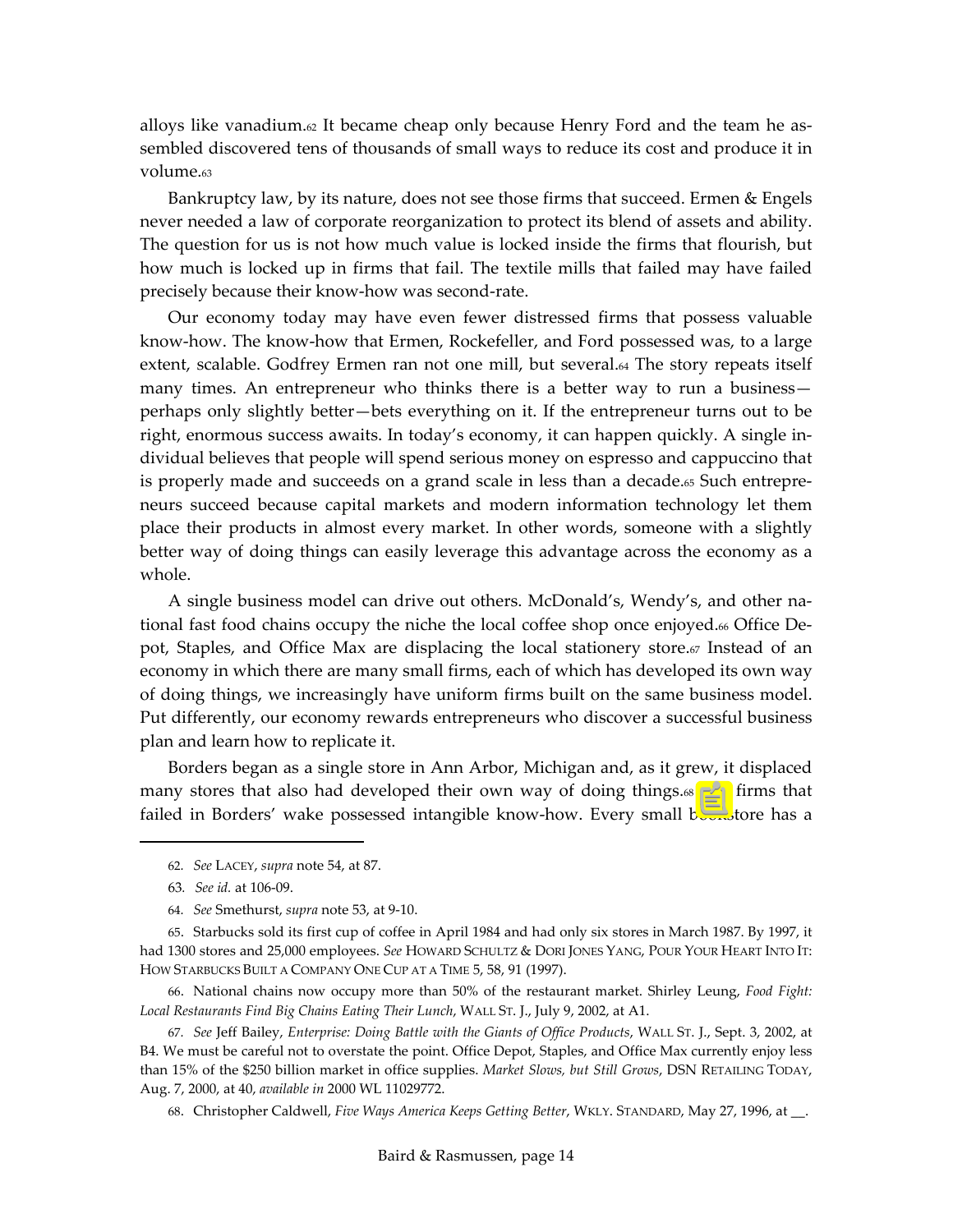alloys like vanadium[.62](#page-14-0) It became cheap only because Henry Ford and the team he assembled discovered tens of thousands of small ways to reduce its cost and produce it in volume.[63](#page-14-1)

Bankruptcy law, by its nature, does not see those firms that succeed. Ermen & Engels never needed a law of corporate reorganization to protect its blend of assets and ability. The question for us is not how much value is locked inside the firms that flourish, but how much is locked up in firms that fail. The textile mills that failed may have failed precisely because their know-how was second-rate.

Our economy today may have even fewer distressed firms that possess valuable know-how. The know-how that Ermen, Rockefeller, and Ford possessed was, to a large extent, scalable. Godfrey Ermen ran not one mill, but several.[64](#page-14-2) The story repeats itself many times. An entrepreneur who thinks there is a better way to run a business perhaps only slightly better—bets everything on it. If the entrepreneur turns out to be right, enormous success awaits. In today's economy, it can happen quickly. A single individual believes that people will spend serious money on espresso and cappuccino that is properly made and succeeds on a grand scale in less than a decade.[65](#page-14-3) Such entrepreneurs succeed because capital markets and modern information technology let them place their products in almost every market. In other words, someone with a slightly better way of doing things can easily leverage this advantage across the economy as a whole.

A single business model can drive out others. McDonald's, Wendy's, and other national fast food chains occupy the niche the local coffee shop once enjoyed.[66 O](#page-14-4)ffice De-pot, Staples, and Office Max are displacing the local stationery store.[67](#page-14-5) Instead of an economy in which there are many small firms, each of which has developed its own way of doing things, we increasingly have uniform firms built on the same business model. Put differently, our economy rewards entrepreneurs who discover a successful business plan and learn how to replicate it.

Borders began as a single store in Ann Arbor, Michigan and, as it grew, it displaced many stores that also had developed their own way of doing things.[68](#page-14-6) The firms that failed in Borders' wake possessed intangible know-how. Every small bookstore has a

<span id="page-14-0"></span>l

<span id="page-14-4"></span>66. National chains now occupy more than 50% of the restaurant market. Shirley Leung, *Food Fight: Local Restaurants Find Big Chains Eating Their Lunch*, WALL ST. J., July 9, 2002, at A1.

<span id="page-14-5"></span>67*. See* Jeff Bailey, *Enterprise: Doing Battle with the Giants of Office Products*, WALL ST. J., Sept. 3, 2002, at B4. We must be careful not to overstate the point. Office Depot, Staples, and Office Max currently enjoy less than 15% of the \$250 billion market in office supplies. *Market Slows, but Still Grows*, DSN RETAILING TODAY, Aug. 7, 2000, at 40, *available in* 2000 WL 11029772.

<sup>62</sup>*. See* LACEY, *supra* note 54, at 87.

<span id="page-14-1"></span><sup>63</sup>*. See id.* at 106-09.

<sup>64</sup>*. See* Smethurst, *supra* note 53, at 9-10.

<span id="page-14-3"></span><span id="page-14-2"></span><sup>65.</sup> Starbucks sold its first cup of coffee in April 1984 and had only six stores in March 1987. By 1997, it had 1300 stores and 25,000 employees. *See* HOWARD SCHULTZ & DORI JONES YANG, POUR YOUR HEART INTO IT: HOW STARBUCKS BUILT A COMPANY ONE CUP AT A TIME 5, 58, 91 (1997).

<span id="page-14-6"></span><sup>68.</sup> Christopher Caldwell, *Five Ways America Keeps Getting Better*, WKLY. STANDARD, May 27, 1996, at \_\_.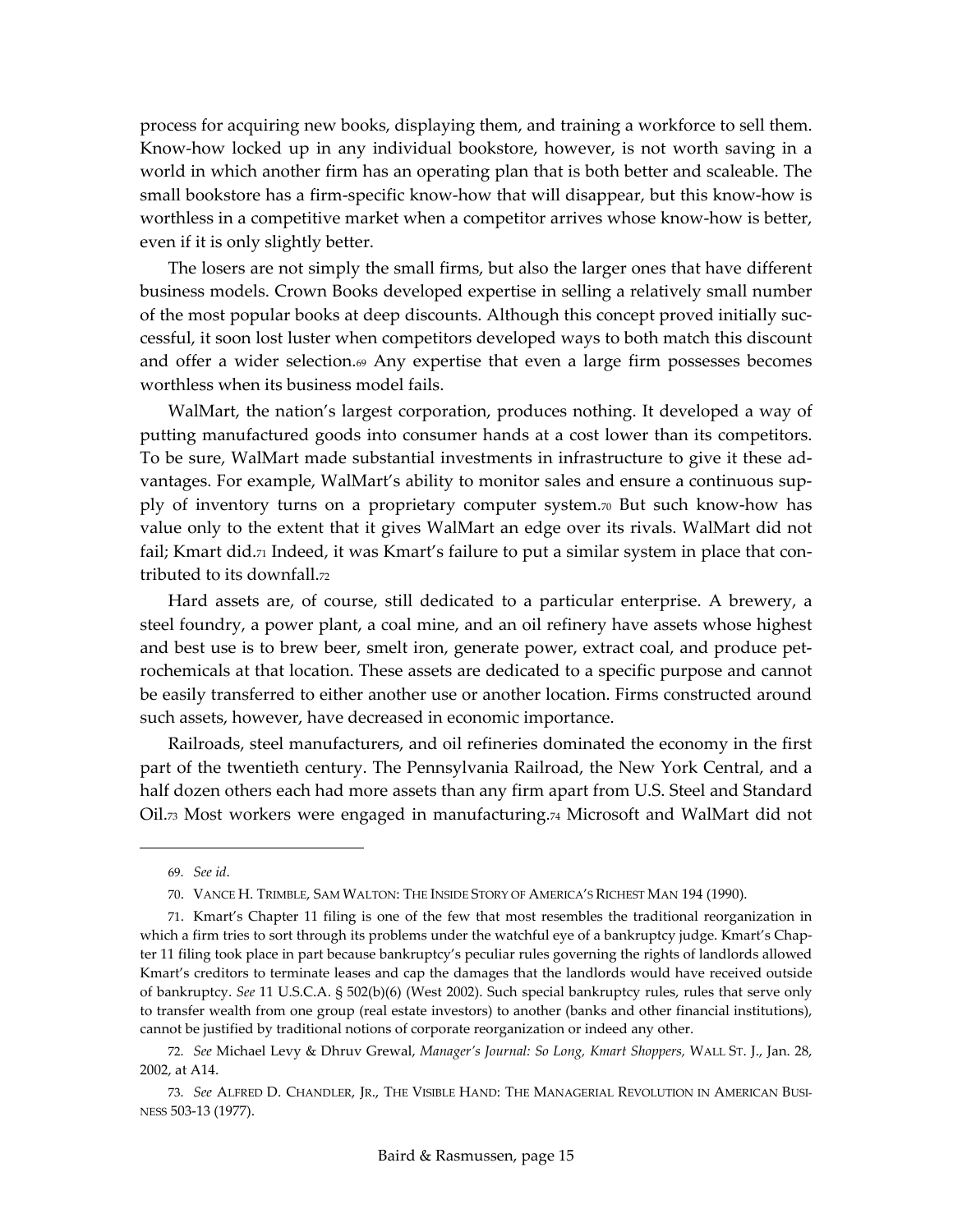process for acquiring new books, displaying them, and training a workforce to sell them. Know-how locked up in any individual bookstore, however, is not worth saving in a world in which another firm has an operating plan that is both better and scaleable. The small bookstore has a firm-specific know-how that will disappear, but this know-how is worthless in a competitive market when a competitor arrives whose know-how is better, even if it is only slightly better.

The losers are not simply the small firms, but also the larger ones that have different business models. Crown Books developed expertise in selling a relatively small number of the most popular books at deep discounts. Although this concept proved initially successful, it soon lost luster when competitors developed ways to both match this discount and offer a wider selection. $\omega$  Any expertise that even a large firm possesses becomes worthless when its business model fails.

WalMart, the nation's largest corporation, produces nothing. It developed a way of putting manufactured goods into consumer hands at a cost lower than its competitors. To be sure, WalMart made substantial investments in infrastructure to give it these advantages. For example, WalMart's ability to monitor sales and ensure a continuous supply of inventory turns on a proprietary computer system[.70](#page-15-1) But such know-how has value only to the extent that it gives WalMart an edge over its rivals. WalMart did not fail; Kmart did.[71 I](#page-15-2)ndeed, it was Kmart's failure to put a similar system in place that contributed to its downfall.[72](#page-15-3)

<span id="page-15-5"></span>Hard assets are, of course, still dedicated to a particular enterprise. A brewery, a steel foundry, a power plant, a coal mine, and an oil refinery have assets whose highest and best use is to brew beer, smelt iron, generate power, extract coal, and produce petrochemicals at that location. These assets are dedicated to a specific purpose and cannot be easily transferred to either another use or another location. Firms constructed around such assets, however, have decreased in economic importance.

Railroads, steel manufacturers, and oil refineries dominated the economy in the first part of the twentieth century. The Pennsylvania Railroad, the New York Central, and a half dozen others each had more assets than any firm apart from U.S. Steel and Standard Oil.[73](#page-15-4) Most workers were engaged in manufacturing.[74](#page-15-5) Microsoft and WalMart did not

<span id="page-15-0"></span><sup>69</sup>*. See id*.

<sup>70.</sup> VANCE H. TRIMBLE, SAM WALTON: THE INSIDE STORY OF AMERICA'S RICHEST MAN 194 (1990).

<span id="page-15-2"></span><span id="page-15-1"></span><sup>71.</sup> Kmart's Chapter 11 filing is one of the few that most resembles the traditional reorganization in which a firm tries to sort through its problems under the watchful eye of a bankruptcy judge. Kmart's Chapter 11 filing took place in part because bankruptcy's peculiar rules governing the rights of landlords allowed Kmart's creditors to terminate leases and cap the damages that the landlords would have received outside of bankruptcy. *See* 11 U.S.C.A. § 502(b)(6) (West 2002). Such special bankruptcy rules, rules that serve only to transfer wealth from one group (real estate investors) to another (banks and other financial institutions), cannot be justified by traditional notions of corporate reorganization or indeed any other.

<span id="page-15-3"></span><sup>72</sup>*. See* Michael Levy & Dhruv Grewal, *Manager's Journal: So Long, Kmart Shoppers,* WALL ST. J., Jan. 28, 2002, at A14.

<span id="page-15-4"></span><sup>73</sup>*. See* ALFRED D. CHANDLER, JR., THE VISIBLE HAND: THE MANAGERIAL REVOLUTION IN AMERICAN BUSI-NESS 503-13 (1977).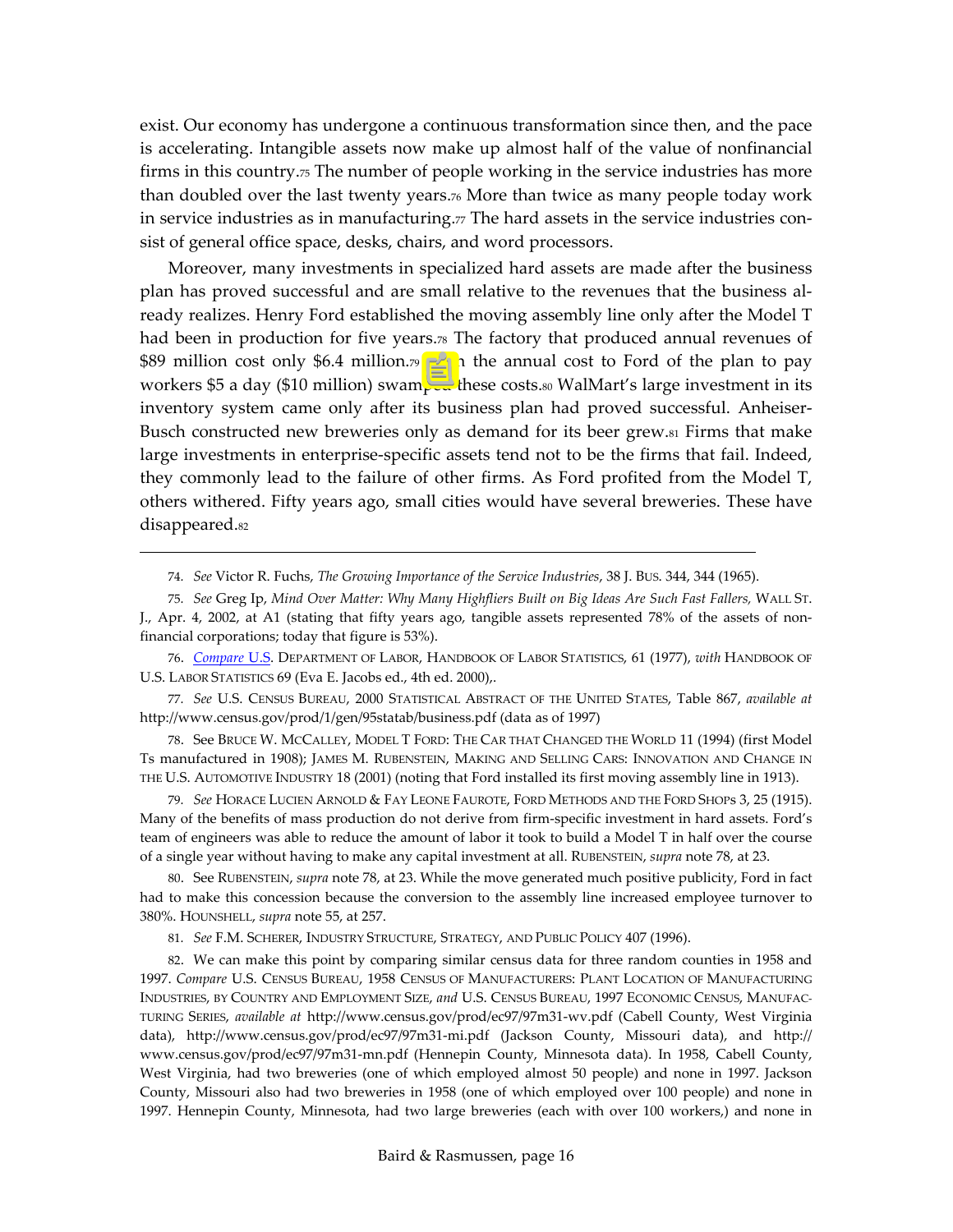<span id="page-16-7"></span>exist. Our economy has undergone a continuous transformation since then, and the pace is accelerating. Intangible assets now make up almost half of the value of nonfinancial firms in this country.[75](#page-16-0) The number of people working in the service industries has more than doubled over the last twenty years[.76](#page-16-1) More than twice as many people today work in service industries as in manufacturing. $\pi$  The hard assets in the service industries consist of general office space, desks, chairs, and word processors.

Moreover, many investments in specialized hard assets are made after the business plan has proved successful and are small relative to the revenues that the business already realizes. Henry Ford established the moving assembly line only after the Model T had been in production for five years[.78](#page-16-3) The factory that produced annual revenues of \$89 million cost only \$6.4 million.<sub>79</sub> Even the annual cost to Ford of the plan to pay workers \$5 a day (\$10 million) swamped these costs.<sup>80</sup> WalMart's large investment in its inventory system came only after its business plan had proved successful. Anheiser-Busch constructed new breweries only as demand for its beer grew.[81](#page-16-6) Firms that make large investments in enterprise-specific assets tend not to be the firms that fail. Indeed, they commonly lead to the failure of other firms. As Ford profited from the Model T, others withered. Fifty years ago, small cities would have several breweries. These have disappeared[.82](#page-16-7)

74*. See* Victor R. Fuchs, *The Growing Importance of the Service Industries*, 38 J. BUS. 344, 344 (1965).

l

<span id="page-16-1"></span>76. *Compare* U.S. DEPARTMENT OF LABOR, HANDBOOK OF LABOR STATISTICS, 61 (1977), *with* HANDBOOK OF U.S. LABOR STATISTICS 69 (Eva E. Jacobs ed., 4th ed. 2000),.

<span id="page-16-2"></span>77*. See* U.S. CENSUS BUREAU, 2000 STATISTICAL ABSTRACT OF THE UNITED STATES, Table 867, *available at* http://www.census.gov/prod/1/gen/95statab/business.pdf (data as of 1997)

<span id="page-16-3"></span>78. See BRUCE W. MCCALLEY, MODEL T FORD: THE CAR THAT CHANGED THE WORLD 11 (1994) (first Model Ts manufactured in 1908); JAMES M. RUBENSTEIN, MAKING AND SELLING CARS: INNOVATION AND CHANGE IN THE U.S. AUTOMOTIVE INDUSTRY 18 (2001) (noting that Ford installed its first moving assembly line in 1913).

<span id="page-16-4"></span>79*. See* HORACE LUCIEN ARNOLD & FAY LEONE FAUROTE, FORD METHODS AND THE FORD SHOPs 3, 25 (1915). Many of the benefits of mass production do not derive from firm-specific investment in hard assets. Ford's team of engineers was able to reduce the amount of labor it took to build a Model T in half over the course of a single year without having to make any capital investment at all. RUBENSTEIN, *supra* note 78, at 23.

<span id="page-16-5"></span>80. See RUBENSTEIN, *supra* note 78, at 23. While the move generated much positive publicity, Ford in fact had to make this concession because the conversion to the assembly line increased employee turnover to 380%. HOUNSHELL, *supra* note 55, at 257.

81*. See* F.M. SCHERER, INDUSTRY STRUCTURE, STRATEGY, AND PUBLIC POLICY 407 (1996).

<span id="page-16-6"></span>82. We can make this point by comparing similar census data for three random counties in 1958 and 1997. *Compare* U.S. CENSUS BUREAU, 1958 CENSUS OF MANUFACTURERS: PLANT LOCATION OF MANUFACTURING INDUSTRIES, BY COUNTRY AND EMPLOYMENT SIZE, *and* U.S. CENSUS BUREAU, 1997 ECONOMIC CENSUS, MANUFAC-TURING SERIES, *available at* http://www.census.gov/prod/ec97/97m31-wv.pdf (Cabell County, West Virginia data), http://www.census.gov/prod/ec97/97m31-mi.pdf (Jackson County, Missouri data), and http:// www.census.gov/prod/ec97/97m31-mn.pdf (Hennepin County, Minnesota data). In 1958, Cabell County, West Virginia, had two breweries (one of which employed almost 50 people) and none in 1997. Jackson County, Missouri also had two breweries in 1958 (one of which employed over 100 people) and none in 1997. Hennepin County, Minnesota, had two large breweries (each with over 100 workers,) and none in

<span id="page-16-0"></span><sup>75</sup>*. See* Greg Ip, *Mind Over Matter: Why Many Highfliers Built on Big Ideas Are Such Fast Fallers,* WALL ST. J., Apr. 4, 2002, at A1 (stating that fifty years ago, tangible assets represented 78% of the assets of nonfinancial corporations; today that figure is 53%).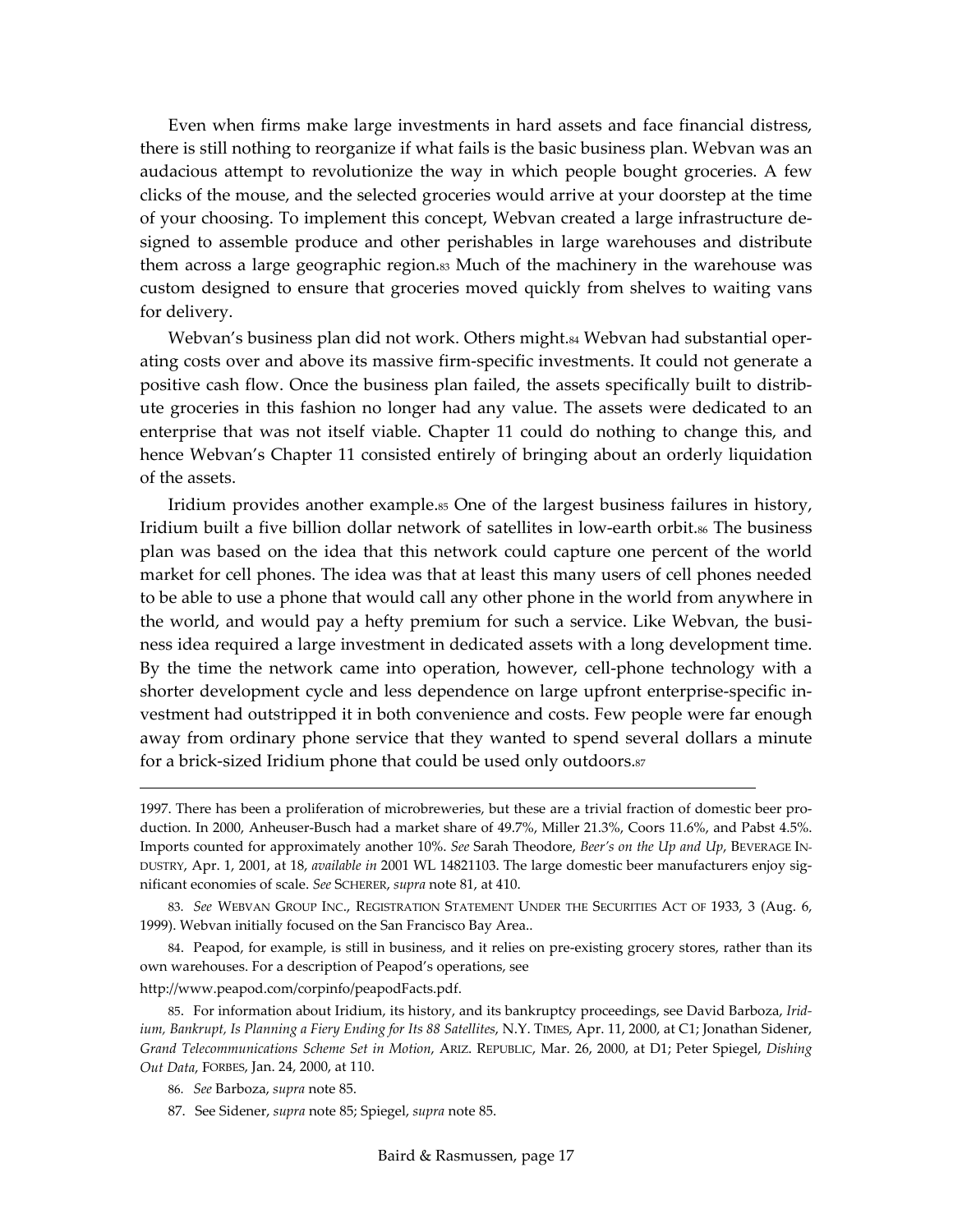Even when firms make large investments in hard assets and face financial distress, there is still nothing to reorganize if what fails is the basic business plan. Webvan was an audacious attempt to revolutionize the way in which people bought groceries. A few clicks of the mouse, and the selected groceries would arrive at your doorstep at the time of your choosing. To implement this concept, Webvan created a large infrastructure designed to assemble produce and other perishables in large warehouses and distribute them across a large geographic region.[83](#page-17-0) Much of the machinery in the warehouse was custom designed to ensure that groceries moved quickly from shelves to waiting vans for delivery.

Webvan's business plan did not work. Others might.[84 W](#page-17-1)ebvan had substantial operating costs over and above its massive firm-specific investments. It could not generate a positive cash flow. Once the business plan failed, the assets specifically built to distribute groceries in this fashion no longer had any value. The assets were dedicated to an enterprise that was not itself viable. Chapter 11 could do nothing to change this, and hence Webvan's Chapter 11 consisted entirely of bringing about an orderly liquidation of the assets.

Iridium provides another example.[85](#page-17-2) One of the largest business failures in history, Iridium built a five billion dollar network of satellites in low-earth orbit.[86](#page-17-3) The business plan was based on the idea that this network could capture one percent of the world market for cell phones. The idea was that at least this many users of cell phones needed to be able to use a phone that would call any other phone in the world from anywhere in the world, and would pay a hefty premium for such a service. Like Webvan, the business idea required a large investment in dedicated assets with a long development time. By the time the network came into operation, however, cell-phone technology with a shorter development cycle and less dependence on large upfront enterprise-specific investment had outstripped it in both convenience and costs. Few people were far enough away from ordinary phone service that they wanted to spend several dollars a minute for a brick-sized Iridium phone that could be used only outdoors.[87](#page-17-4)

http://www.peapod.com/corpinfo/peapodFacts.pdf.

<sup>1997.</sup> There has been a proliferation of microbreweries, but these are a trivial fraction of domestic beer production. In 2000, Anheuser-Busch had a market share of 49.7%, Miller 21.3%, Coors 11.6%, and Pabst 4.5%. Imports counted for approximately another 10%. *See* Sarah Theodore, *Beer's on the Up and Up*, BEVERAGE IN-DUSTRY, Apr. 1, 2001, at 18, *available in* 2001 WL 14821103. The large domestic beer manufacturers enjoy significant economies of scale. *See* SCHERER, *supra* note 81, at 410.

<span id="page-17-0"></span><sup>83</sup>*. See* WEBVAN GROUP INC., REGISTRATION STATEMENT UNDER THE SECURITIES ACT OF 1933, 3 (Aug. 6, 1999). Webvan initially focused on the San Francisco Bay Area..

<span id="page-17-1"></span><sup>84.</sup> Peapod, for example, is still in business, and it relies on pre-existing grocery stores, rather than its own warehouses. For a description of Peapod's operations, see

<span id="page-17-2"></span><sup>85.</sup> For information about Iridium, its history, and its bankruptcy proceedings, see David Barboza, *Iridium, Bankrupt, Is Planning a Fiery Ending for Its 88 Satellites*, N.Y. TIMES, Apr. 11, 2000, at C1; Jonathan Sidener, *Grand Telecommunications Scheme Set in Motion*, ARIZ. REPUBLIC, Mar. 26, 2000, at D1; Peter Spiegel, *Dishing Out Data*, FORBES, Jan. 24, 2000, at 110.

<span id="page-17-3"></span><sup>86</sup>*. See* Barboza, *supra* note 85.

<span id="page-17-4"></span><sup>87.</sup> See Sidener, *supra* note 85; Spiegel, *supra* note 85.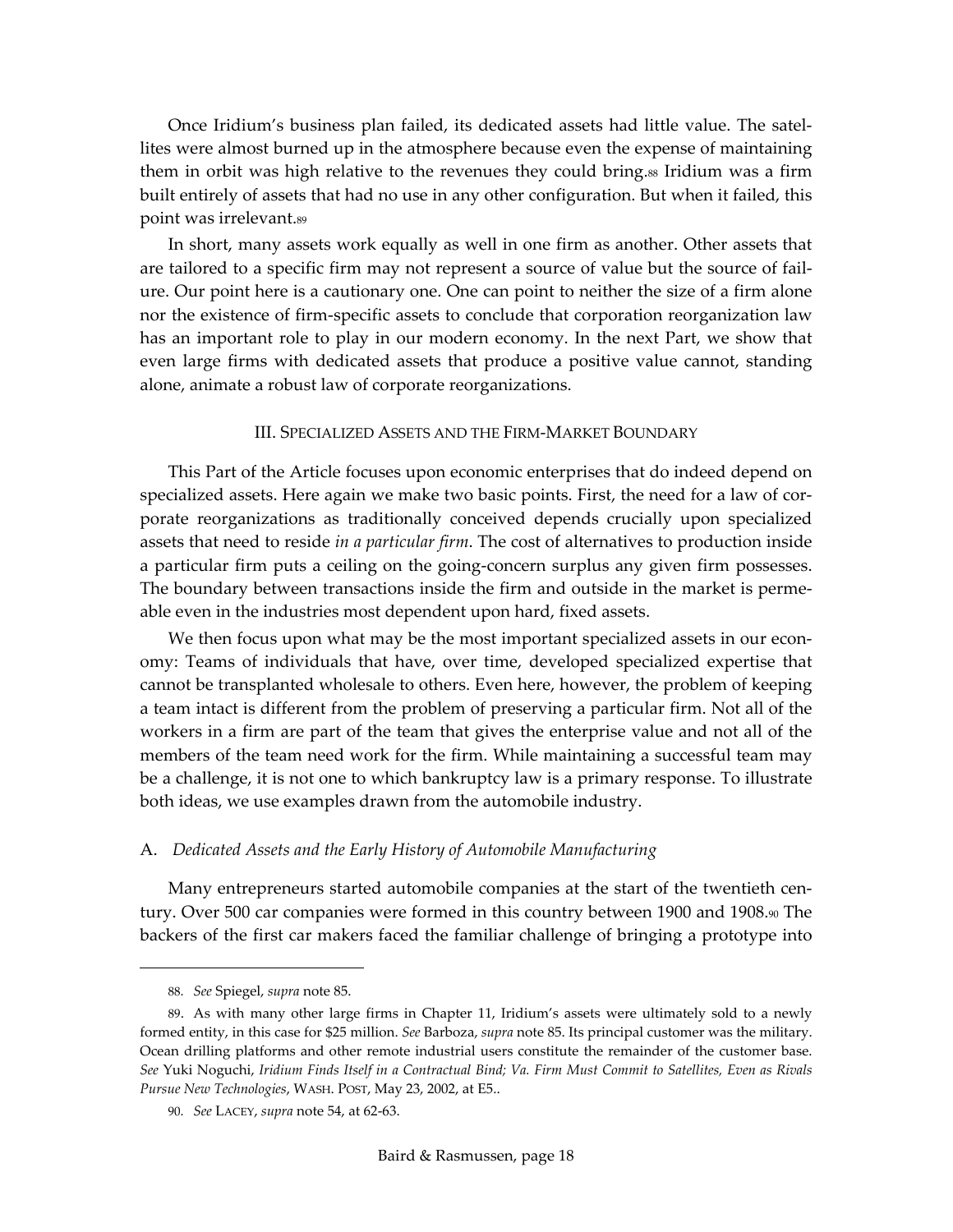Once Iridium's business plan failed, its dedicated assets had little value. The satellites were almost burned up in the atmosphere because even the expense of maintaining them in orbit was high relative to the revenues they could bring[.88](#page-18-0) Iridium was a firm built entirely of assets that had no use in any other configuration. But when it failed, this point was irrelevant.[89](#page-18-1)

In short, many assets work equally as well in one firm as another. Other assets that are tailored to a specific firm may not represent a source of value but the source of failure. Our point here is a cautionary one. One can point to neither the size of a firm alone nor the existence of firm-specific assets to conclude that corporation reorganization law has an important role to play in our modern economy. In the next Part, we show that even large firms with dedicated assets that produce a positive value cannot, standing alone, animate a robust law of corporate reorganizations.

#### III. SPECIALIZED ASSETS AND THE FIRM-MARKET BOUNDARY

This Part of the Article focuses upon economic enterprises that do indeed depend on specialized assets. Here again we make two basic points. First, the need for a law of corporate reorganizations as traditionally conceived depends crucially upon specialized assets that need to reside *in a particular firm*. The cost of alternatives to production inside a particular firm puts a ceiling on the going-concern surplus any given firm possesses. The boundary between transactions inside the firm and outside in the market is permeable even in the industries most dependent upon hard, fixed assets.

We then focus upon what may be the most important specialized assets in our economy: Teams of individuals that have, over time, developed specialized expertise that cannot be transplanted wholesale to others. Even here, however, the problem of keeping a team intact is different from the problem of preserving a particular firm. Not all of the workers in a firm are part of the team that gives the enterprise value and not all of the members of the team need work for the firm. While maintaining a successful team may be a challenge, it is not one to which bankruptcy law is a primary response. To illustrate both ideas, we use examples drawn from the automobile industry.

#### A. *Dedicated Assets and the Early History of Automobile Manufacturing*

Many entrepreneurs started automobile companies at the start of the twentieth century. Over 500 car companies were formed in this country between 1900 and 1908[.90 T](#page-18-2)he backers of the first car makers faced the familiar challenge of bringing a prototype into

<sup>88</sup>*. See* Spiegel, *supra* note 85.

<span id="page-18-1"></span><span id="page-18-0"></span><sup>89.</sup> As with many other large firms in Chapter 11, Iridium's assets were ultimately sold to a newly formed entity, in this case for \$25 million. *See* Barboza, *supra* note 85. Its principal customer was the military. Ocean drilling platforms and other remote industrial users constitute the remainder of the customer base. *See* Yuki Noguchi, *Iridium Finds Itself in a Contractual Bind; Va. Firm Must Commit to Satellites, Even as Rivals Pursue New Technologies*, WASH. POST, May 23, 2002, at E5..

<span id="page-18-2"></span><sup>90</sup>*. See* LACEY, *supra* note 54, at 62-63.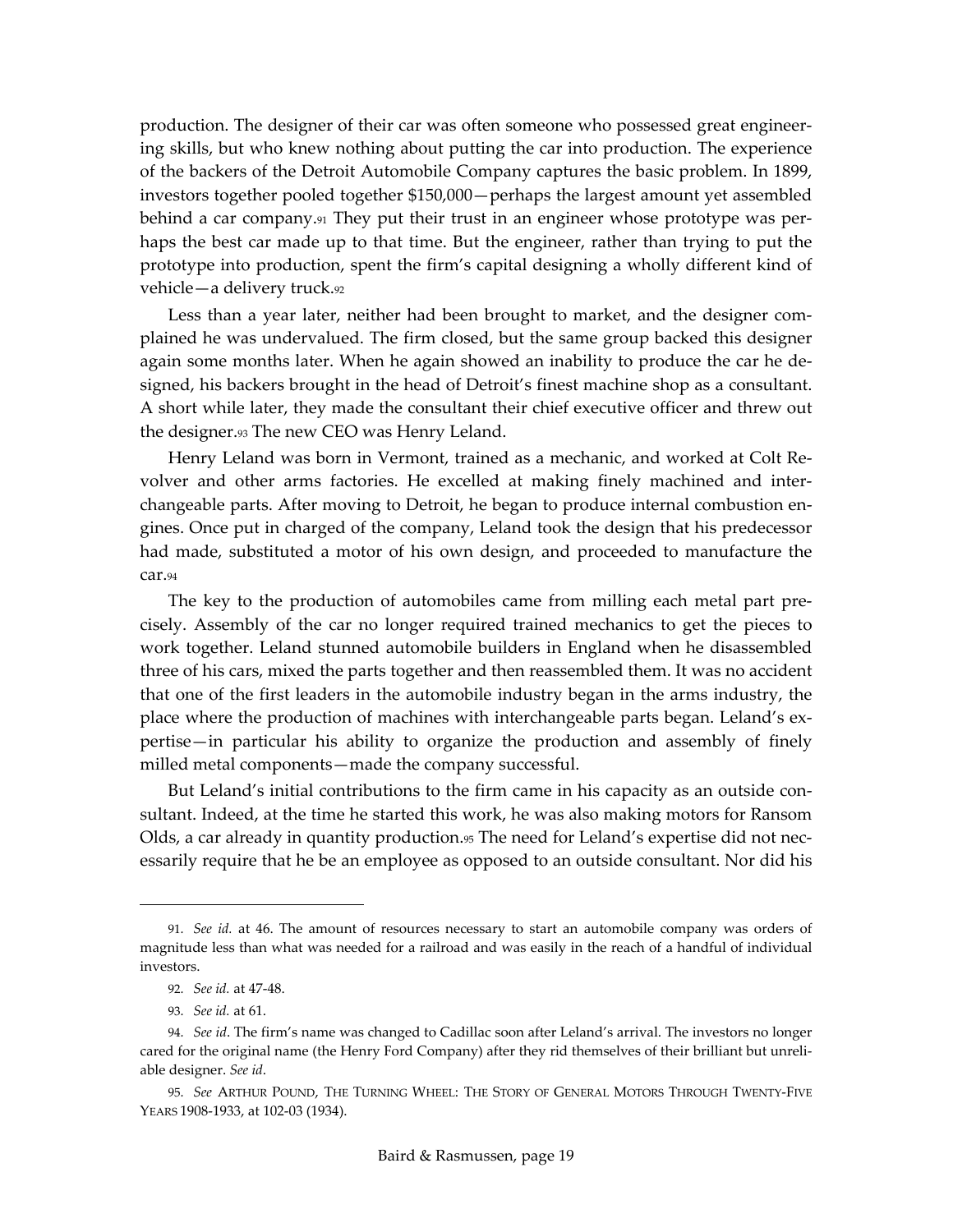production. The designer of their car was often someone who possessed great engineering skills, but who knew nothing about putting the car into production. The experience of the backers of the Detroit Automobile Company captures the basic problem. In 1899, investors together pooled together \$150,000—perhaps the largest amount yet assembled behind a car company.[91](#page-19-0) They put their trust in an engineer whose prototype was perhaps the best car made up to that time. But the engineer, rather than trying to put the prototype into production, spent the firm's capital designing a wholly different kind of vehicle—a delivery truck.[92](#page-19-1)

Less than a year later, neither had been brought to market, and the designer complained he was undervalued. The firm closed, but the same group backed this designer again some months later. When he again showed an inability to produce the car he designed, his backers brought in the head of Detroit's finest machine shop as a consultant. A short while later, they made the consultant their chief executive officer and threw out the designer.[93 T](#page-19-2)he new CEO was Henry Leland.

Henry Leland was born in Vermont, trained as a mechanic, and worked at Colt Revolver and other arms factories. He excelled at making finely machined and interchangeable parts. After moving to Detroit, he began to produce internal combustion engines. Once put in charged of the company, Leland took the design that his predecessor had made, substituted a motor of his own design, and proceeded to manufacture the car[.94](#page-19-3)

The key to the production of automobiles came from milling each metal part precisely. Assembly of the car no longer required trained mechanics to get the pieces to work together. Leland stunned automobile builders in England when he disassembled three of his cars, mixed the parts together and then reassembled them. It was no accident that one of the first leaders in the automobile industry began in the arms industry, the place where the production of machines with interchangeable parts began. Leland's expertise—in particular his ability to organize the production and assembly of finely milled metal components—made the company successful.

But Leland's initial contributions to the firm came in his capacity as an outside consultant. Indeed, at the time he started this work, he was also making motors for Ransom Olds, a car already in quantity production.[95 T](#page-19-4)he need for Leland's expertise did not necessarily require that he be an employee as opposed to an outside consultant. Nor did his

<span id="page-19-0"></span><sup>91</sup>*. See id.* at 46. The amount of resources necessary to start an automobile company was orders of magnitude less than what was needed for a railroad and was easily in the reach of a handful of individual investors.

<span id="page-19-1"></span><sup>92</sup>*. See id.* at 47-48.

<sup>93</sup>*. See id.* at 61.

<span id="page-19-3"></span><span id="page-19-2"></span><sup>94</sup>*. See id*. The firm's name was changed to Cadillac soon after Leland's arrival. The investors no longer cared for the original name (the Henry Ford Company) after they rid themselves of their brilliant but unreliable designer. *See id*.

<span id="page-19-4"></span><sup>95</sup>*. See* ARTHUR POUND, THE TURNING WHEEL: THE STORY OF GENERAL MOTORS THROUGH TWENTY-FIVE YEARS 1908-1933, at 102-03 (1934).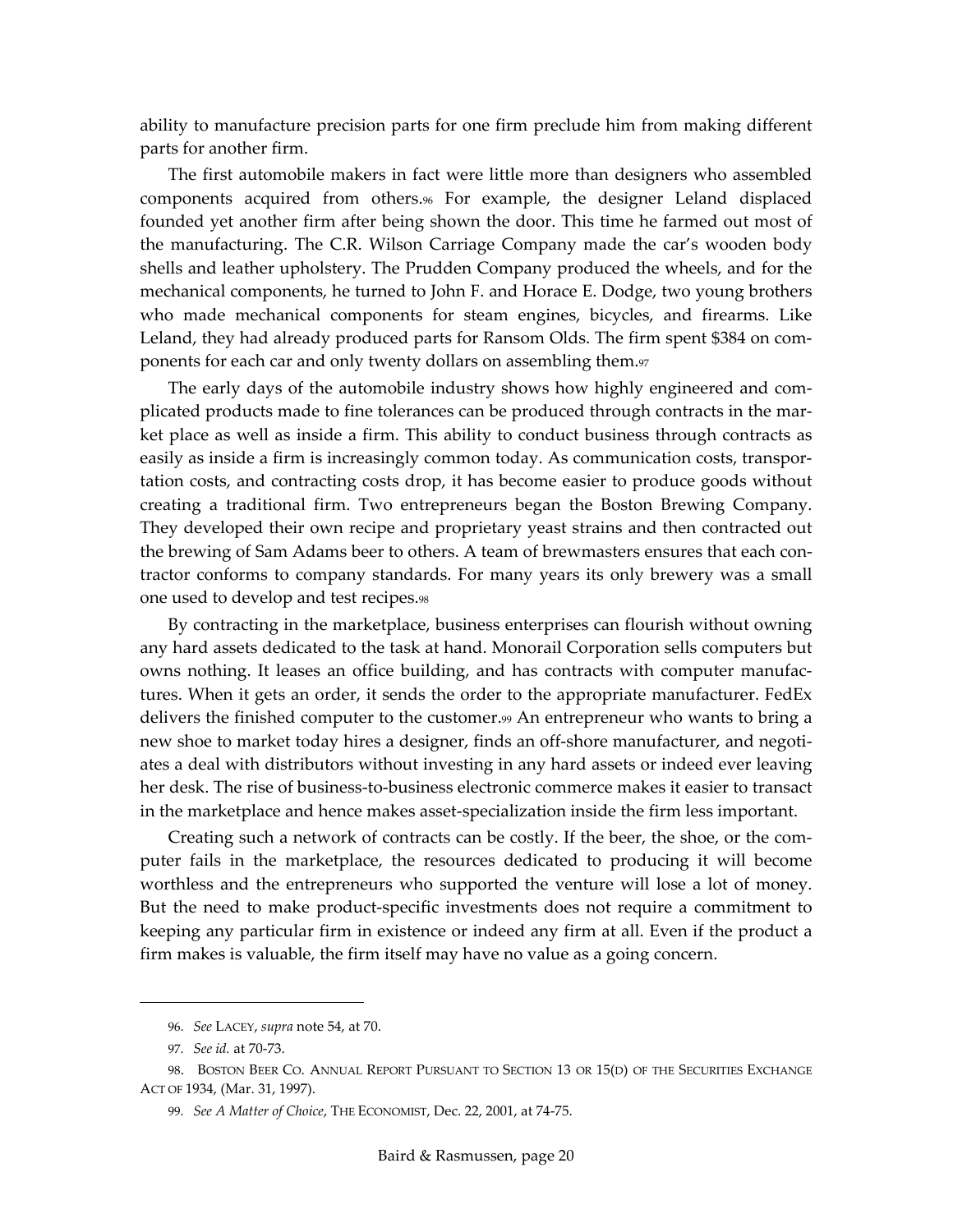ability to manufacture precision parts for one firm preclude him from making different parts for another firm.

The first automobile makers in fact were little more than designers who assembled components acquired from others.[96](#page-20-0) For example, the designer Leland displaced founded yet another firm after being shown the door. This time he farmed out most of the manufacturing. The C.R. Wilson Carriage Company made the car's wooden body shells and leather upholstery. The Prudden Company produced the wheels, and for the mechanical components, he turned to John F. and Horace E. Dodge, two young brothers who made mechanical components for steam engines, bicycles, and firearms. Like Leland, they had already produced parts for Ransom Olds. The firm spent \$384 on components for each car and only twenty dollars on assembling them[.97](#page-20-1)

The early days of the automobile industry shows how highly engineered and complicated products made to fine tolerances can be produced through contracts in the market place as well as inside a firm. This ability to conduct business through contracts as easily as inside a firm is increasingly common today. As communication costs, transportation costs, and contracting costs drop, it has become easier to produce goods without creating a traditional firm. Two entrepreneurs began the Boston Brewing Company. They developed their own recipe and proprietary yeast strains and then contracted out the brewing of Sam Adams beer to others. A team of brewmasters ensures that each contractor conforms to company standards. For many years its only brewery was a small one used to develop and test recipes[.98](#page-20-2)

By contracting in the marketplace, business enterprises can flourish without owning any hard assets dedicated to the task at hand. Monorail Corporation sells computers but owns nothing. It leases an office building, and has contracts with computer manufactures. When it gets an order, it sends the order to the appropriate manufacturer. FedEx delivers the finished computer to the customer.[99](#page-20-3) An entrepreneur who wants to bring a new shoe to market today hires a designer, finds an off-shore manufacturer, and negotiates a deal with distributors without investing in any hard assets or indeed ever leaving her desk. The rise of business-to-business electronic commerce makes it easier to transact in the marketplace and hence makes asset-specialization inside the firm less important.

Creating such a network of contracts can be costly. If the beer, the shoe, or the computer fails in the marketplace, the resources dedicated to producing it will become worthless and the entrepreneurs who supported the venture will lose a lot of money. But the need to make product-specific investments does not require a commitment to keeping any particular firm in existence or indeed any firm at all. Even if the product a firm makes is valuable, the firm itself may have no value as a going concern.

<span id="page-20-0"></span><sup>96</sup>*. See* LACEY, *supra* note 54, at 70.

<sup>97</sup>*. See id.* at 70-73.

<span id="page-20-2"></span><span id="page-20-1"></span><sup>98.</sup> BOSTON BEER CO. ANNUAL REPORT PURSUANT TO SECTION 13 OR 15(D) OF THE SECURITIES EXCHANGE ACT OF 1934, (Mar. 31, 1997).

<span id="page-20-3"></span><sup>99</sup>*. See A Matter of Choice*, THE ECONOMIST, Dec. 22, 2001, at 74-75.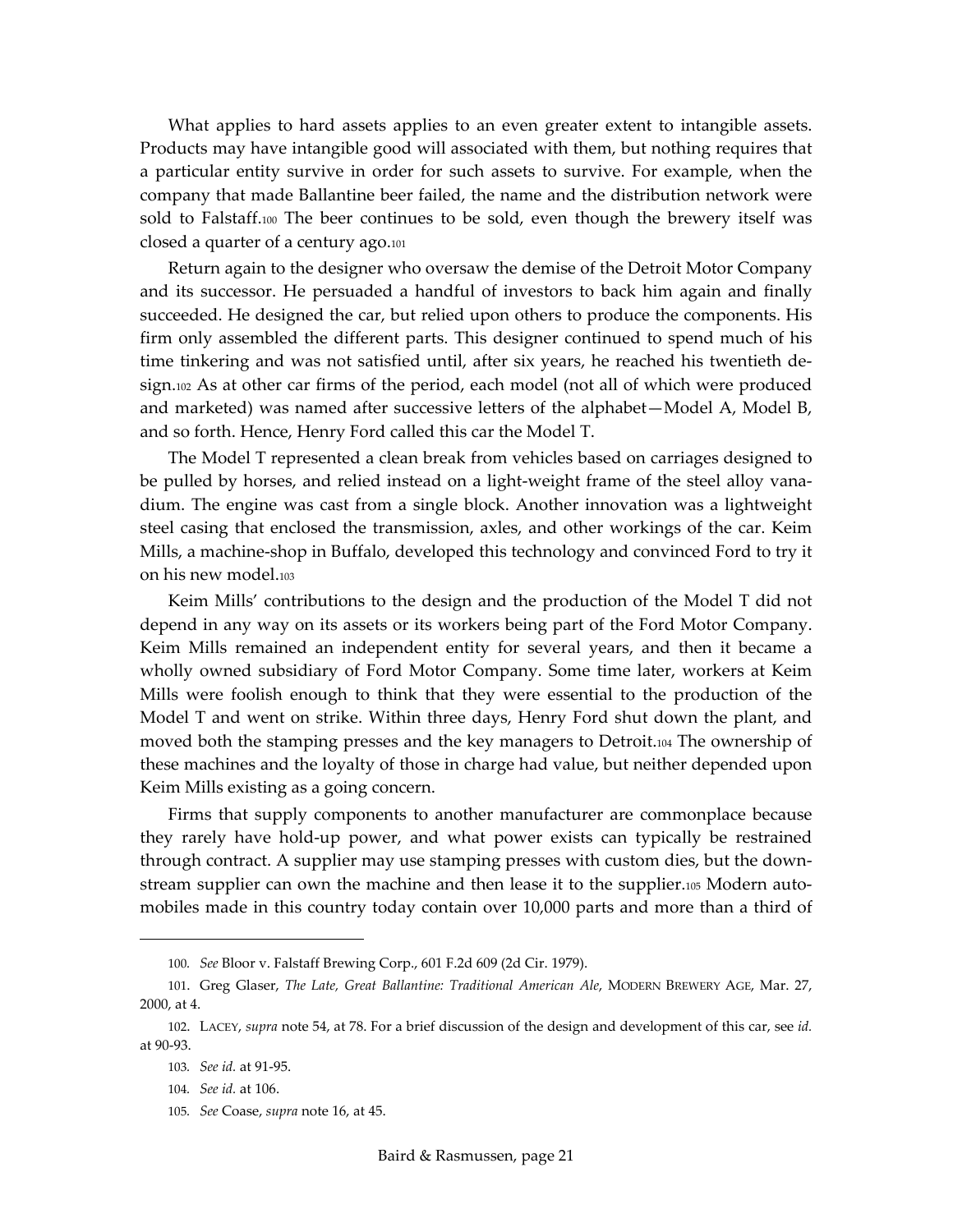What applies to hard assets applies to an even greater extent to intangible assets. Products may have intangible good will associated with them, but nothing requires that a particular entity survive in order for such assets to survive. For example, when the company that made Ballantine beer failed, the name and the distribution network were sold to Falstaff[.100](#page-21-0) The beer continues to be sold, even though the brewery itself was closed a quarter of a century ago[.101](#page-21-1)

Return again to the designer who oversaw the demise of the Detroit Motor Company and its successor. He persuaded a handful of investors to back him again and finally succeeded. He designed the car, but relied upon others to produce the components. His firm only assembled the different parts. This designer continued to spend much of his time tinkering and was not satisfied until, after six years, he reached his twentieth design[.102 A](#page-21-2)s at other car firms of the period, each model (not all of which were produced and marketed) was named after successive letters of the alphabet—Model A, Model B, and so forth. Hence, Henry Ford called this car the Model T.

The Model T represented a clean break from vehicles based on carriages designed to be pulled by horses, and relied instead on a light-weight frame of the steel alloy vanadium. The engine was cast from a single block. Another innovation was a lightweight steel casing that enclosed the transmission, axles, and other workings of the car. Keim Mills, a machine-shop in Buffalo, developed this technology and convinced Ford to try it on his new model[.103](#page-21-3)

Keim Mills' contributions to the design and the production of the Model T did not depend in any way on its assets or its workers being part of the Ford Motor Company. Keim Mills remained an independent entity for several years, and then it became a wholly owned subsidiary of Ford Motor Company. Some time later, workers at Keim Mills were foolish enough to think that they were essential to the production of the Model T and went on strike. Within three days, Henry Ford shut down the plant, and moved both the stamping presses and the key managers to Detroit[.104](#page-21-4) The ownership of these machines and the loyalty of those in charge had value, but neither depended upon Keim Mills existing as a going concern.

Firms that supply components to another manufacturer are commonplace because they rarely have hold-up power, and what power exists can typically be restrained through contract. A supplier may use stamping presses with custom dies, but the downstream supplier can own the machine and then lease it to the supplier.[105 M](#page-21-5)odern automobiles made in this country today contain over 10,000 parts and more than a third of

<sup>100</sup>*. See* Bloor v. Falstaff Brewing Corp., 601 F.2d 609 (2d Cir. 1979).

<span id="page-21-1"></span><span id="page-21-0"></span><sup>101.</sup> Greg Glaser, *The Late, Great Ballantine: Traditional American Ale*, MODERN BREWERY AGE, Mar. 27, 2000, at 4.

<span id="page-21-2"></span><sup>102.</sup> LACEY, *supra* note 54, at 78. For a brief discussion of the design and development of this car, see *id.* at 90-93.

<span id="page-21-3"></span><sup>103</sup>*. See id.* at 91-95.

<span id="page-21-4"></span><sup>104</sup>*. See id.* at 106.

<span id="page-21-5"></span><sup>105</sup>*. See* Coase, *supra* note 16, at 45.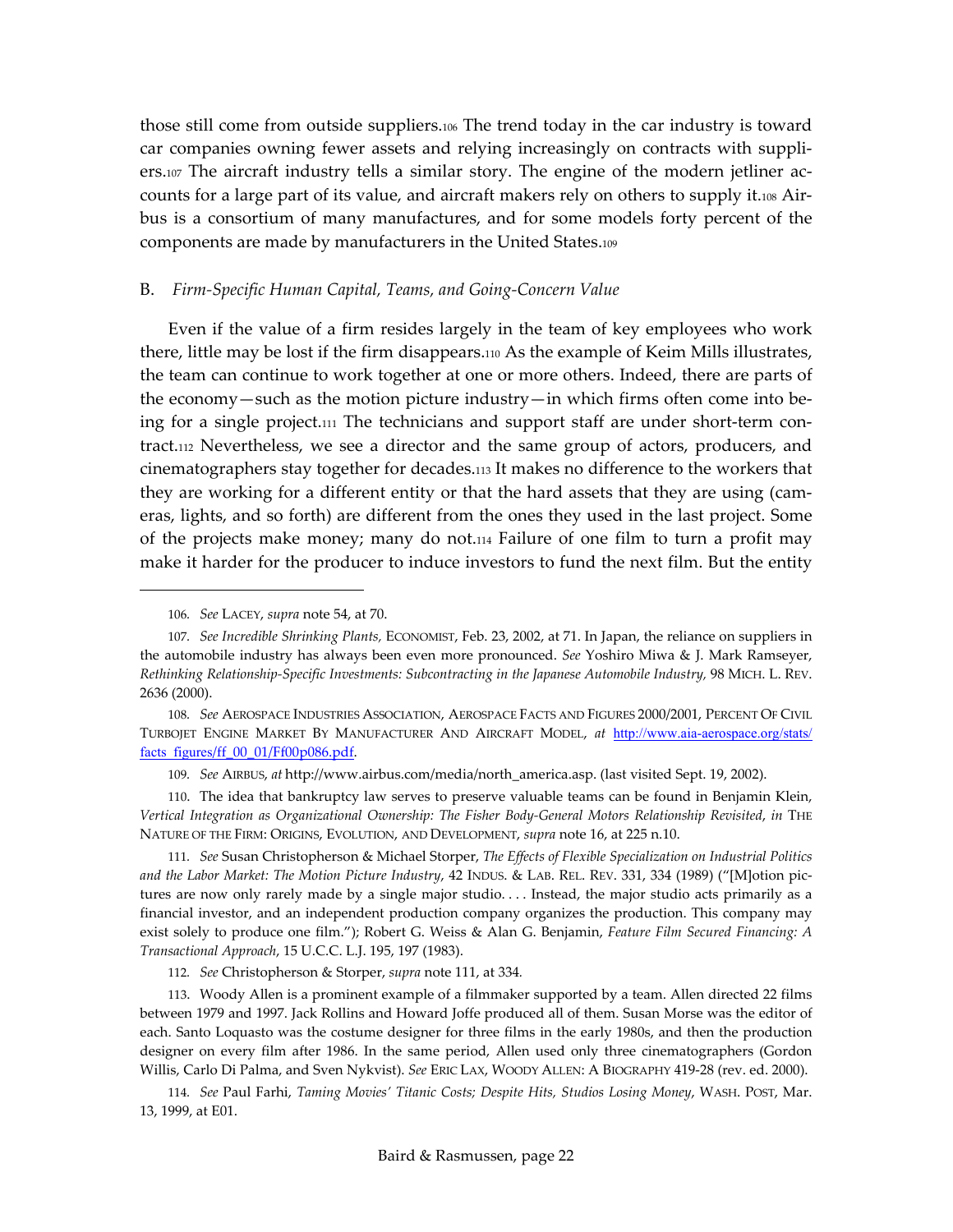those still come from outside suppliers[.106 T](#page-22-0)he trend today in the car industry is toward car companies owning fewer assets and relying increasingly on contracts with suppliers[.107](#page-22-1) The aircraft industry tells a similar story. The engine of the modern jetliner accounts for a large part of its value, and aircraft makers rely on others to supply it.[108 A](#page-22-2)irbus is a consortium of many manufactures, and for some models forty percent of the components are made by manufacturers in the United States[.109](#page-22-3)

#### B. *Firm-Specific Human Capital, Teams, and Going-Concern Value*

Even if the value of a firm resides largely in the team of key employees who work there, little may be lost if the firm disappears[.110](#page-22-4) As the example of Keim Mills illustrates, the team can continue to work together at one or more others. Indeed, there are parts of the economy—such as the motion picture industry—in which firms often come into being for a single project.[111](#page-22-5) The technicians and support staff are under short-term contract.[112](#page-22-6) Nevertheless, we see a director and the same group of actors, producers, and cinematographers stay together for decades.[113 I](#page-22-7)t makes no difference to the workers that they are working for a different entity or that the hard assets that they are using (cameras, lights, and so forth) are different from the ones they used in the last project. Some of the projects make money; many do not[.114](#page-22-8) Failure of one film to turn a profit may make it harder for the producer to induce investors to fund the next film. But the entity

<span id="page-22-0"></span> $\overline{a}$ 

<span id="page-22-2"></span>108*. See* AEROSPACE INDUSTRIES ASSOCIATION, AEROSPACE FACTS AND FIGURES 2000/2001, PERCENT OF CIVIL TURBOJET ENGINE MARKET BY MANUFACTURER AND AIRCRAFT MODEL, *at* http://www.aia-aerospace.org/stats/ facts\_figures/ff\_00\_01/Ff00p086.pdf.

109*. See* AIRBUS, *at* http://www.airbus.com/media/north\_america.asp. (last visited Sept. 19, 2002).

<span id="page-22-4"></span><span id="page-22-3"></span>110. The idea that bankruptcy law serves to preserve valuable teams can be found in Benjamin Klein, *Vertical Integration as Organizational Ownership: The Fisher Body-General Motors Relationship Revisited*, *in* THE NATURE OF THE FIRM: ORIGINS, EVOLUTION, AND DEVELOPMENT, *supra* note 16, at 225 n.10.

<span id="page-22-5"></span>111*. See* Susan Christopherson & Michael Storper, *The Effects of Flexible Specialization on Industrial Politics and the Labor Market: The Motion Picture Industry*, 42 INDUS. & LAB. REL. REV. 331, 334 (1989) ("[M]otion pictures are now only rarely made by a single major studio. . . . Instead, the major studio acts primarily as a financial investor, and an independent production company organizes the production. This company may exist solely to produce one film."); Robert G. Weiss & Alan G. Benjamin, *Feature Film Secured Financing: A Transactional Approach*, 15 U.C.C. L.J. 195, 197 (1983).

112*. See* Christopherson & Storper, *supra* note 111, at 334*.*

<span id="page-22-7"></span><span id="page-22-6"></span>113. Woody Allen is a prominent example of a filmmaker supported by a team. Allen directed 22 films between 1979 and 1997. Jack Rollins and Howard Joffe produced all of them. Susan Morse was the editor of each. Santo Loquasto was the costume designer for three films in the early 1980s, and then the production designer on every film after 1986. In the same period, Allen used only three cinematographers (Gordon Willis, Carlo Di Palma, and Sven Nykvist). *See* ERIC LAX, WOODY ALLEN: A BIOGRAPHY 419-28 (rev. ed. 2000).

<span id="page-22-8"></span>114*. See* Paul Farhi, *Taming Movies' Titanic Costs; Despite Hits, Studios Losing Money*, WASH. POST, Mar. 13, 1999, at E01.

<sup>106</sup>*. See* LACEY, *supra* note 54, at 70.

<span id="page-22-1"></span><sup>107</sup>*. See Incredible Shrinking Plants,* ECONOMIST, Feb. 23, 2002, at 71. In Japan, the reliance on suppliers in the automobile industry has always been even more pronounced. *See* Yoshiro Miwa & J. Mark Ramseyer, *Rethinking Relationship-Specific Investments: Subcontracting in the Japanese Automobile Industry,* 98 MICH. L. REV. 2636 (2000).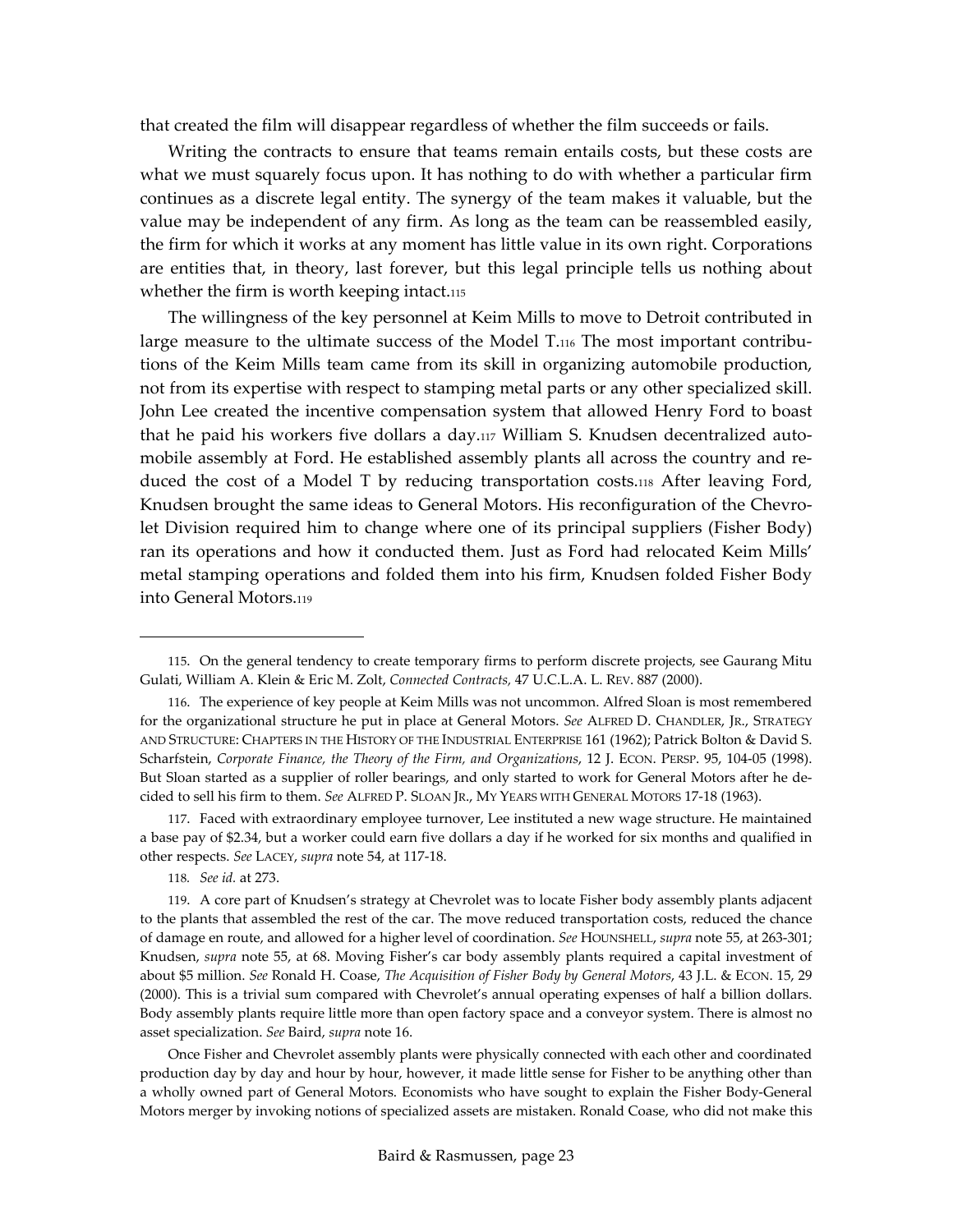<span id="page-23-4"></span>that created the film will disappear regardless of whether the film succeeds or fails.

Writing the contracts to ensure that teams remain entails costs, but these costs are what we must squarely focus upon. It has nothing to do with whether a particular firm continues as a discrete legal entity. The synergy of the team makes it valuable, but the value may be independent of any firm. As long as the team can be reassembled easily, the firm for which it works at any moment has little value in its own right. Corporations are entities that, in theory, last forever, but this legal principle tells us nothing about whether the firm is worth keeping intact.<sup>[115](#page-23-0)</sup>

The willingness of the key personnel at Keim Mills to move to Detroit contributed in large measure to the ultimate success of the Model T.[116](#page-23-1) The most important contributions of the Keim Mills team came from its skill in organizing automobile production, not from its expertise with respect to stamping metal parts or any other specialized skill. John Lee created the incentive compensation system that allowed Henry Ford to boast that he paid his workers five dollars a day.[117](#page-23-2) William S. Knudsen decentralized automobile assembly at Ford. He established assembly plants all across the country and reduced the cost of a Model T by reducing transportation costs[.118](#page-23-3) After leaving Ford, Knudsen brought the same ideas to General Motors. His reconfiguration of the Chevrolet Division required him to change where one of its principal suppliers (Fisher Body) ran its operations and how it conducted them. Just as Ford had relocated Keim Mills' metal stamping operations and folded them into his firm, Knudsen folded Fisher Body into General Motors.[119](#page-23-4)

l

Once Fisher and Chevrolet assembly plants were physically connected with each other and coordinated production day by day and hour by hour, however, it made little sense for Fisher to be anything other than a wholly owned part of General Motors. Economists who have sought to explain the Fisher Body-General Motors merger by invoking notions of specialized assets are mistaken. Ronald Coase, who did not make this

<span id="page-23-0"></span><sup>115.</sup> On the general tendency to create temporary firms to perform discrete projects, see Gaurang Mitu Gulati, William A. Klein & Eric M. Zolt, *Connected Contracts,* 47 U.C.L.A. L. REV. 887 (2000).

<span id="page-23-1"></span><sup>116.</sup> The experience of key people at Keim Mills was not uncommon. Alfred Sloan is most remembered for the organizational structure he put in place at General Motors. *See* ALFRED D. CHANDLER, JR., STRATEGY AND STRUCTURE: CHAPTERS IN THE HISTORY OF THE INDUSTRIAL ENTERPRISE 161 (1962); Patrick Bolton & David S. Scharfstein, *Corporate Finance, the Theory of the Firm, and Organizations*, 12 J. ECON. PERSP. 95, 104-05 (1998). But Sloan started as a supplier of roller bearings, and only started to work for General Motors after he decided to sell his firm to them. *See* ALFRED P. SLOAN JR., MY YEARS WITH GENERAL MOTORS 17-18 (1963).

<span id="page-23-2"></span><sup>117.</sup> Faced with extraordinary employee turnover, Lee instituted a new wage structure. He maintained a base pay of \$2.34, but a worker could earn five dollars a day if he worked for six months and qualified in other respects. *See* LACEY, *supra* note 54, at 117-18.

<sup>118</sup>*. See id.* at 273.

<span id="page-23-3"></span><sup>119.</sup> A core part of Knudsen's strategy at Chevrolet was to locate Fisher body assembly plants adjacent to the plants that assembled the rest of the car. The move reduced transportation costs, reduced the chance of damage en route, and allowed for a higher level of coordination. *See* HOUNSHELL, *supra* note 55, at 263-301; Knudsen, *supra* note 55, at 68. Moving Fisher's car body assembly plants required a capital investment of about \$5 million. *See* Ronald H. Coase, *The Acquisition of Fisher Body by General Motors*, 43 J.L. & ECON. 15, 29 (2000). This is a trivial sum compared with Chevrolet's annual operating expenses of half a billion dollars. Body assembly plants require little more than open factory space and a conveyor system. There is almost no asset specialization. *See* Baird, *supra* note 16.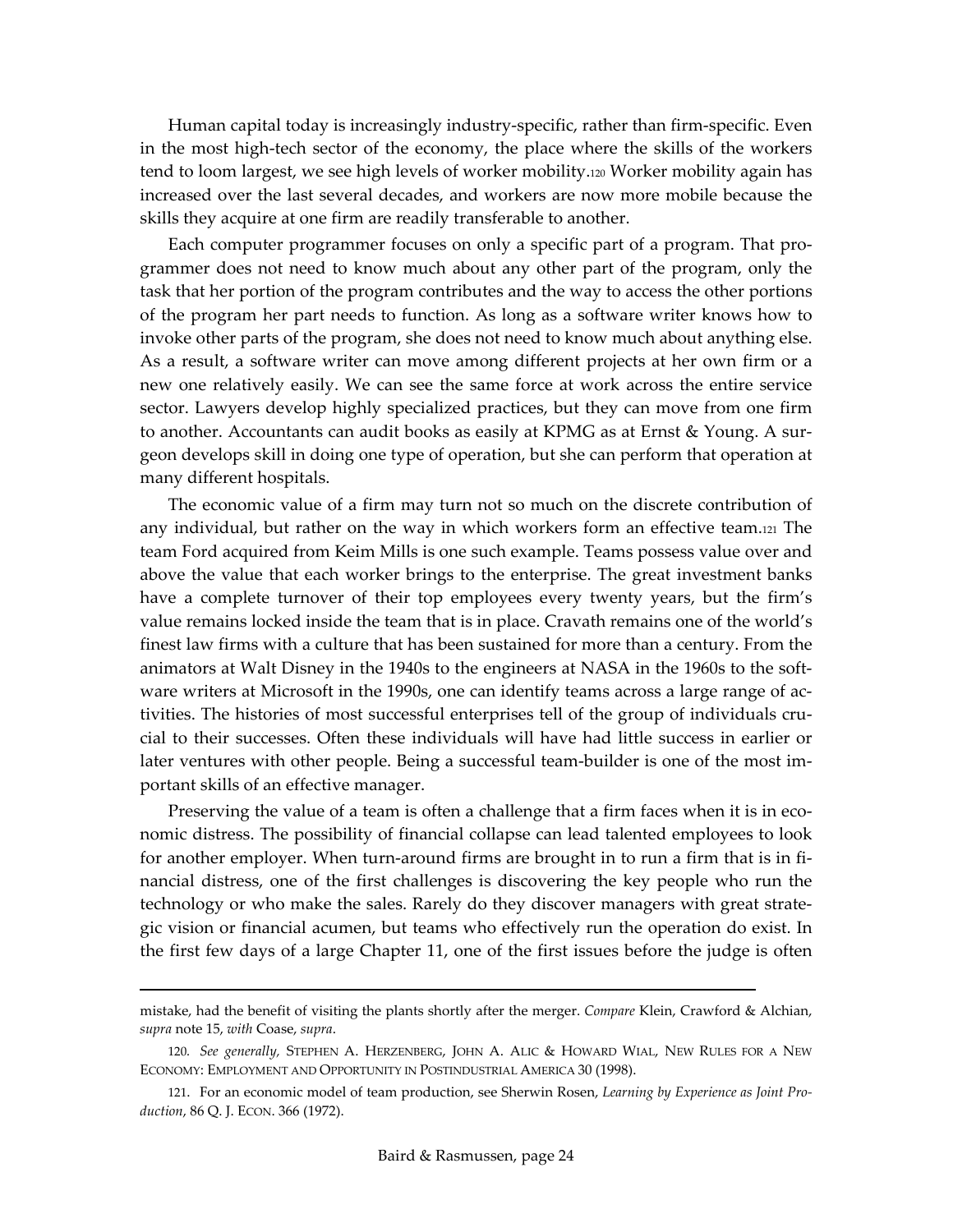Human capital today is increasingly industry-specific, rather than firm-specific. Even in the most high-tech sector of the economy, the place where the skills of the workers tend to loom largest, we see high levels of worker mobility.[120 W](#page-24-0)orker mobility again has increased over the last several decades, and workers are now more mobile because the skills they acquire at one firm are readily transferable to another.

Each computer programmer focuses on only a specific part of a program. That programmer does not need to know much about any other part of the program, only the task that her portion of the program contributes and the way to access the other portions of the program her part needs to function. As long as a software writer knows how to invoke other parts of the program, she does not need to know much about anything else. As a result, a software writer can move among different projects at her own firm or a new one relatively easily. We can see the same force at work across the entire service sector. Lawyers develop highly specialized practices, but they can move from one firm to another. Accountants can audit books as easily at KPMG as at Ernst & Young. A surgeon develops skill in doing one type of operation, but she can perform that operation at many different hospitals.

The economic value of a firm may turn not so much on the discrete contribution of any individual, but rather on the way in which workers form an effective team[.121](#page-24-1) The team Ford acquired from Keim Mills is one such example. Teams possess value over and above the value that each worker brings to the enterprise. The great investment banks have a complete turnover of their top employees every twenty years, but the firm's value remains locked inside the team that is in place. Cravath remains one of the world's finest law firms with a culture that has been sustained for more than a century. From the animators at Walt Disney in the 1940s to the engineers at NASA in the 1960s to the software writers at Microsoft in the 1990s, one can identify teams across a large range of activities. The histories of most successful enterprises tell of the group of individuals crucial to their successes. Often these individuals will have had little success in earlier or later ventures with other people. Being a successful team-builder is one of the most important skills of an effective manager.

Preserving the value of a team is often a challenge that a firm faces when it is in economic distress. The possibility of financial collapse can lead talented employees to look for another employer. When turn-around firms are brought in to run a firm that is in financial distress, one of the first challenges is discovering the key people who run the technology or who make the sales. Rarely do they discover managers with great strategic vision or financial acumen, but teams who effectively run the operation do exist. In the first few days of a large Chapter 11, one of the first issues before the judge is often

mistake, had the benefit of visiting the plants shortly after the merger. *Compare* Klein, Crawford & Alchian, *supra* note 15, *with* Coase, *supra*.

<span id="page-24-0"></span><sup>120</sup>*. See generally,* STEPHEN A. HERZENBERG, JOHN A. ALIC & HOWARD WIAL, NEW RULES FOR A NEW ECONOMY: EMPLOYMENT AND OPPORTUNITY IN POSTINDUSTRIAL AMERICA 30 (1998).

<span id="page-24-1"></span><sup>121.</sup> For an economic model of team production, see Sherwin Rosen, *Learning by Experience as Joint Production*, 86 Q. J. ECON. 366 (1972).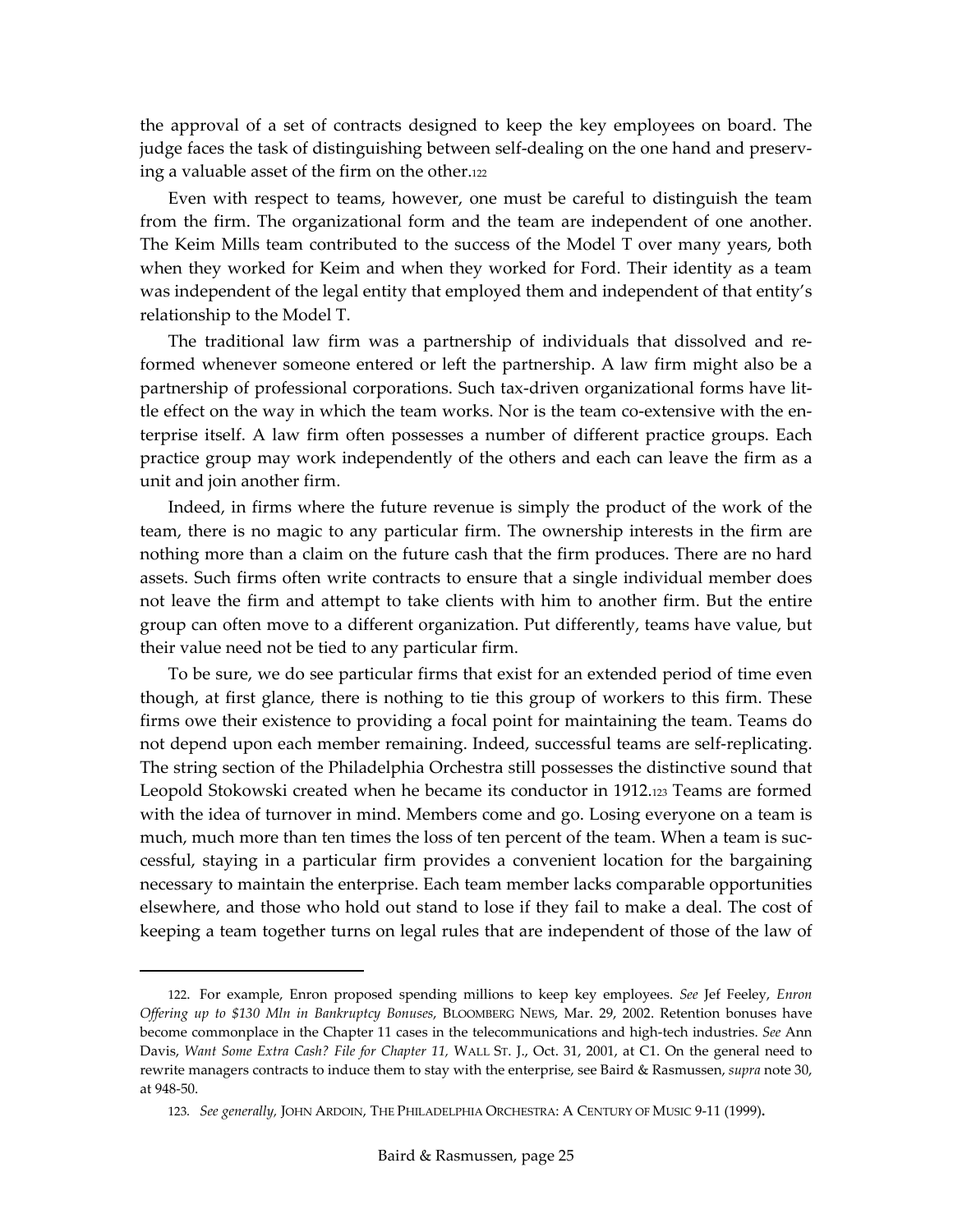the approval of a set of contracts designed to keep the key employees on board. The judge faces the task of distinguishing between self-dealing on the one hand and preserving a valuable asset of the firm on the other[.122](#page-25-0)

Even with respect to teams, however, one must be careful to distinguish the team from the firm. The organizational form and the team are independent of one another. The Keim Mills team contributed to the success of the Model T over many years, both when they worked for Keim and when they worked for Ford. Their identity as a team was independent of the legal entity that employed them and independent of that entity's relationship to the Model T.

The traditional law firm was a partnership of individuals that dissolved and reformed whenever someone entered or left the partnership. A law firm might also be a partnership of professional corporations. Such tax-driven organizational forms have little effect on the way in which the team works. Nor is the team co-extensive with the enterprise itself. A law firm often possesses a number of different practice groups. Each practice group may work independently of the others and each can leave the firm as a unit and join another firm.

Indeed, in firms where the future revenue is simply the product of the work of the team, there is no magic to any particular firm. The ownership interests in the firm are nothing more than a claim on the future cash that the firm produces. There are no hard assets. Such firms often write contracts to ensure that a single individual member does not leave the firm and attempt to take clients with him to another firm. But the entire group can often move to a different organization. Put differently, teams have value, but their value need not be tied to any particular firm.

To be sure, we do see particular firms that exist for an extended period of time even though, at first glance, there is nothing to tie this group of workers to this firm. These firms owe their existence to providing a focal point for maintaining the team. Teams do not depend upon each member remaining. Indeed, successful teams are self-replicating. The string section of the Philadelphia Orchestra still possesses the distinctive sound that Leopold Stokowski created when he became its conductor in 1912[.123 T](#page-25-1)eams are formed with the idea of turnover in mind. Members come and go. Losing everyone on a team is much, much more than ten times the loss of ten percent of the team. When a team is successful, staying in a particular firm provides a convenient location for the bargaining necessary to maintain the enterprise. Each team member lacks comparable opportunities elsewhere, and those who hold out stand to lose if they fail to make a deal. The cost of keeping a team together turns on legal rules that are independent of those of the law of

<span id="page-25-0"></span><sup>122.</sup> For example, Enron proposed spending millions to keep key employees. *See* Jef Feeley, *Enron Offering up to \$130 Mln in Bankruptcy Bonuses*, BLOOMBERG NEWS, Mar. 29, 2002. Retention bonuses have become commonplace in the Chapter 11 cases in the telecommunications and high-tech industries. *See* Ann Davis, *Want Some Extra Cash? File for Chapter 11*, WALL ST. J., Oct. 31, 2001, at C1. On the general need to rewrite managers contracts to induce them to stay with the enterprise, see Baird & Rasmussen, *supra* note 30, at 948-50.

<span id="page-25-1"></span><sup>123</sup>*. See generally,* JOHN ARDOIN, THE PHILADELPHIA ORCHESTRA: A CENTURY OF MUSIC 9-11 (1999)**.**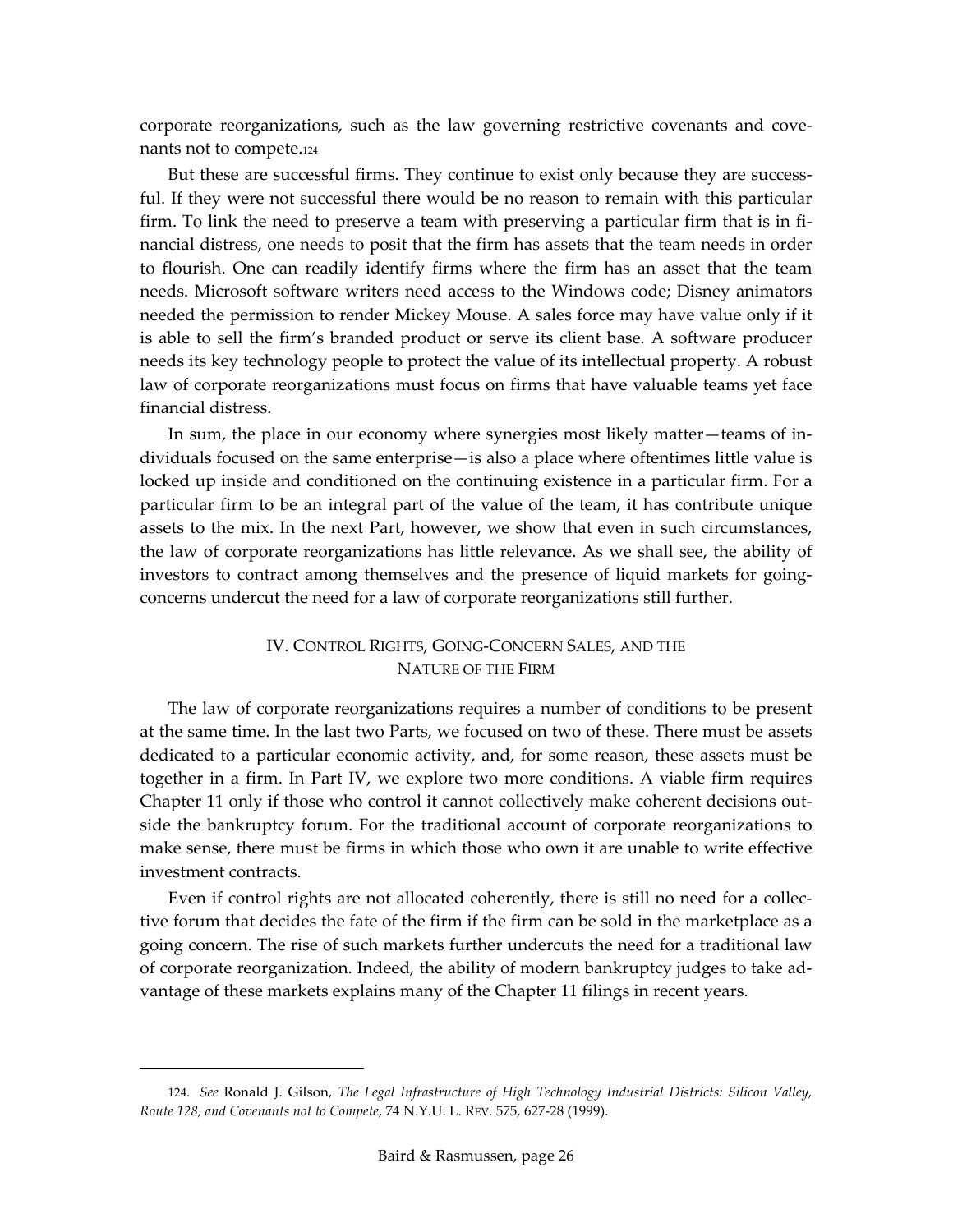corporate reorganizations, such as the law governing restrictive covenants and covenants not to compete[.124](#page-26-0)

But these are successful firms. They continue to exist only because they are successful. If they were not successful there would be no reason to remain with this particular firm. To link the need to preserve a team with preserving a particular firm that is in financial distress, one needs to posit that the firm has assets that the team needs in order to flourish. One can readily identify firms where the firm has an asset that the team needs. Microsoft software writers need access to the Windows code; Disney animators needed the permission to render Mickey Mouse. A sales force may have value only if it is able to sell the firm's branded product or serve its client base. A software producer needs its key technology people to protect the value of its intellectual property. A robust law of corporate reorganizations must focus on firms that have valuable teams yet face financial distress.

In sum, the place in our economy where synergies most likely matter—teams of individuals focused on the same enterprise—is also a place where oftentimes little value is locked up inside and conditioned on the continuing existence in a particular firm. For a particular firm to be an integral part of the value of the team, it has contribute unique assets to the mix. In the next Part, however, we show that even in such circumstances, the law of corporate reorganizations has little relevance. As we shall see, the ability of investors to contract among themselves and the presence of liquid markets for goingconcerns undercut the need for a law of corporate reorganizations still further.

#### IV. CONTROL RIGHTS, GOING-CONCERN SALES, AND THE NATURE OF THE FIRM

The law of corporate reorganizations requires a number of conditions to be present at the same time. In the last two Parts, we focused on two of these. There must be assets dedicated to a particular economic activity, and, for some reason, these assets must be together in a firm. In Part IV, we explore two more conditions. A viable firm requires Chapter 11 only if those who control it cannot collectively make coherent decisions outside the bankruptcy forum. For the traditional account of corporate reorganizations to make sense, there must be firms in which those who own it are unable to write effective investment contracts.

Even if control rights are not allocated coherently, there is still no need for a collective forum that decides the fate of the firm if the firm can be sold in the marketplace as a going concern. The rise of such markets further undercuts the need for a traditional law of corporate reorganization. Indeed, the ability of modern bankruptcy judges to take advantage of these markets explains many of the Chapter 11 filings in recent years.

<span id="page-26-0"></span><sup>124</sup>*. See* Ronald J. Gilson, *The Legal Infrastructure of High Technology Industrial Districts: Silicon Valley, Route 128, and Covenants not to Compete*, 74 N.Y.U. L. REV. 575, 627-28 (1999).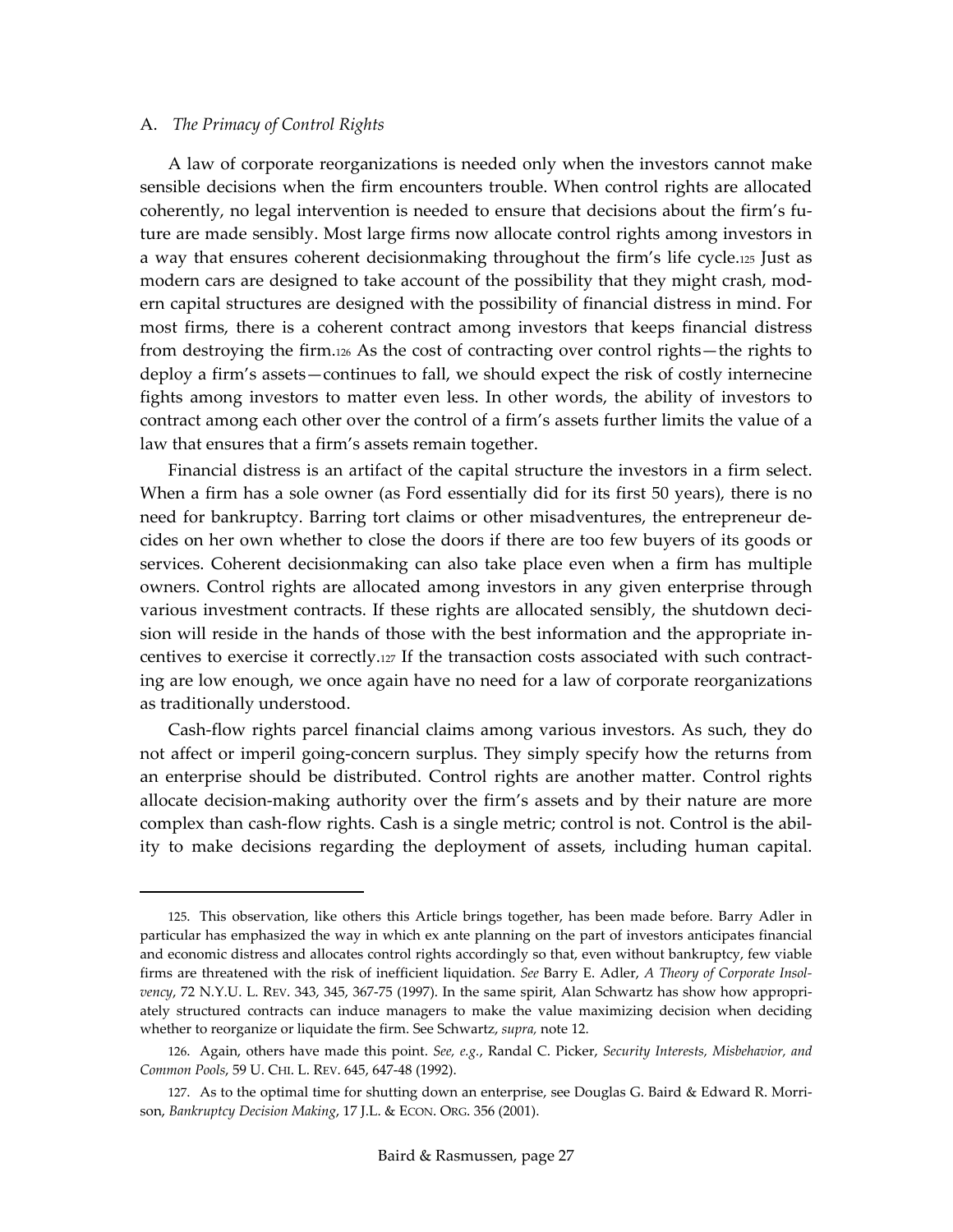#### A. *The Primacy of Control Rights*

l

A law of corporate reorganizations is needed only when the investors cannot make sensible decisions when the firm encounters trouble. When control rights are allocated coherently, no legal intervention is needed to ensure that decisions about the firm's future are made sensibly. Most large firms now allocate control rights among investors in a way that ensures coherent decisionmaking throughout the firm's life cycle.[125](#page-27-0) Just as modern cars are designed to take account of the possibility that they might crash, modern capital structures are designed with the possibility of financial distress in mind. For most firms, there is a coherent contract among investors that keeps financial distress from destroying the firm.[126](#page-27-1) As the cost of contracting over control rights—the rights to deploy a firm's assets—continues to fall, we should expect the risk of costly internecine fights among investors to matter even less. In other words, the ability of investors to contract among each other over the control of a firm's assets further limits the value of a law that ensures that a firm's assets remain together.

Financial distress is an artifact of the capital structure the investors in a firm select. When a firm has a sole owner (as Ford essentially did for its first 50 years), there is no need for bankruptcy. Barring tort claims or other misadventures, the entrepreneur decides on her own whether to close the doors if there are too few buyers of its goods or services. Coherent decisionmaking can also take place even when a firm has multiple owners. Control rights are allocated among investors in any given enterprise through various investment contracts. If these rights are allocated sensibly, the shutdown decision will reside in the hands of those with the best information and the appropriate incentives to exercise it correctly.[127 I](#page-27-2)f the transaction costs associated with such contracting are low enough, we once again have no need for a law of corporate reorganizations as traditionally understood.

Cash-flow rights parcel financial claims among various investors. As such, they do not affect or imperil going-concern surplus. They simply specify how the returns from an enterprise should be distributed. Control rights are another matter. Control rights allocate decision-making authority over the firm's assets and by their nature are more complex than cash-flow rights. Cash is a single metric; control is not. Control is the ability to make decisions regarding the deployment of assets, including human capital.

<span id="page-27-0"></span><sup>125.</sup> This observation, like others this Article brings together, has been made before. Barry Adler in particular has emphasized the way in which ex ante planning on the part of investors anticipates financial and economic distress and allocates control rights accordingly so that, even without bankruptcy, few viable firms are threatened with the risk of inefficient liquidation. *See* Barry E. Adler, *A Theory of Corporate Insolvency*, 72 N.Y.U. L. REV. 343, 345, 367-75 (1997). In the same spirit, Alan Schwartz has show how appropriately structured contracts can induce managers to make the value maximizing decision when deciding whether to reorganize or liquidate the firm. See Schwartz, *supra,* note 12.

<span id="page-27-1"></span><sup>126.</sup> Again, others have made this point. *See, e.g.*, Randal C. Picker, *Security Interests, Misbehavior, and Common Pools*, 59 U. CHI. L. REV. 645, 647-48 (1992).

<span id="page-27-2"></span><sup>127.</sup> As to the optimal time for shutting down an enterprise, see Douglas G. Baird & Edward R. Morrison, *Bankruptcy Decision Making*, 17 J.L. & ECON. ORG. 356 (2001).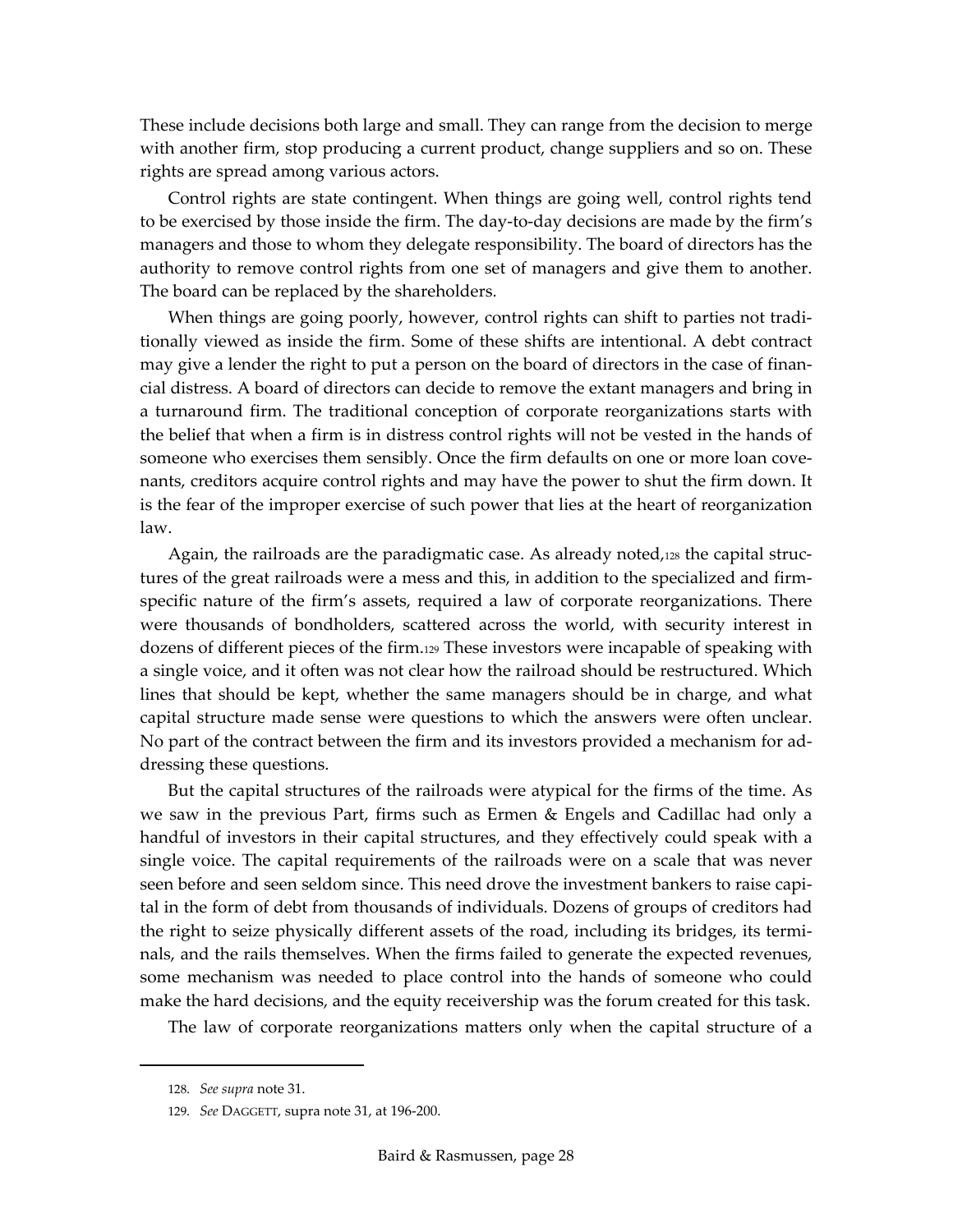These include decisions both large and small. They can range from the decision to merge with another firm, stop producing a current product, change suppliers and so on. These rights are spread among various actors.

Control rights are state contingent. When things are going well, control rights tend to be exercised by those inside the firm. The day-to-day decisions are made by the firm's managers and those to whom they delegate responsibility. The board of directors has the authority to remove control rights from one set of managers and give them to another. The board can be replaced by the shareholders.

When things are going poorly, however, control rights can shift to parties not traditionally viewed as inside the firm. Some of these shifts are intentional. A debt contract may give a lender the right to put a person on the board of directors in the case of financial distress. A board of directors can decide to remove the extant managers and bring in a turnaround firm. The traditional conception of corporate reorganizations starts with the belief that when a firm is in distress control rights will not be vested in the hands of someone who exercises them sensibly. Once the firm defaults on one or more loan covenants, creditors acquire control rights and may have the power to shut the firm down. It is the fear of the improper exercise of such power that lies at the heart of reorganization law.

Again, the railroads are the paradigmatic case. As already noted,[128 t](#page-28-0)he capital structures of the great railroads were a mess and this, in addition to the specialized and firmspecific nature of the firm's assets, required a law of corporate reorganizations. There were thousands of bondholders, scattered across the world, with security interest in dozens of different pieces of the firm[.129 T](#page-28-1)hese investors were incapable of speaking with a single voice, and it often was not clear how the railroad should be restructured. Which lines that should be kept, whether the same managers should be in charge, and what capital structure made sense were questions to which the answers were often unclear. No part of the contract between the firm and its investors provided a mechanism for addressing these questions.

But the capital structures of the railroads were atypical for the firms of the time. As we saw in the previous Part, firms such as Ermen & Engels and Cadillac had only a handful of investors in their capital structures, and they effectively could speak with a single voice. The capital requirements of the railroads were on a scale that was never seen before and seen seldom since. This need drove the investment bankers to raise capital in the form of debt from thousands of individuals. Dozens of groups of creditors had the right to seize physically different assets of the road, including its bridges, its terminals, and the rails themselves. When the firms failed to generate the expected revenues, some mechanism was needed to place control into the hands of someone who could make the hard decisions, and the equity receivership was the forum created for this task.

The law of corporate reorganizations matters only when the capital structure of a

<span id="page-28-0"></span><sup>128</sup>*. See supra* note 31.

<span id="page-28-1"></span><sup>129</sup>*. See* DAGGETT, supra note 31, at 196-200.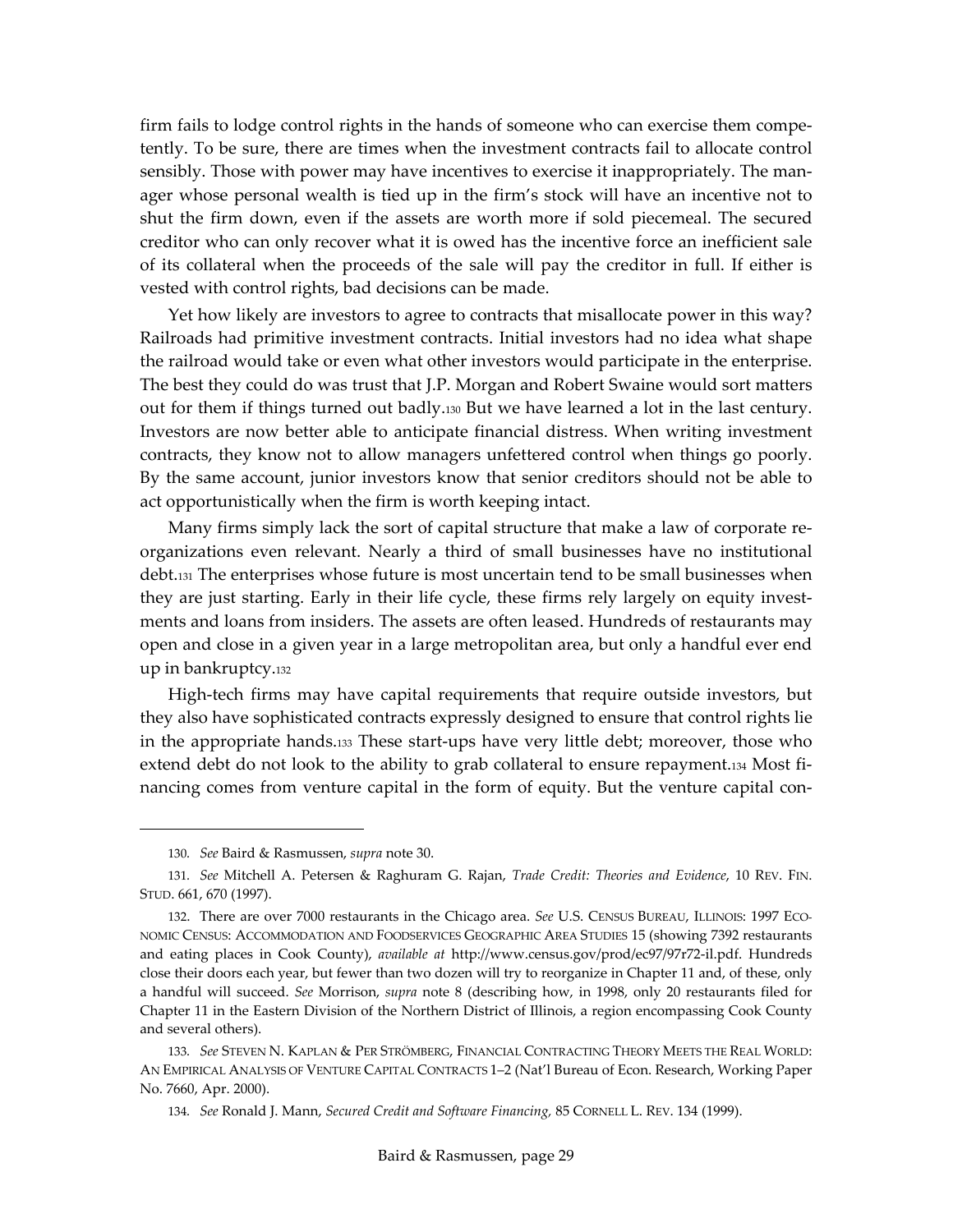firm fails to lodge control rights in the hands of someone who can exercise them competently. To be sure, there are times when the investment contracts fail to allocate control sensibly. Those with power may have incentives to exercise it inappropriately. The manager whose personal wealth is tied up in the firm's stock will have an incentive not to shut the firm down, even if the assets are worth more if sold piecemeal. The secured creditor who can only recover what it is owed has the incentive force an inefficient sale of its collateral when the proceeds of the sale will pay the creditor in full. If either is vested with control rights, bad decisions can be made.

Yet how likely are investors to agree to contracts that misallocate power in this way? Railroads had primitive investment contracts. Initial investors had no idea what shape the railroad would take or even what other investors would participate in the enterprise. The best they could do was trust that J.P. Morgan and Robert Swaine would sort matters out for them if things turned out badly.[130](#page-29-0) But we have learned a lot in the last century. Investors are now better able to anticipate financial distress. When writing investment contracts, they know not to allow managers unfettered control when things go poorly. By the same account, junior investors know that senior creditors should not be able to act opportunistically when the firm is worth keeping intact.

Many firms simply lack the sort of capital structure that make a law of corporate reorganizations even relevant. Nearly a third of small businesses have no institutional debt.[131 T](#page-29-1)he enterprises whose future is most uncertain tend to be small businesses when they are just starting. Early in their life cycle, these firms rely largely on equity investments and loans from insiders. The assets are often leased. Hundreds of restaurants may open and close in a given year in a large metropolitan area, but only a handful ever end up in bankruptcy.[132](#page-29-2)

High-tech firms may have capital requirements that require outside investors, but they also have sophisticated contracts expressly designed to ensure that control rights lie in the appropriate hands.[133](#page-29-3) These start-ups have very little debt; moreover, those who extend debt do not look to the ability to grab collateral to ensure repayment[.134 M](#page-29-4)ost financing comes from venture capital in the form of equity. But the venture capital con-

<sup>130</sup>*. See* Baird & Rasmussen, *supra* note 30.

<span id="page-29-1"></span><span id="page-29-0"></span><sup>131</sup>*. See* Mitchell A. Petersen & Raghuram G. Rajan, *Trade Credit: Theories and Evidence*, 10 REV. FIN. STUD. 661, 670 (1997).

<span id="page-29-2"></span><sup>132.</sup> There are over 7000 restaurants in the Chicago area. *See* U.S. CENSUS BUREAU, ILLINOIS: 1997 ECO-NOMIC CENSUS: ACCOMMODATION AND FOODSERVICES GEOGRAPHIC AREA STUDIES 15 (showing 7392 restaurants and eating places in Cook County), *available at* http://www.census.gov/prod/ec97/97r72-il.pdf. Hundreds close their doors each year, but fewer than two dozen will try to reorganize in Chapter 11 and, of these, only a handful will succeed. *See* Morrison, *supra* note 8 (describing how, in 1998, only 20 restaurants filed for Chapter 11 in the Eastern Division of the Northern District of Illinois, a region encompassing Cook County and several others).

<span id="page-29-3"></span><sup>133</sup>*. See* STEVEN N. KAPLAN & PER STRÖMBERG, FINANCIAL CONTRACTING THEORY MEETS THE REAL WORLD: AN EMPIRICAL ANALYSIS OF VENTURE CAPITAL CONTRACTS 1–2 (Nat'l Bureau of Econ. Research, Working Paper No. 7660, Apr. 2000).

<span id="page-29-4"></span><sup>134</sup>*. See* Ronald J. Mann, *Secured Credit and Software Financing,* 85 CORNELL L. REV. 134 (1999).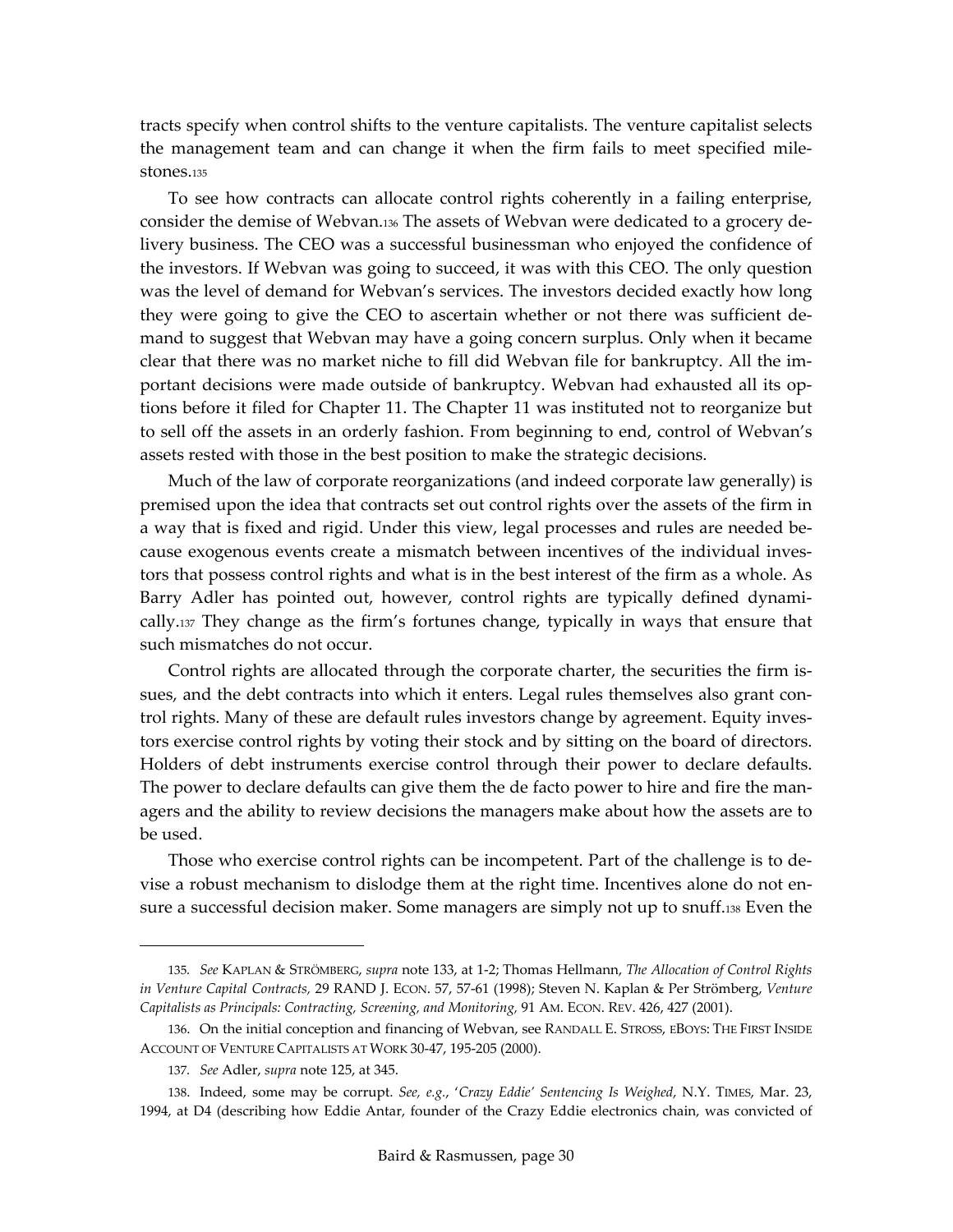<span id="page-30-3"></span>tracts specify when control shifts to the venture capitalists. The venture capitalist selects the management team and can change it when the firm fails to meet specified milestones[.135](#page-30-0)

To see how contracts can allocate control rights coherently in a failing enterprise, consider the demise of Webvan[.136 T](#page-30-1)he assets of Webvan were dedicated to a grocery delivery business. The CEO was a successful businessman who enjoyed the confidence of the investors. If Webvan was going to succeed, it was with this CEO. The only question was the level of demand for Webvan's services. The investors decided exactly how long they were going to give the CEO to ascertain whether or not there was sufficient demand to suggest that Webvan may have a going concern surplus. Only when it became clear that there was no market niche to fill did Webvan file for bankruptcy. All the important decisions were made outside of bankruptcy. Webvan had exhausted all its options before it filed for Chapter 11. The Chapter 11 was instituted not to reorganize but to sell off the assets in an orderly fashion. From beginning to end, control of Webvan's assets rested with those in the best position to make the strategic decisions.

Much of the law of corporate reorganizations (and indeed corporate law generally) is premised upon the idea that contracts set out control rights over the assets of the firm in a way that is fixed and rigid. Under this view, legal processes and rules are needed because exogenous events create a mismatch between incentives of the individual investors that possess control rights and what is in the best interest of the firm as a whole. As Barry Adler has pointed out, however, control rights are typically defined dynamically.[137](#page-30-2) They change as the firm's fortunes change, typically in ways that ensure that such mismatches do not occur.

Control rights are allocated through the corporate charter, the securities the firm issues, and the debt contracts into which it enters. Legal rules themselves also grant control rights. Many of these are default rules investors change by agreement. Equity investors exercise control rights by voting their stock and by sitting on the board of directors. Holders of debt instruments exercise control through their power to declare defaults. The power to declare defaults can give them the de facto power to hire and fire the managers and the ability to review decisions the managers make about how the assets are to be used.

Those who exercise control rights can be incompetent. Part of the challenge is to devise a robust mechanism to dislodge them at the right time. Incentives alone do not ensure a successful decision maker. Some managers are simply not up to snuff.[138 E](#page-30-3)ven the

<span id="page-30-0"></span><sup>135</sup>*. See* KAPLAN & STRÖMBERG, *supra* note 133, at 1-2; Thomas Hellmann, *The Allocation of Control Rights in Venture Capital Contracts,* 29 RAND J. ECON. 57, 57-61 (1998); Steven N. Kaplan & Per Strömberg, *Venture Capitalists as Principals: Contracting, Screening, and Monitoring,* 91 AM. ECON. REV. 426, 427 (2001).

<span id="page-30-1"></span><sup>136.</sup> On the initial conception and financing of Webvan, see RANDALL E. STROSS, EBOYS: THE FIRST INSIDE ACCOUNT OF VENTURE CAPITALISTS AT WORK 30-47, 195-205 (2000).

<sup>137</sup>*. See* Adler, *supra* note 125, at 345.

<span id="page-30-2"></span><sup>138.</sup> Indeed, some may be corrupt. *See, e.g.*, '*Crazy Eddie' Sentencing Is Weighed*, N.Y. TIMES, Mar. 23, 1994, at D4 (describing how Eddie Antar, founder of the Crazy Eddie electronics chain, was convicted of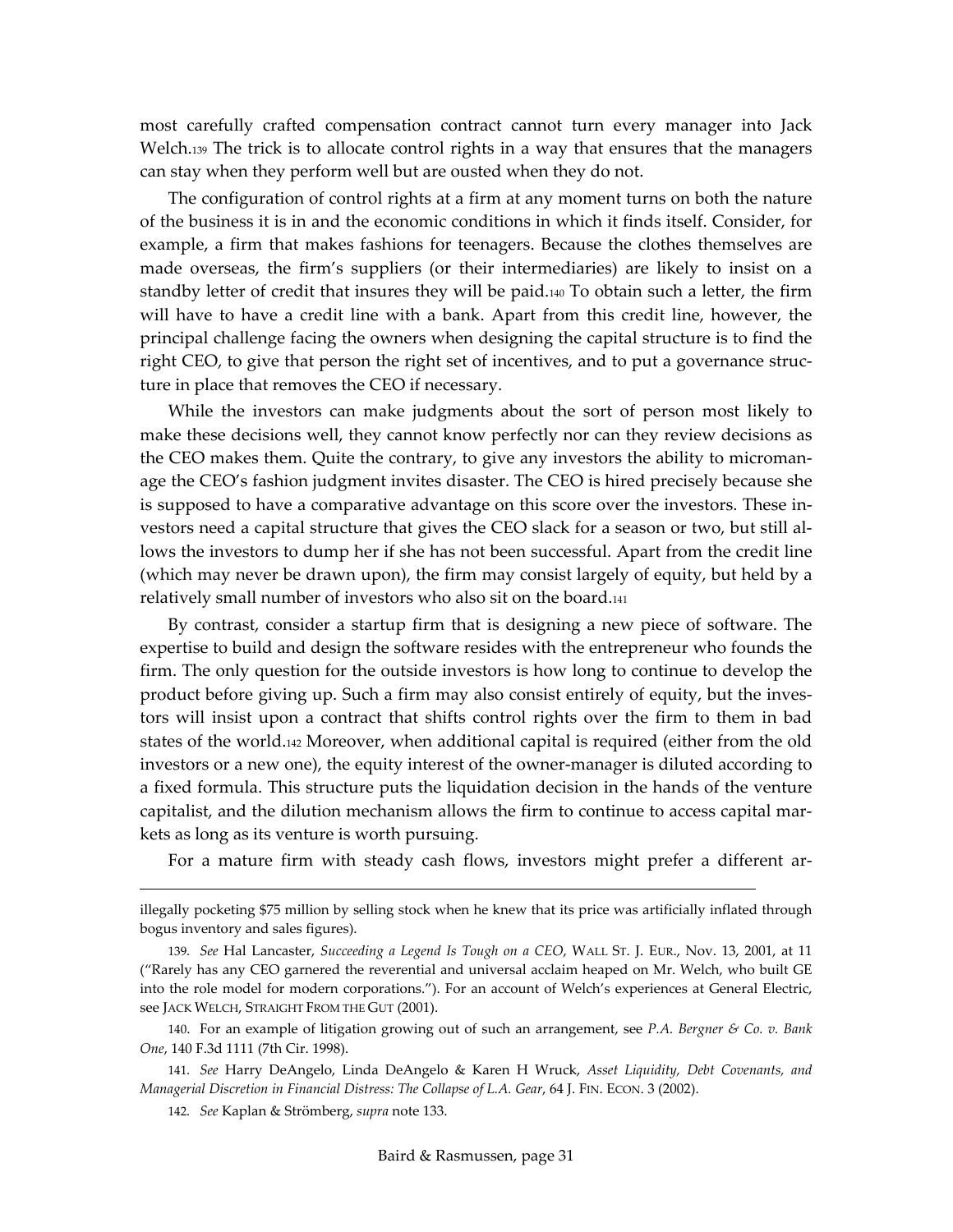most carefully crafted compensation contract cannot turn every manager into Jack Welch.<sub>139</sub> The trick is to allocate control rights in a way that ensures that the managers can stay when they perform well but are ousted when they do not.

The configuration of control rights at a firm at any moment turns on both the nature of the business it is in and the economic conditions in which it finds itself. Consider, for example, a firm that makes fashions for teenagers. Because the clothes themselves are made overseas, the firm's suppliers (or their intermediaries) are likely to insist on a standby letter of credit that insures they will be paid.[140 T](#page-31-1)o obtain such a letter, the firm will have to have a credit line with a bank. Apart from this credit line, however, the principal challenge facing the owners when designing the capital structure is to find the right CEO, to give that person the right set of incentives, and to put a governance structure in place that removes the CEO if necessary.

While the investors can make judgments about the sort of person most likely to make these decisions well, they cannot know perfectly nor can they review decisions as the CEO makes them. Quite the contrary, to give any investors the ability to micromanage the CEO's fashion judgment invites disaster. The CEO is hired precisely because she is supposed to have a comparative advantage on this score over the investors. These investors need a capital structure that gives the CEO slack for a season or two, but still allows the investors to dump her if she has not been successful. Apart from the credit line (which may never be drawn upon), the firm may consist largely of equity, but held by a relatively small number of investors who also sit on the board.[141](#page-31-2)

By contrast, consider a startup firm that is designing a new piece of software. The expertise to build and design the software resides with the entrepreneur who founds the firm. The only question for the outside investors is how long to continue to develop the product before giving up. Such a firm may also consist entirely of equity, but the investors will insist upon a contract that shifts control rights over the firm to them in bad states of the world[.142 M](#page-31-3)oreover, when additional capital is required (either from the old investors or a new one), the equity interest of the owner-manager is diluted according to a fixed formula. This structure puts the liquidation decision in the hands of the venture capitalist, and the dilution mechanism allows the firm to continue to access capital markets as long as its venture is worth pursuing.

For a mature firm with steady cash flows, investors might prefer a different ar-

illegally pocketing \$75 million by selling stock when he knew that its price was artificially inflated through bogus inventory and sales figures).

<span id="page-31-0"></span><sup>139</sup>*. See* Hal Lancaster, *Succeeding a Legend Is Tough on a CEO*, WALL ST. J. EUR., Nov. 13, 2001, at 11 ("Rarely has any CEO garnered the reverential and universal acclaim heaped on Mr. Welch, who built GE into the role model for modern corporations."). For an account of Welch's experiences at General Electric, see JACK WELCH, STRAIGHT FROM THE GUT (2001).

<span id="page-31-1"></span><sup>140.</sup> For an example of litigation growing out of such an arrangement, see *P.A. Bergner & Co. v. Bank One*, 140 F.3d 1111 (7th Cir. 1998).

<span id="page-31-2"></span><sup>141</sup>*. See* Harry DeAngelo, Linda DeAngelo & Karen H Wruck, *Asset Liquidity, Debt Covenants, and Managerial Discretion in Financial Distress: The Collapse of L.A. Gear*, 64 J. FIN. ECON. 3 (2002).

<span id="page-31-3"></span><sup>142</sup>*. See* Kaplan & Strömberg, *supra* note 133.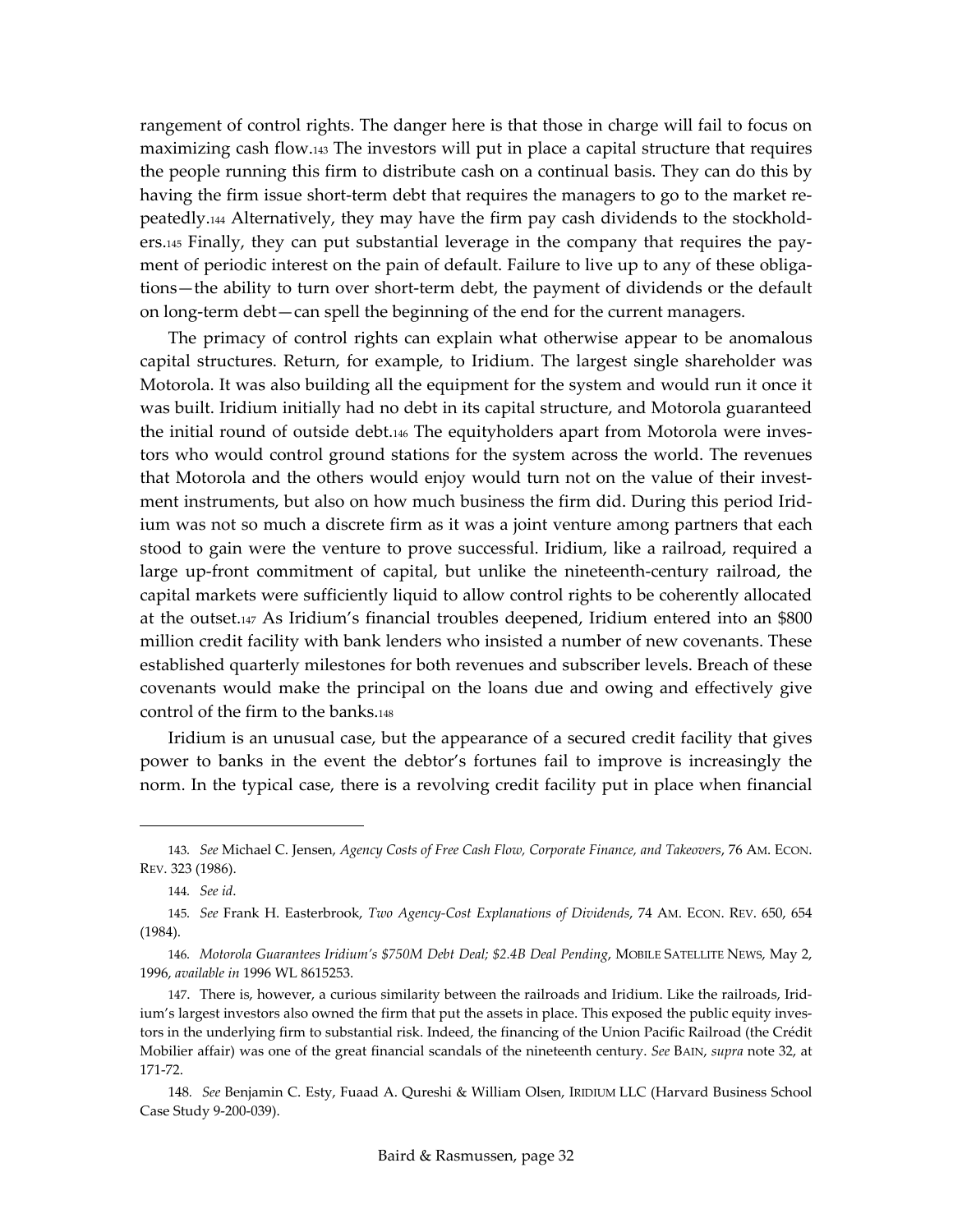rangement of control rights. The danger here is that those in charge will fail to focus on maximizing cash flow[.143](#page-32-0) The investors will put in place a capital structure that requires the people running this firm to distribute cash on a continual basis. They can do this by having the firm issue short-term debt that requires the managers to go to the market repeatedly[.144](#page-32-1) Alternatively, they may have the firm pay cash dividends to the stockholders[.145 F](#page-32-2)inally, they can put substantial leverage in the company that requires the payment of periodic interest on the pain of default. Failure to live up to any of these obligations—the ability to turn over short-term debt, the payment of dividends or the default on long-term debt—can spell the beginning of the end for the current managers.

The primacy of control rights can explain what otherwise appear to be anomalous capital structures. Return, for example, to Iridium. The largest single shareholder was Motorola. It was also building all the equipment for the system and would run it once it was built. Iridium initially had no debt in its capital structure, and Motorola guaranteed the initial round of outside debt.[146](#page-32-3) The equityholders apart from Motorola were investors who would control ground stations for the system across the world. The revenues that Motorola and the others would enjoy would turn not on the value of their investment instruments, but also on how much business the firm did. During this period Iridium was not so much a discrete firm as it was a joint venture among partners that each stood to gain were the venture to prove successful. Iridium, like a railroad, required a large up-front commitment of capital, but unlike the nineteenth-century railroad, the capital markets were sufficiently liquid to allow control rights to be coherently allocated at the outset.[147](#page-32-4) As Iridium's financial troubles deepened, Iridium entered into an \$800 million credit facility with bank lenders who insisted a number of new covenants. These established quarterly milestones for both revenues and subscriber levels. Breach of these covenants would make the principal on the loans due and owing and effectively give control of the firm to the banks[.148](#page-32-5) 

Iridium is an unusual case, but the appearance of a secured credit facility that gives power to banks in the event the debtor's fortunes fail to improve is increasingly the norm. In the typical case, there is a revolving credit facility put in place when financial

<span id="page-32-0"></span><sup>143</sup>*. See* Michael C. Jensen, *Agency Costs of Free Cash Flow, Corporate Finance, and Takeovers*, 76 AM. ECON. REV. 323 (1986).

<sup>144</sup>*. See id*.

<span id="page-32-2"></span><span id="page-32-1"></span><sup>145</sup>*. See* Frank H. Easterbrook, *Two Agency-Cost Explanations of Dividends*, 74 AM. ECON. REV. 650, 654 (1984).

<span id="page-32-3"></span><sup>146</sup>*. Motorola Guarantees Iridium's \$750M Debt Deal; \$2.4B Deal Pending*, MOBILE SATELLITE NEWS, May 2, 1996, *available in* 1996 WL 8615253.

<span id="page-32-4"></span><sup>147.</sup> There is, however, a curious similarity between the railroads and Iridium. Like the railroads, Iridium's largest investors also owned the firm that put the assets in place. This exposed the public equity investors in the underlying firm to substantial risk. Indeed, the financing of the Union Pacific Railroad (the Crédit Mobilier affair) was one of the great financial scandals of the nineteenth century. *See* BAIN, *supra* note 32, at 171-72.

<span id="page-32-5"></span><sup>148</sup>*. See* Benjamin C. Esty, Fuaad A. Qureshi & William Olsen, IRIDIUM LLC (Harvard Business School Case Study 9-200-039).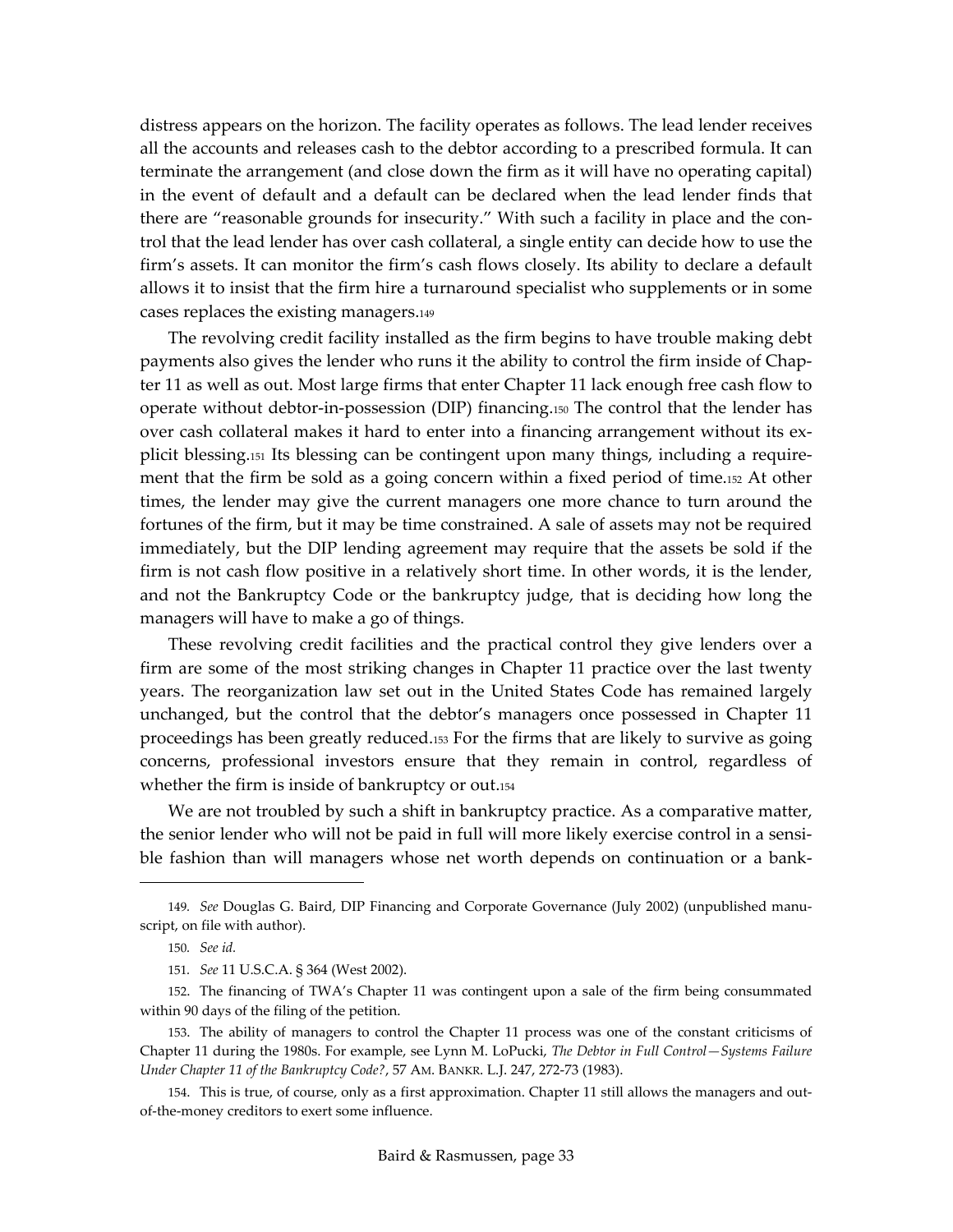distress appears on the horizon. The facility operates as follows. The lead lender receives all the accounts and releases cash to the debtor according to a prescribed formula. It can terminate the arrangement (and close down the firm as it will have no operating capital) in the event of default and a default can be declared when the lead lender finds that there are "reasonable grounds for insecurity." With such a facility in place and the control that the lead lender has over cash collateral, a single entity can decide how to use the firm's assets. It can monitor the firm's cash flows closely. Its ability to declare a default allows it to insist that the firm hire a turnaround specialist who supplements or in some cases replaces the existing managers[.149](#page-33-0)

The revolving credit facility installed as the firm begins to have trouble making debt payments also gives the lender who runs it the ability to control the firm inside of Chapter 11 as well as out. Most large firms that enter Chapter 11 lack enough free cash flow to operate without debtor-in-possession (DIP) financing.[150 T](#page-33-1)he control that the lender has over cash collateral makes it hard to enter into a financing arrangement without its explicit blessing.[151 I](#page-33-2)ts blessing can be contingent upon many things, including a requirement that the firm be sold as a going concern within a fixed period of time[.152 A](#page-33-3)t other times, the lender may give the current managers one more chance to turn around the fortunes of the firm, but it may be time constrained. A sale of assets may not be required immediately, but the DIP lending agreement may require that the assets be sold if the firm is not cash flow positive in a relatively short time. In other words, it is the lender, and not the Bankruptcy Code or the bankruptcy judge, that is deciding how long the managers will have to make a go of things.

These revolving credit facilities and the practical control they give lenders over a firm are some of the most striking changes in Chapter 11 practice over the last twenty years. The reorganization law set out in the United States Code has remained largely unchanged, but the control that the debtor's managers once possessed in Chapter 11 proceedings has been greatly reduced[.153 F](#page-33-4)or the firms that are likely to survive as going concerns, professional investors ensure that they remain in control, regardless of whether the firm is inside of bankruptcy or out[.154](#page-33-5)

We are not troubled by such a shift in bankruptcy practice. As a comparative matter, the senior lender who will not be paid in full will more likely exercise control in a sensible fashion than will managers whose net worth depends on continuation or a bank-

<span id="page-33-0"></span><sup>149</sup>*. See* Douglas G. Baird, DIP Financing and Corporate Governance (July 2002) (unpublished manuscript, on file with author).

<span id="page-33-1"></span><sup>150</sup>*. See id.*

<sup>151</sup>*. See* 11 U.S.C.A. § 364 (West 2002).

<span id="page-33-3"></span><span id="page-33-2"></span><sup>152.</sup> The financing of TWA's Chapter 11 was contingent upon a sale of the firm being consummated within 90 days of the filing of the petition.

<span id="page-33-4"></span><sup>153.</sup> The ability of managers to control the Chapter 11 process was one of the constant criticisms of Chapter 11 during the 1980s. For example, see Lynn M. LoPucki, *The Debtor in Full Control—Systems Failure Under Chapter 11 of the Bankruptcy Code?*, 57 AM. BANKR. L.J. 247, 272-73 (1983).

<span id="page-33-5"></span><sup>154.</sup> This is true, of course, only as a first approximation. Chapter 11 still allows the managers and outof-the-money creditors to exert some influence.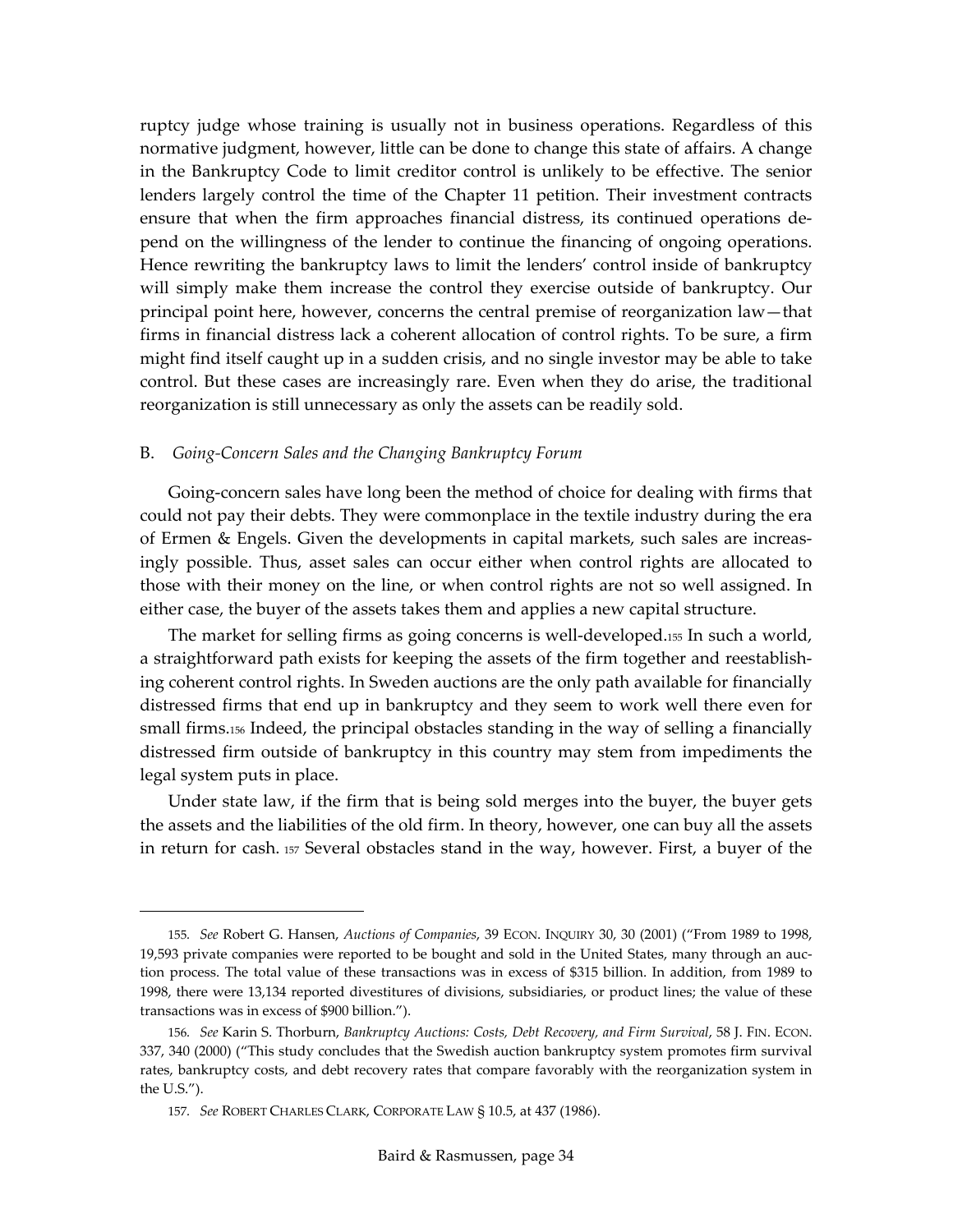ruptcy judge whose training is usually not in business operations. Regardless of this normative judgment, however, little can be done to change this state of affairs. A change in the Bankruptcy Code to limit creditor control is unlikely to be effective. The senior lenders largely control the time of the Chapter 11 petition. Their investment contracts ensure that when the firm approaches financial distress, its continued operations depend on the willingness of the lender to continue the financing of ongoing operations. Hence rewriting the bankruptcy laws to limit the lenders' control inside of bankruptcy will simply make them increase the control they exercise outside of bankruptcy. Our principal point here, however, concerns the central premise of reorganization law—that firms in financial distress lack a coherent allocation of control rights. To be sure, a firm might find itself caught up in a sudden crisis, and no single investor may be able to take control. But these cases are increasingly rare. Even when they do arise, the traditional reorganization is still unnecessary as only the assets can be readily sold.

#### B. *Going-Concern Sales and the Changing Bankruptcy Forum*

Going-concern sales have long been the method of choice for dealing with firms that could not pay their debts. They were commonplace in the textile industry during the era of Ermen & Engels. Given the developments in capital markets, such sales are increasingly possible. Thus, asset sales can occur either when control rights are allocated to those with their money on the line, or when control rights are not so well assigned. In either case, the buyer of the assets takes them and applies a new capital structure.

The market for selling firms as going concerns is well-developed.[155 I](#page-34-0)n such a world, a straightforward path exists for keeping the assets of the firm together and reestablishing coherent control rights. In Sweden auctions are the only path available for financially distressed firms that end up in bankruptcy and they seem to work well there even for small firms.[156 I](#page-34-1)ndeed, the principal obstacles standing in the way of selling a financially distressed firm outside of bankruptcy in this country may stem from impediments the legal system puts in place.

Under state law, if the firm that is being sold merges into the buyer, the buyer gets the assets and the liabilities of the old firm. In theory, however, one can buy all the assets in return for cash. [157](#page-34-2) Several obstacles stand in the way, however. First, a buyer of the

<span id="page-34-0"></span><sup>155</sup>*. See* Robert G. Hansen, *Auctions of Companies*, 39 ECON. INQUIRY 30, 30 (2001) ("From 1989 to 1998, 19,593 private companies were reported to be bought and sold in the United States, many through an auction process. The total value of these transactions was in excess of \$315 billion. In addition, from 1989 to 1998, there were 13,134 reported divestitures of divisions, subsidiaries, or product lines; the value of these transactions was in excess of \$900 billion.").

<span id="page-34-1"></span><sup>156</sup>*. See* Karin S. Thorburn, *Bankruptcy Auctions: Costs, Debt Recovery, and Firm Survival*, 58 J. FIN. ECON. 337, 340 (2000) ("This study concludes that the Swedish auction bankruptcy system promotes firm survival rates, bankruptcy costs, and debt recovery rates that compare favorably with the reorganization system in the U.S.").

<span id="page-34-2"></span><sup>157</sup>*. See* ROBERT CHARLES CLARK, CORPORATE LAW § 10.5, at 437 (1986).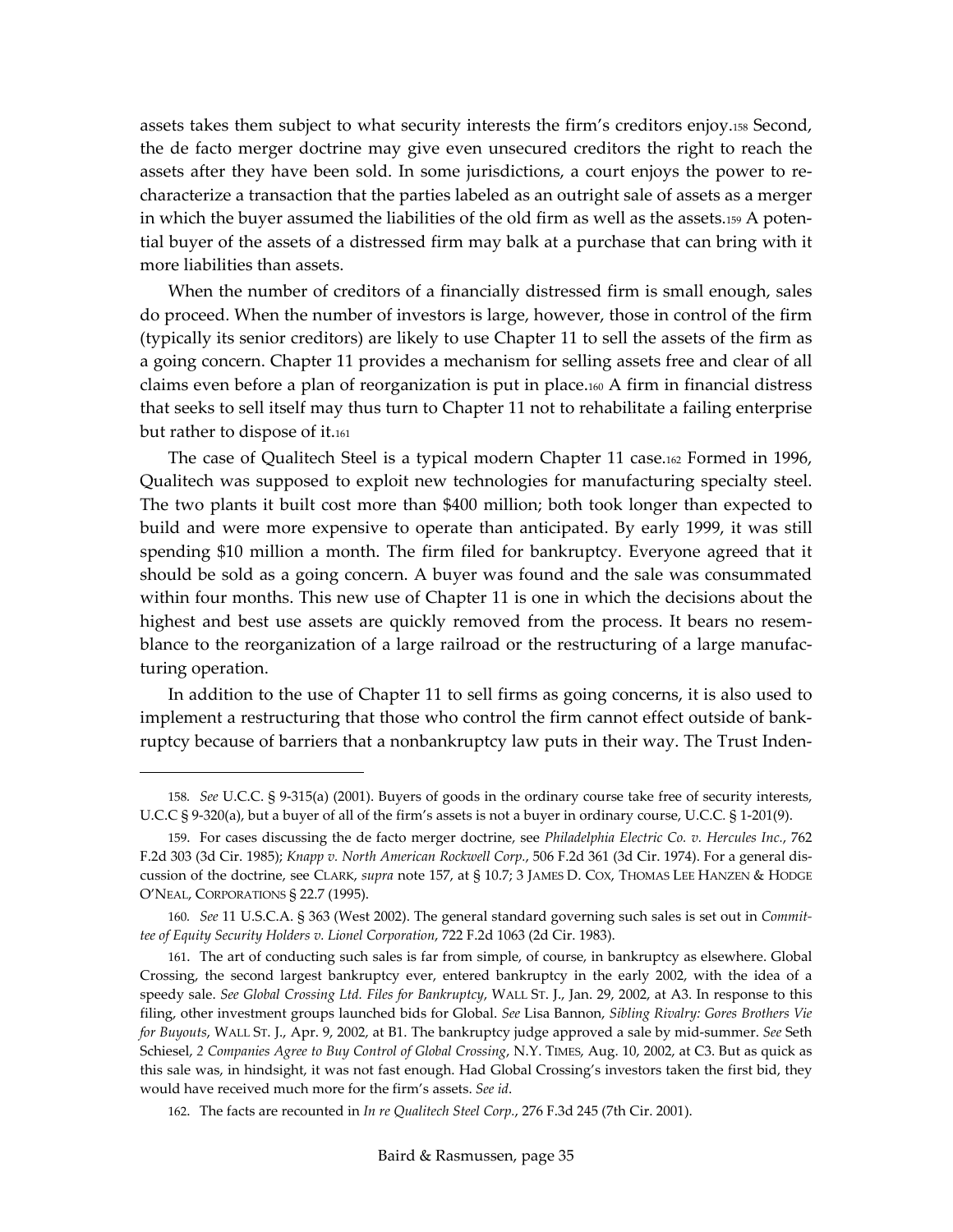assets takes them subject to what security interests the firm's creditors enjoy[.158](#page-35-0) Second, the de facto merger doctrine may give even unsecured creditors the right to reach the assets after they have been sold. In some jurisdictions, a court enjoys the power to recharacterize a transaction that the parties labeled as an outright sale of assets as a merger in which the buyer assumed the liabilities of the old firm as well as the assets.[159 A](#page-35-1) potential buyer of the assets of a distressed firm may balk at a purchase that can bring with it more liabilities than assets.

When the number of creditors of a financially distressed firm is small enough, sales do proceed. When the number of investors is large, however, those in control of the firm (typically its senior creditors) are likely to use Chapter 11 to sell the assets of the firm as a going concern. Chapter 11 provides a mechanism for selling assets free and clear of all claims even before a plan of reorganization is put in place[.160](#page-35-2) A firm in financial distress that seeks to sell itself may thus turn to Chapter 11 not to rehabilitate a failing enterprise but rather to dispose of it[.161](#page-35-3)

The case of Qualitech Steel is a typical modern Chapter 11 case[.162 F](#page-35-4)ormed in 1996, Qualitech was supposed to exploit new technologies for manufacturing specialty steel. The two plants it built cost more than \$400 million; both took longer than expected to build and were more expensive to operate than anticipated. By early 1999, it was still spending \$10 million a month. The firm filed for bankruptcy. Everyone agreed that it should be sold as a going concern. A buyer was found and the sale was consummated within four months. This new use of Chapter 11 is one in which the decisions about the highest and best use assets are quickly removed from the process. It bears no resemblance to the reorganization of a large railroad or the restructuring of a large manufacturing operation.

In addition to the use of Chapter 11 to sell firms as going concerns, it is also used to implement a restructuring that those who control the firm cannot effect outside of bankruptcy because of barriers that a nonbankruptcy law puts in their way. The Trust Inden-

<span id="page-35-0"></span><sup>158</sup>*. See* U.C.C. § 9-315(a) (2001). Buyers of goods in the ordinary course take free of security interests, U.C.C § 9-320(a), but a buyer of all of the firm's assets is not a buyer in ordinary course, U.C.C*.* § 1-201(9).

<span id="page-35-1"></span><sup>159.</sup> For cases discussing the de facto merger doctrine, see *Philadelphia Electric Co. v. Hercules Inc.*, 762 F.2d 303 (3d Cir. 1985); *Knapp v. North American Rockwell Corp.*, 506 F.2d 361 (3d Cir. 1974). For a general discussion of the doctrine, see CLARK, *supra* note 157, at § 10.7; 3 JAMES D. COX, THOMAS LEE HANZEN & HODGE O'NEAL, CORPORATIONS § 22.7 (1995).

<span id="page-35-2"></span><sup>160</sup>*. See* 11 U.S.C.A. § 363 (West 2002). The general standard governing such sales is set out in *Committee of Equity Security Holders v. Lionel Corporation*, 722 F.2d 1063 (2d Cir. 1983).

<span id="page-35-3"></span><sup>161.</sup> The art of conducting such sales is far from simple, of course, in bankruptcy as elsewhere. Global Crossing, the second largest bankruptcy ever, entered bankruptcy in the early 2002, with the idea of a speedy sale. *See Global Crossing Ltd. Files for Bankruptcy*, WALL ST. J., Jan. 29, 2002, at A3. In response to this filing, other investment groups launched bids for Global. *See* Lisa Bannon, *Sibling Rivalry: Gores Brothers Vie for Buyouts*, WALL ST. J., Apr. 9, 2002, at B1. The bankruptcy judge approved a sale by mid-summer. *See* Seth Schiesel, *2 Companies Agree to Buy Control of Global Crossing*, N.Y. TIMES, Aug. 10, 2002, at C3. But as quick as this sale was, in hindsight, it was not fast enough. Had Global Crossing's investors taken the first bid, they would have received much more for the firm's assets. *See id*.

<span id="page-35-4"></span><sup>162.</sup> The facts are recounted in *In re Qualitech Steel Corp.*, 276 F.3d 245 (7th Cir. 2001).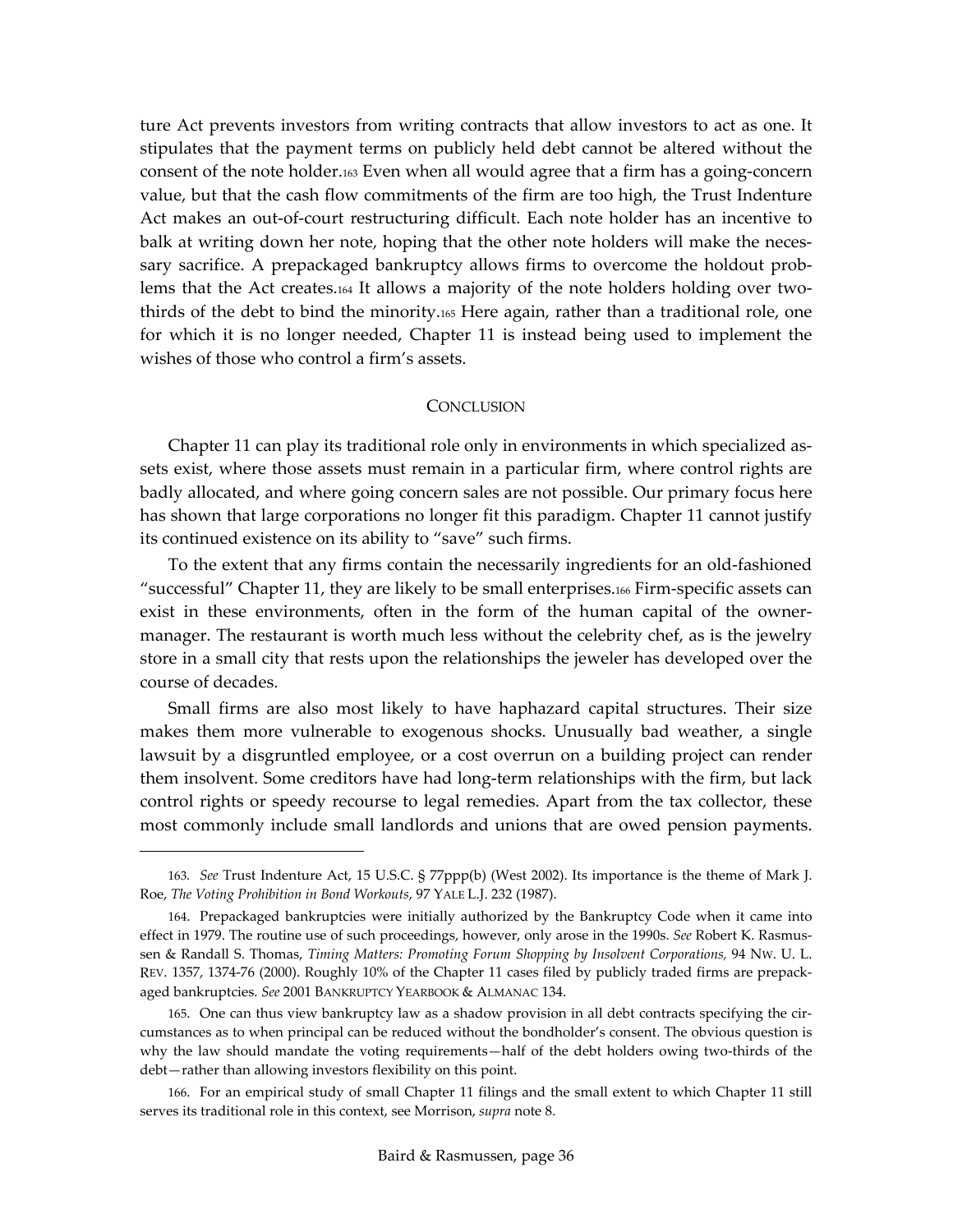ture Act prevents investors from writing contracts that allow investors to act as one. It stipulates that the payment terms on publicly held debt cannot be altered without the consent of the note holder.[163 E](#page-36-0)ven when all would agree that a firm has a going-concern value, but that the cash flow commitments of the firm are too high, the Trust Indenture Act makes an out-of-court restructuring difficult. Each note holder has an incentive to balk at writing down her note, hoping that the other note holders will make the necessary sacrifice. A prepackaged bankruptcy allows firms to overcome the holdout problems that the Act creates.[164](#page-36-1) It allows a majority of the note holders holding over twothirds of the debt to bind the minority[.165](#page-36-2) Here again, rather than a traditional role, one for which it is no longer needed, Chapter 11 is instead being used to implement the wishes of those who control a firm's assets.

#### **CONCLUSION**

Chapter 11 can play its traditional role only in environments in which specialized assets exist, where those assets must remain in a particular firm, where control rights are badly allocated, and where going concern sales are not possible. Our primary focus here has shown that large corporations no longer fit this paradigm. Chapter 11 cannot justify its continued existence on its ability to "save" such firms.

To the extent that any firms contain the necessarily ingredients for an old-fashioned "successful" Chapter 11, they are likely to be small enterprises[.166 F](#page-36-3)irm-specific assets can exist in these environments, often in the form of the human capital of the ownermanager. The restaurant is worth much less without the celebrity chef, as is the jewelry store in a small city that rests upon the relationships the jeweler has developed over the course of decades.

Small firms are also most likely to have haphazard capital structures. Their size makes them more vulnerable to exogenous shocks. Unusually bad weather, a single lawsuit by a disgruntled employee, or a cost overrun on a building project can render them insolvent. Some creditors have had long-term relationships with the firm, but lack control rights or speedy recourse to legal remedies. Apart from the tax collector, these most commonly include small landlords and unions that are owed pension payments.

<span id="page-36-0"></span><sup>163</sup>*. See* Trust Indenture Act, 15 U.S.C. § 77ppp(b) (West 2002). Its importance is the theme of Mark J. Roe, *The Voting Prohibition in Bond Workouts*, 97 YALE L.J. 232 (1987).

<span id="page-36-1"></span><sup>164.</sup> Prepackaged bankruptcies were initially authorized by the Bankruptcy Code when it came into effect in 1979. The routine use of such proceedings, however, only arose in the 1990s. *See* Robert K. Rasmussen & Randall S. Thomas, *Timing Matters: Promoting Forum Shopping by Insolvent Corporations, 94 Nw. U. L.* REV. 1357, 1374-76 (2000). Roughly 10% of the Chapter 11 cases filed by publicly traded firms are prepackaged bankruptcies. *See* 2001 BANKRUPTCY YEARBOOK & ALMANAC 134.

<span id="page-36-2"></span><sup>165.</sup> One can thus view bankruptcy law as a shadow provision in all debt contracts specifying the circumstances as to when principal can be reduced without the bondholder's consent. The obvious question is why the law should mandate the voting requirements—half of the debt holders owing two-thirds of the debt—rather than allowing investors flexibility on this point.

<span id="page-36-3"></span><sup>166.</sup> For an empirical study of small Chapter 11 filings and the small extent to which Chapter 11 still serves its traditional role in this context, see Morrison, *supra* note 8.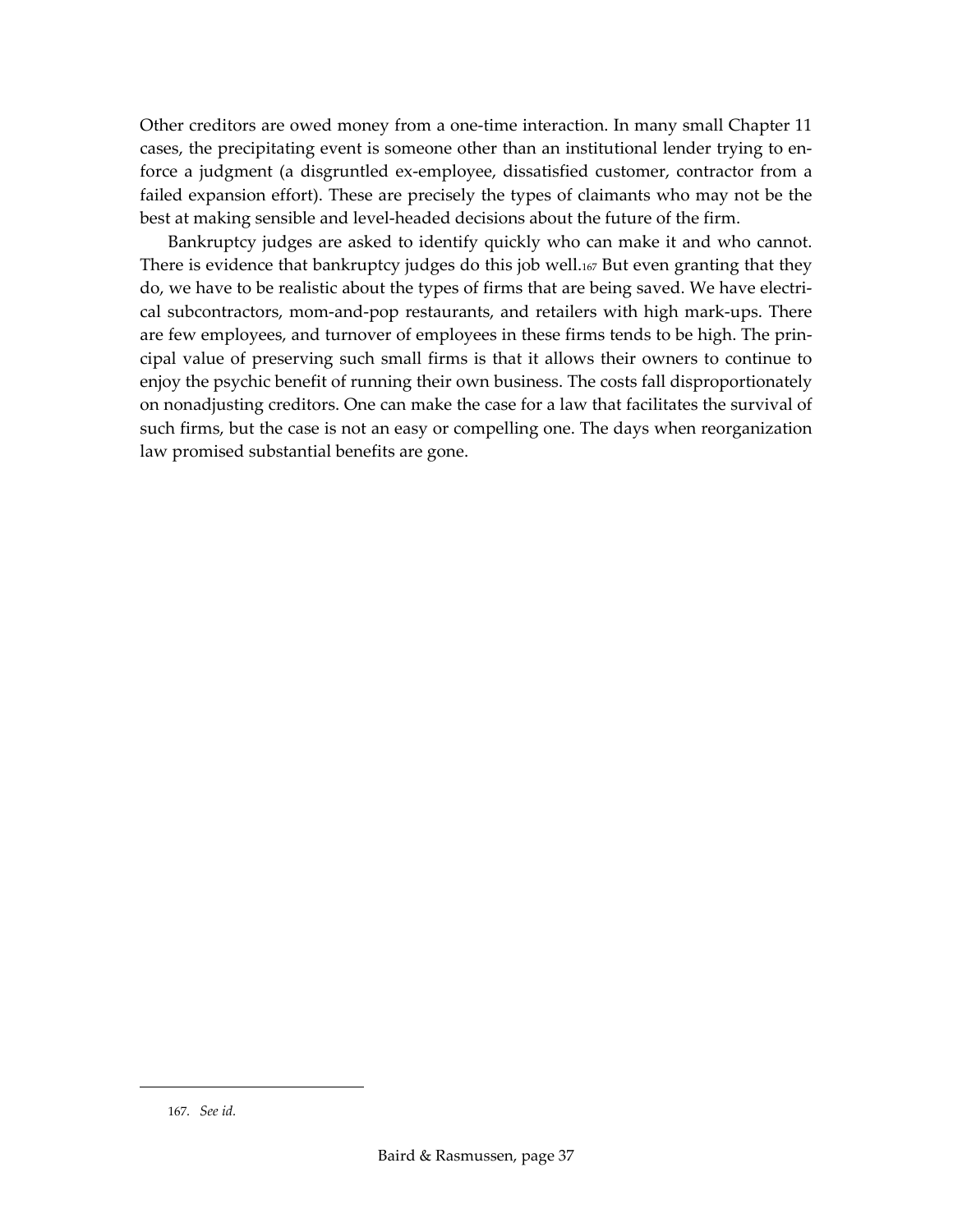Other creditors are owed money from a one-time interaction. In many small Chapter 11 cases, the precipitating event is someone other than an institutional lender trying to enforce a judgment (a disgruntled ex-employee, dissatisfied customer, contractor from a failed expansion effort). These are precisely the types of claimants who may not be the best at making sensible and level-headed decisions about the future of the firm.

Bankruptcy judges are asked to identify quickly who can make it and who cannot. There is evidence that bankruptcy judges do this job well.[167 B](#page-37-0)ut even granting that they do, we have to be realistic about the types of firms that are being saved. We have electrical subcontractors, mom-and-pop restaurants, and retailers with high mark-ups. There are few employees, and turnover of employees in these firms tends to be high. The principal value of preserving such small firms is that it allows their owners to continue to enjoy the psychic benefit of running their own business. The costs fall disproportionately on nonadjusting creditors. One can make the case for a law that facilitates the survival of such firms, but the case is not an easy or compelling one. The days when reorganization law promised substantial benefits are gone.

<span id="page-37-0"></span><sup>167</sup>*. See id.*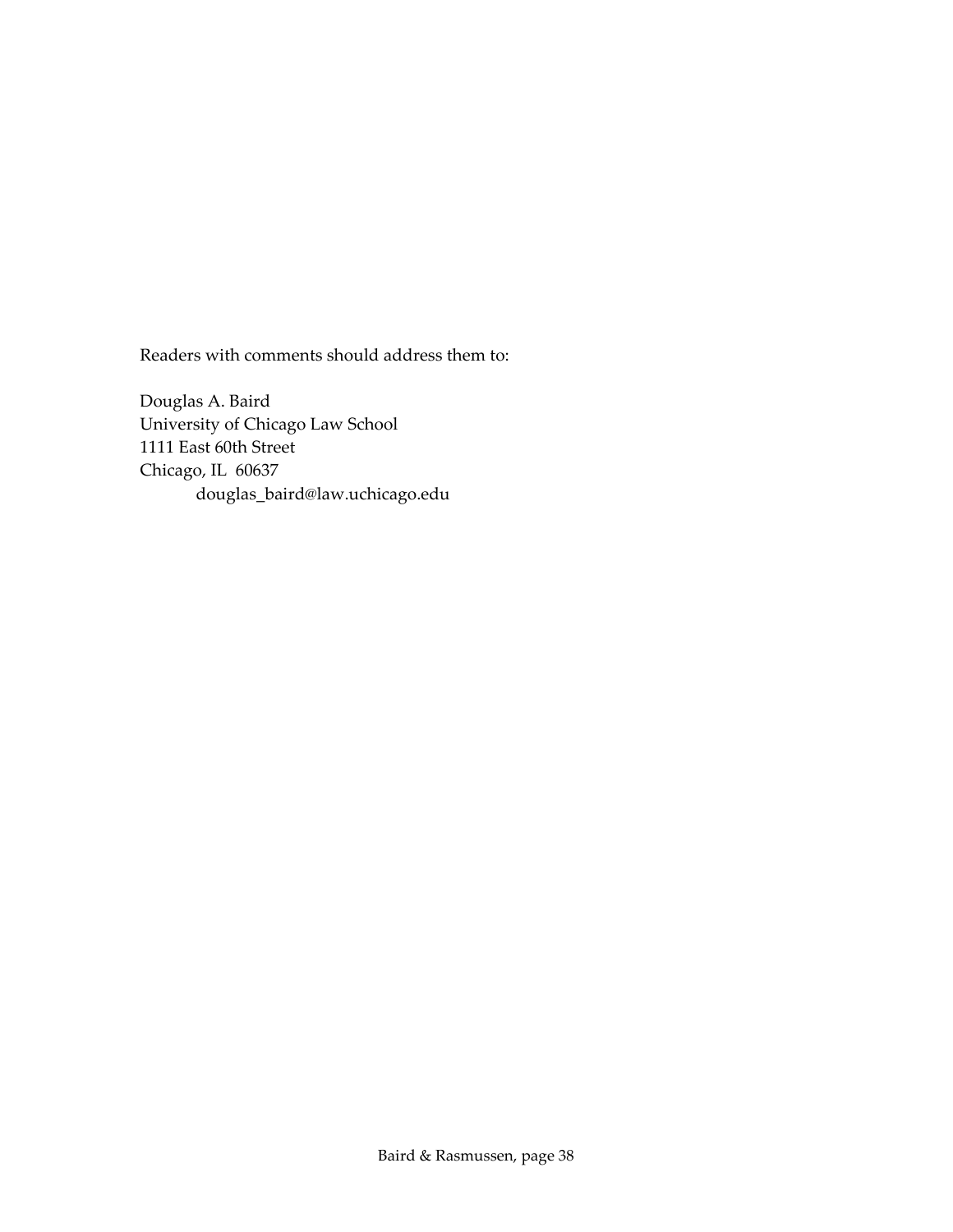Readers with comments should address them to:

Douglas A. Baird University of Chicago Law School 1111 East 60th Street Chicago, IL 60637 douglas\_baird@law.uchicago.edu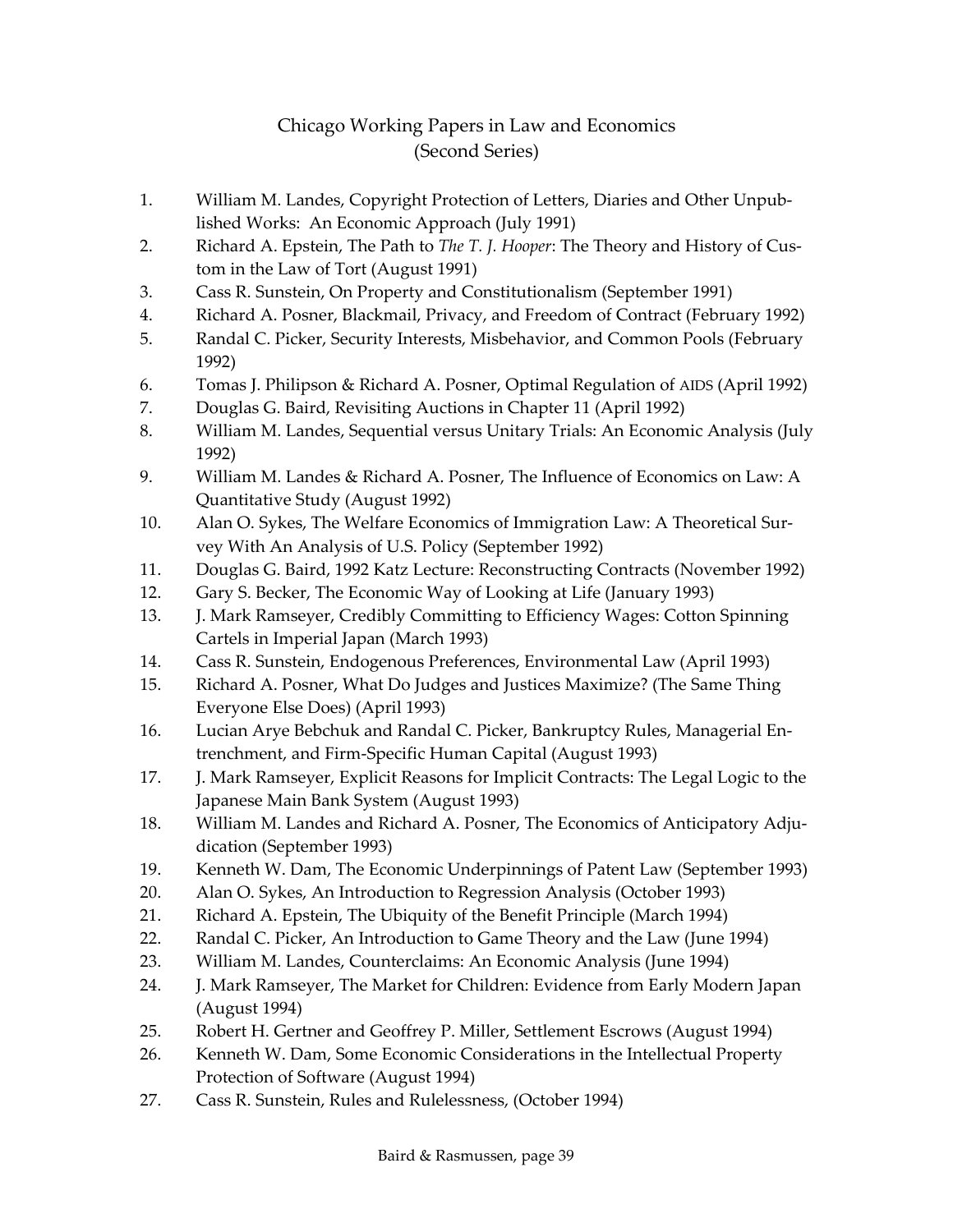# Chicago Working Papers in Law and Economics (Second Series)

- 1. William M. Landes, Copyright Protection of Letters, Diaries and Other Unpublished Works: An Economic Approach (July 1991)
- 2. Richard A. Epstein, The Path to *The T. J. Hooper*: The Theory and History of Custom in the Law of Tort (August 1991)
- 3. Cass R. Sunstein, On Property and Constitutionalism (September 1991)
- 4. Richard A. Posner, Blackmail, Privacy, and Freedom of Contract (February 1992)
- 5. Randal C. Picker, Security Interests, Misbehavior, and Common Pools (February 1992)
- 6. Tomas J. Philipson & Richard A. Posner, Optimal Regulation of AIDS (April 1992)
- 7. Douglas G. Baird, Revisiting Auctions in Chapter 11 (April 1992)
- 8. William M. Landes, Sequential versus Unitary Trials: An Economic Analysis (July 1992)
- 9. William M. Landes & Richard A. Posner, The Influence of Economics on Law: A Quantitative Study (August 1992)
- 10. Alan O. Sykes, The Welfare Economics of Immigration Law: A Theoretical Survey With An Analysis of U.S. Policy (September 1992)
- 11. Douglas G. Baird, 1992 Katz Lecture: Reconstructing Contracts (November 1992)
- 12. Gary S. Becker, The Economic Way of Looking at Life (January 1993)
- 13. J. Mark Ramseyer, Credibly Committing to Efficiency Wages: Cotton Spinning Cartels in Imperial Japan (March 1993)
- 14. Cass R. Sunstein, Endogenous Preferences, Environmental Law (April 1993)
- 15. Richard A. Posner, What Do Judges and Justices Maximize? (The Same Thing Everyone Else Does) (April 1993)
- 16. Lucian Arye Bebchuk and Randal C. Picker, Bankruptcy Rules, Managerial Entrenchment, and Firm-Specific Human Capital (August 1993)
- 17. J. Mark Ramseyer, Explicit Reasons for Implicit Contracts: The Legal Logic to the Japanese Main Bank System (August 1993)
- 18. William M. Landes and Richard A. Posner, The Economics of Anticipatory Adjudication (September 1993)
- 19. Kenneth W. Dam, The Economic Underpinnings of Patent Law (September 1993)
- 20. Alan O. Sykes, An Introduction to Regression Analysis (October 1993)
- 21. Richard A. Epstein, The Ubiquity of the Benefit Principle (March 1994)
- 22. Randal C. Picker, An Introduction to Game Theory and the Law (June 1994)
- 23. William M. Landes, Counterclaims: An Economic Analysis (June 1994)
- 24. J. Mark Ramseyer, The Market for Children: Evidence from Early Modern Japan (August 1994)
- 25. Robert H. Gertner and Geoffrey P. Miller, Settlement Escrows (August 1994)
- 26. Kenneth W. Dam, Some Economic Considerations in the Intellectual Property Protection of Software (August 1994)
- 27. Cass R. Sunstein, Rules and Rulelessness, (October 1994)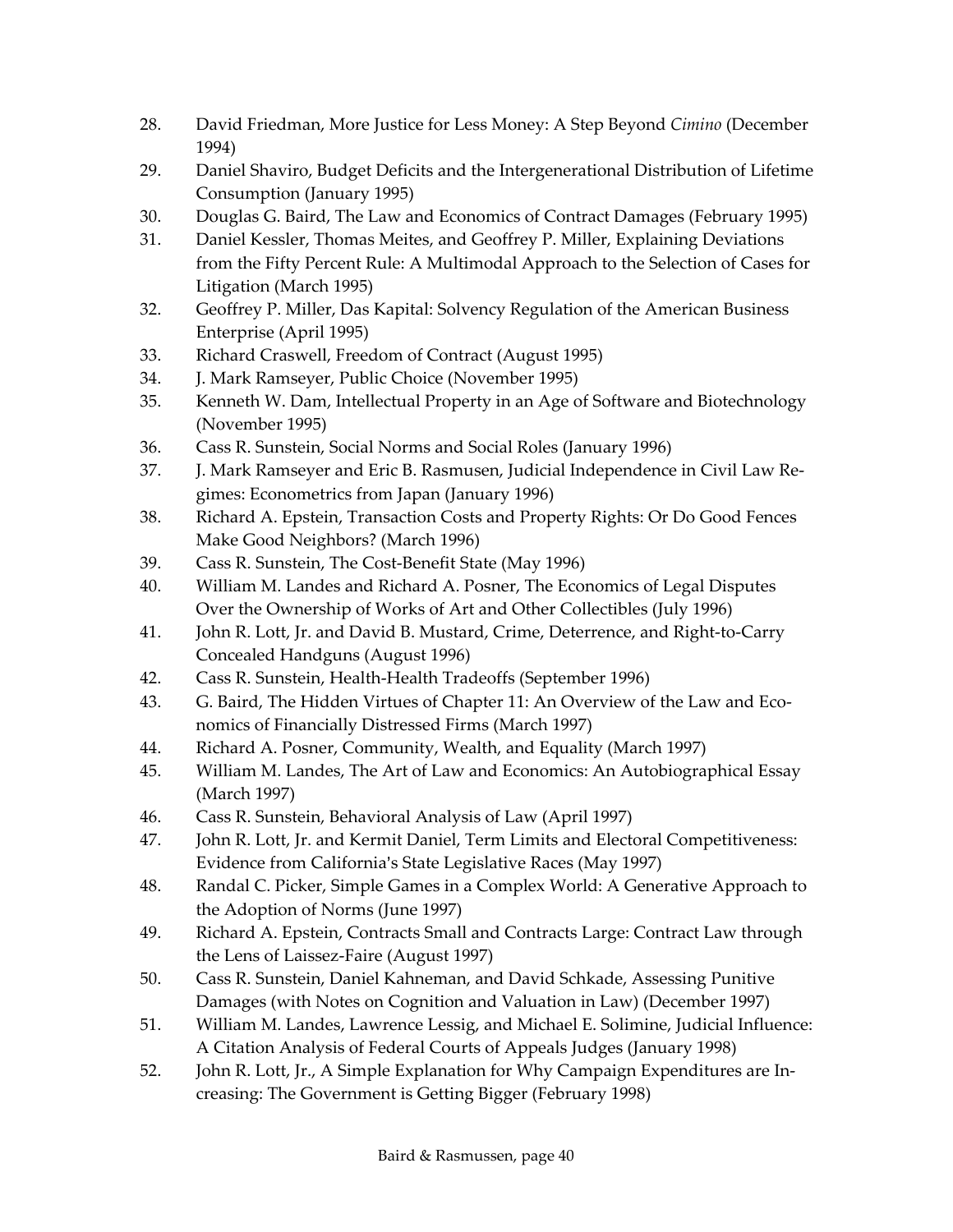- 28. David Friedman, More Justice for Less Money: A Step Beyond *Cimino* (December 1994)
- 29. Daniel Shaviro, Budget Deficits and the Intergenerational Distribution of Lifetime Consumption (January 1995)
- 30. Douglas G. Baird, The Law and Economics of Contract Damages (February 1995)
- 31. Daniel Kessler, Thomas Meites, and Geoffrey P. Miller, Explaining Deviations from the Fifty Percent Rule: A Multimodal Approach to the Selection of Cases for Litigation (March 1995)
- 32. Geoffrey P. Miller, Das Kapital: Solvency Regulation of the American Business Enterprise (April 1995)
- 33. Richard Craswell, Freedom of Contract (August 1995)
- 34. J. Mark Ramseyer, Public Choice (November 1995)
- 35. Kenneth W. Dam, Intellectual Property in an Age of Software and Biotechnology (November 1995)
- 36. Cass R. Sunstein, Social Norms and Social Roles (January 1996)
- 37. J. Mark Ramseyer and Eric B. Rasmusen, Judicial Independence in Civil Law Regimes: Econometrics from Japan (January 1996)
- 38. Richard A. Epstein, Transaction Costs and Property Rights: Or Do Good Fences Make Good Neighbors? (March 1996)
- 39. Cass R. Sunstein, The Cost-Benefit State (May 1996)
- 40. William M. Landes and Richard A. Posner, The Economics of Legal Disputes Over the Ownership of Works of Art and Other Collectibles (July 1996)
- 41. John R. Lott, Jr. and David B. Mustard, Crime, Deterrence, and Right-to-Carry Concealed Handguns (August 1996)
- 42. Cass R. Sunstein, Health-Health Tradeoffs (September 1996)
- 43. G. Baird, The Hidden Virtues of Chapter 11: An Overview of the Law and Economics of Financially Distressed Firms (March 1997)
- 44. Richard A. Posner, Community, Wealth, and Equality (March 1997)
- 45. William M. Landes, The Art of Law and Economics: An Autobiographical Essay (March 1997)
- 46. Cass R. Sunstein, Behavioral Analysis of Law (April 1997)
- 47. John R. Lott, Jr. and Kermit Daniel, Term Limits and Electoral Competitiveness: Evidence from California's State Legislative Races (May 1997)
- 48. Randal C. Picker, Simple Games in a Complex World: A Generative Approach to the Adoption of Norms (June 1997)
- 49. Richard A. Epstein, Contracts Small and Contracts Large: Contract Law through the Lens of Laissez-Faire (August 1997)
- 50. Cass R. Sunstein, Daniel Kahneman, and David Schkade, Assessing Punitive Damages (with Notes on Cognition and Valuation in Law) (December 1997)
- 51. William M. Landes, Lawrence Lessig, and Michael E. Solimine, Judicial Influence: A Citation Analysis of Federal Courts of Appeals Judges (January 1998)
- 52. John R. Lott, Jr., A Simple Explanation for Why Campaign Expenditures are Increasing: The Government is Getting Bigger (February 1998)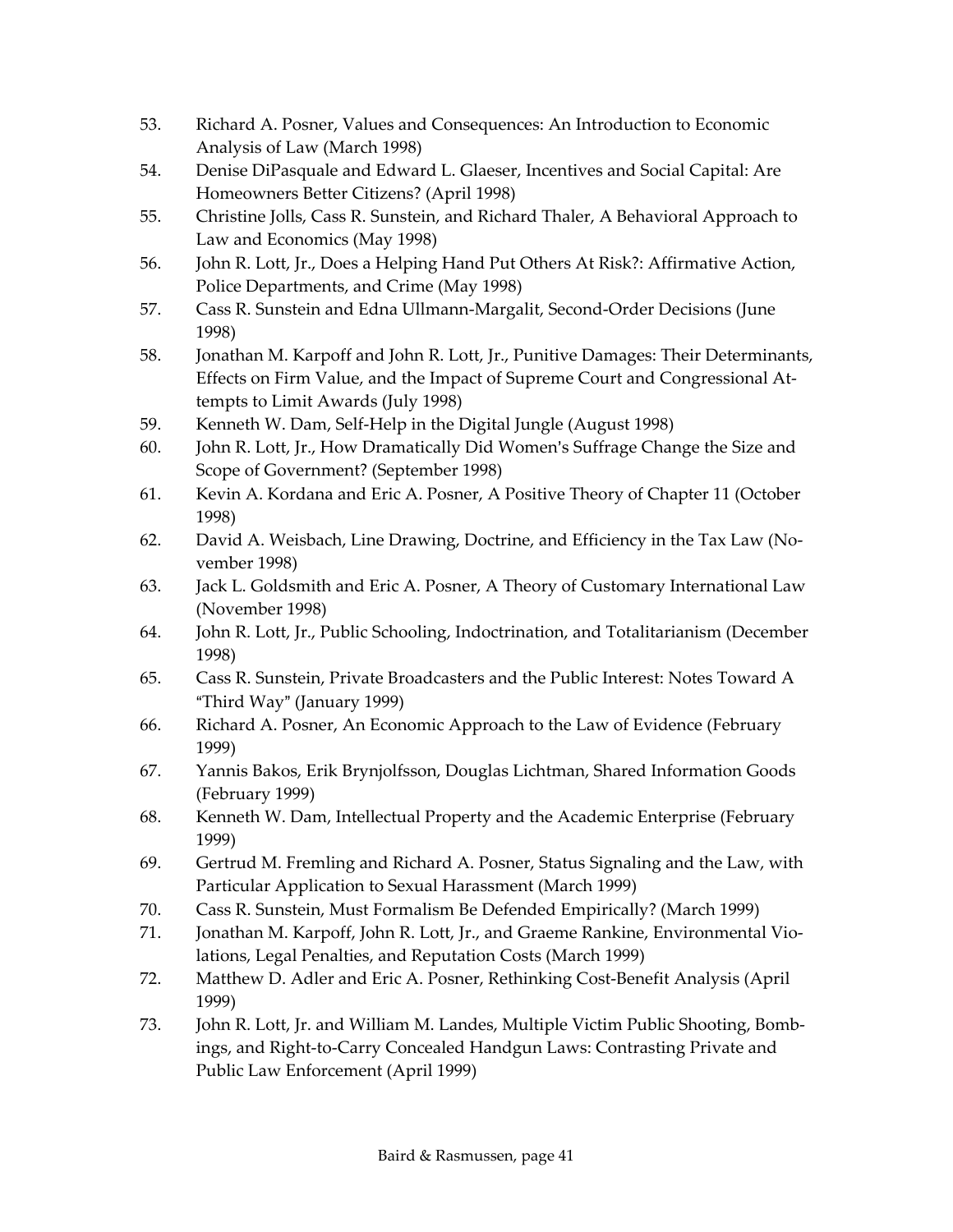- 53. Richard A. Posner, Values and Consequences: An Introduction to Economic Analysis of Law (March 1998)
- 54. Denise DiPasquale and Edward L. Glaeser, Incentives and Social Capital: Are Homeowners Better Citizens? (April 1998)
- 55. Christine Jolls, Cass R. Sunstein, and Richard Thaler, A Behavioral Approach to Law and Economics (May 1998)
- 56. John R. Lott, Jr., Does a Helping Hand Put Others At Risk?: Affirmative Action, Police Departments, and Crime (May 1998)
- 57. Cass R. Sunstein and Edna Ullmann-Margalit, Second-Order Decisions (June 1998)
- 58. Jonathan M. Karpoff and John R. Lott, Jr., Punitive Damages: Their Determinants, Effects on Firm Value, and the Impact of Supreme Court and Congressional Attempts to Limit Awards (July 1998)
- 59. Kenneth W. Dam, Self-Help in the Digital Jungle (August 1998)
- 60. John R. Lott, Jr., How Dramatically Did Women's Suffrage Change the Size and Scope of Government? (September 1998)
- 61. Kevin A. Kordana and Eric A. Posner, A Positive Theory of Chapter 11 (October 1998)
- 62. David A. Weisbach, Line Drawing, Doctrine, and Efficiency in the Tax Law (November 1998)
- 63. Jack L. Goldsmith and Eric A. Posner, A Theory of Customary International Law (November 1998)
- 64. John R. Lott, Jr., Public Schooling, Indoctrination, and Totalitarianism (December 1998)
- 65. Cass R. Sunstein, Private Broadcasters and the Public Interest: Notes Toward A "Third Way" (January 1999)
- 66. Richard A. Posner, An Economic Approach to the Law of Evidence (February 1999)
- 67. Yannis Bakos, Erik Brynjolfsson, Douglas Lichtman, Shared Information Goods (February 1999)
- 68. Kenneth W. Dam, Intellectual Property and the Academic Enterprise (February 1999)
- 69. Gertrud M. Fremling and Richard A. Posner, Status Signaling and the Law, with Particular Application to Sexual Harassment (March 1999)
- 70. Cass R. Sunstein, Must Formalism Be Defended Empirically? (March 1999)
- 71. Jonathan M. Karpoff, John R. Lott, Jr., and Graeme Rankine, Environmental Violations, Legal Penalties, and Reputation Costs (March 1999)
- 72. Matthew D. Adler and Eric A. Posner, Rethinking Cost-Benefit Analysis (April 1999)
- 73. John R. Lott, Jr. and William M. Landes, Multiple Victim Public Shooting, Bombings, and Right-to-Carry Concealed Handgun Laws: Contrasting Private and Public Law Enforcement (April 1999)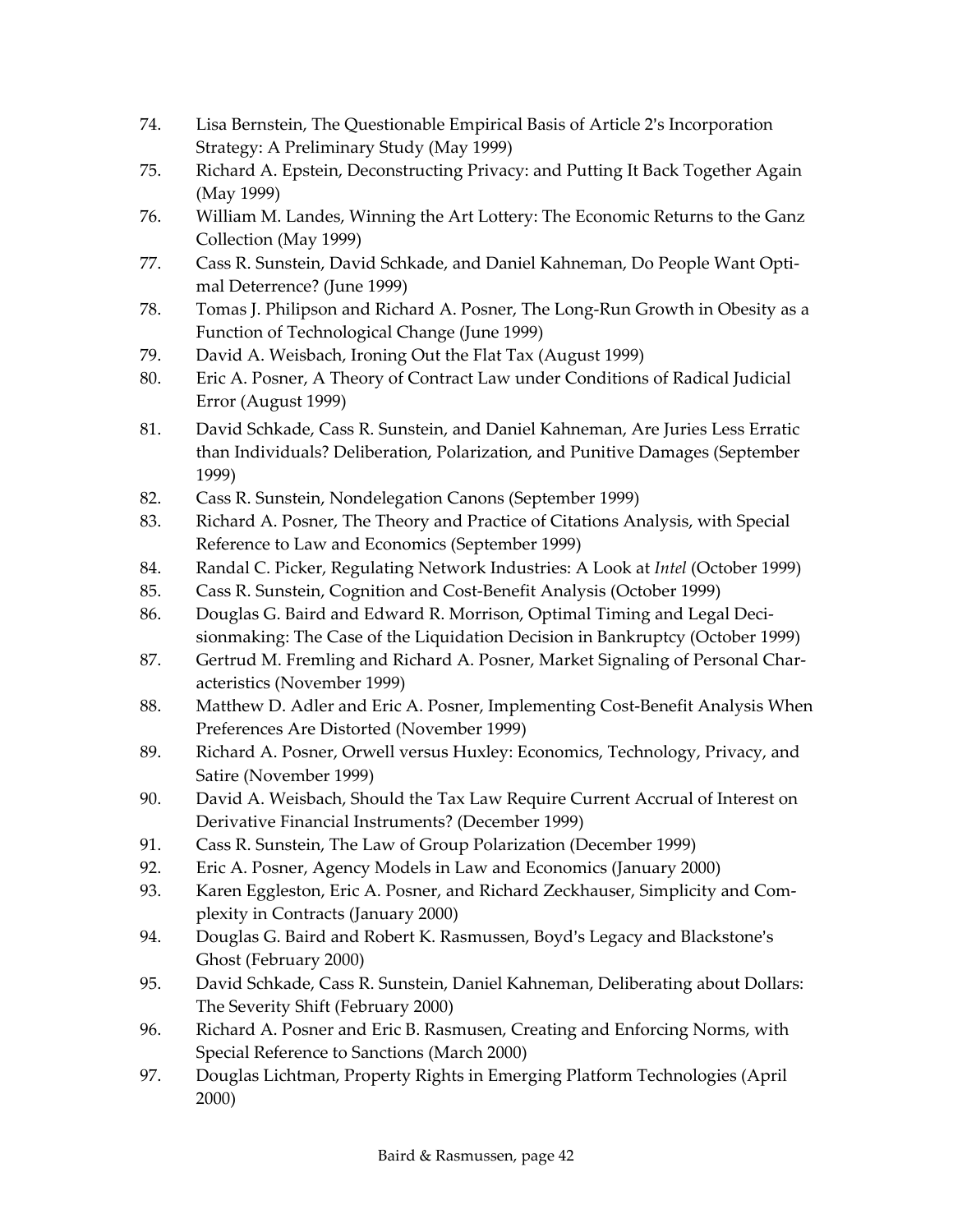- 74. Lisa Bernstein, The Questionable Empirical Basis of Article 2's Incorporation Strategy: A Preliminary Study (May 1999)
- 75. Richard A. Epstein, Deconstructing Privacy: and Putting It Back Together Again (May 1999)
- 76. William M. Landes, Winning the Art Lottery: The Economic Returns to the Ganz Collection (May 1999)
- 77. Cass R. Sunstein, David Schkade, and Daniel Kahneman, Do People Want Optimal Deterrence? (June 1999)
- 78. Tomas J. Philipson and Richard A. Posner, The Long-Run Growth in Obesity as a Function of Technological Change (June 1999)
- 79. David A. Weisbach, Ironing Out the Flat Tax (August 1999)
- 80. Eric A. Posner, A Theory of Contract Law under Conditions of Radical Judicial Error (August 1999)
- 81. David Schkade, Cass R. Sunstein, and Daniel Kahneman, Are Juries Less Erratic than Individuals? Deliberation, Polarization, and Punitive Damages (September 1999)
- 82. Cass R. Sunstein, Nondelegation Canons (September 1999)
- 83. Richard A. Posner, The Theory and Practice of Citations Analysis, with Special Reference to Law and Economics (September 1999)
- 84. Randal C. Picker, Regulating Network Industries: A Look at *Intel* (October 1999)
- 85. Cass R. Sunstein, Cognition and Cost-Benefit Analysis (October 1999)
- 86. Douglas G. Baird and Edward R. Morrison, Optimal Timing and Legal Decisionmaking: The Case of the Liquidation Decision in Bankruptcy (October 1999)
- 87. Gertrud M. Fremling and Richard A. Posner, Market Signaling of Personal Characteristics (November 1999)
- 88. Matthew D. Adler and Eric A. Posner, Implementing Cost-Benefit Analysis When Preferences Are Distorted (November 1999)
- 89. Richard A. Posner, Orwell versus Huxley: Economics, Technology, Privacy, and Satire (November 1999)
- 90. David A. Weisbach, Should the Tax Law Require Current Accrual of Interest on Derivative Financial Instruments? (December 1999)
- 91. Cass R. Sunstein, The Law of Group Polarization (December 1999)
- 92. Eric A. Posner, Agency Models in Law and Economics (January 2000)
- 93. Karen Eggleston, Eric A. Posner, and Richard Zeckhauser, Simplicity and Complexity in Contracts (January 2000)
- 94. Douglas G. Baird and Robert K. Rasmussen, Boyd's Legacy and Blackstone's Ghost (February 2000)
- 95. David Schkade, Cass R. Sunstein, Daniel Kahneman, Deliberating about Dollars: The Severity Shift (February 2000)
- 96. Richard A. Posner and Eric B. Rasmusen, Creating and Enforcing Norms, with Special Reference to Sanctions (March 2000)
- 97. Douglas Lichtman, Property Rights in Emerging Platform Technologies (April 2000)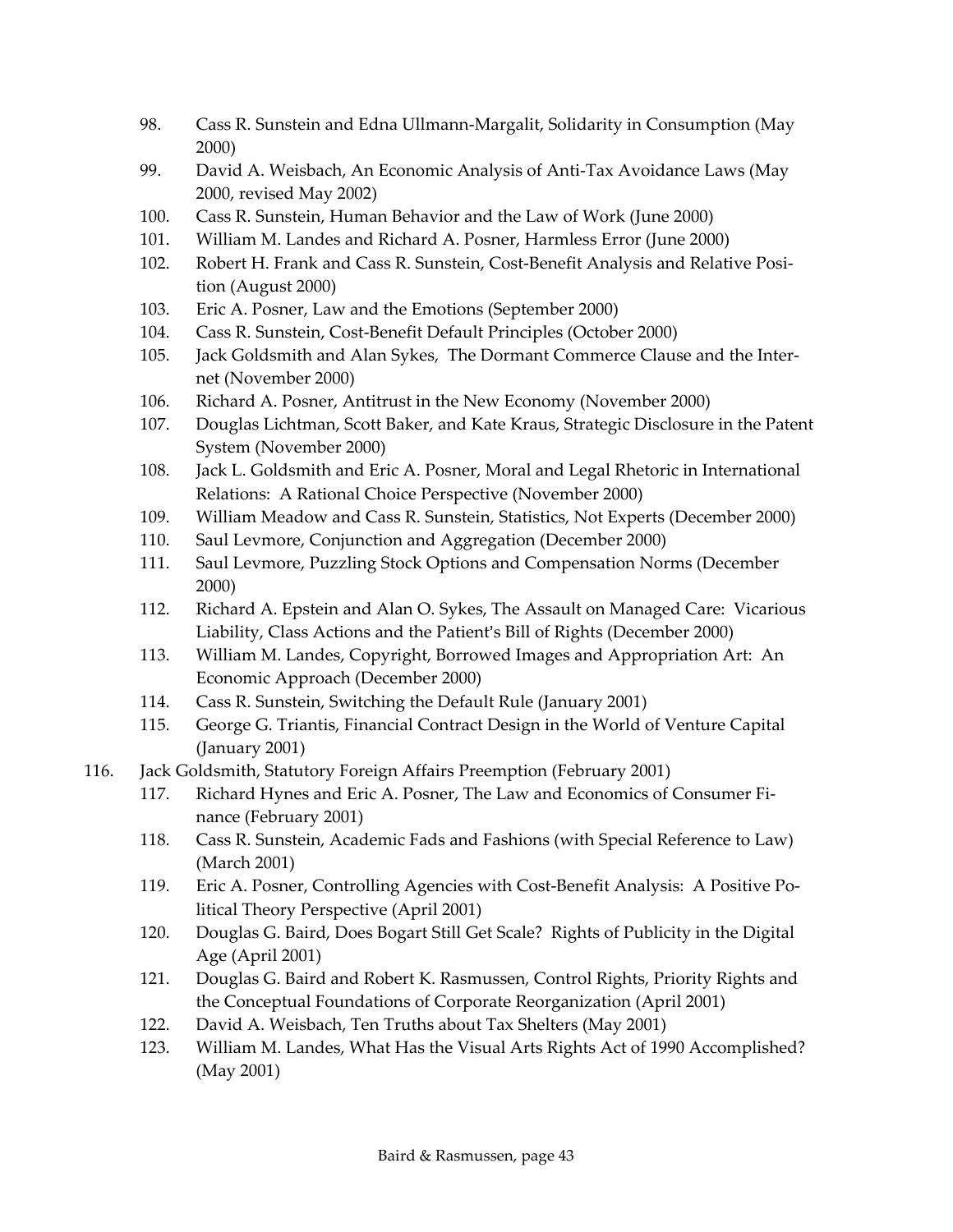- 98. Cass R. Sunstein and Edna Ullmann-Margalit, Solidarity in Consumption (May 2000)
- 99. David A. Weisbach, An Economic Analysis of Anti-Tax Avoidance Laws (May 2000, revised May 2002)
- 100. Cass R. Sunstein, Human Behavior and the Law of Work (June 2000)
- 101. William M. Landes and Richard A. Posner, Harmless Error (June 2000)
- 102. Robert H. Frank and Cass R. Sunstein, Cost-Benefit Analysis and Relative Position (August 2000)
- 103. Eric A. Posner, Law and the Emotions (September 2000)
- 104. Cass R. Sunstein, Cost-Benefit Default Principles (October 2000)
- 105. Jack Goldsmith and Alan Sykes, The Dormant Commerce Clause and the Internet (November 2000)
- 106. Richard A. Posner, Antitrust in the New Economy (November 2000)
- 107. Douglas Lichtman, Scott Baker, and Kate Kraus, Strategic Disclosure in the Patent System (November 2000)
- 108. Jack L. Goldsmith and Eric A. Posner, Moral and Legal Rhetoric in International Relations: A Rational Choice Perspective (November 2000)
- 109. William Meadow and Cass R. Sunstein, Statistics, Not Experts (December 2000)
- 110. Saul Levmore, Conjunction and Aggregation (December 2000)
- 111. Saul Levmore, Puzzling Stock Options and Compensation Norms (December 2000)
- 112. Richard A. Epstein and Alan O. Sykes, The Assault on Managed Care: Vicarious Liability, Class Actions and the Patient's Bill of Rights (December 2000)
- 113. William M. Landes, Copyright, Borrowed Images and Appropriation Art: An Economic Approach (December 2000)
- 114. Cass R. Sunstein, Switching the Default Rule (January 2001)
- 115. George G. Triantis, Financial Contract Design in the World of Venture Capital (January 2001)
- 116. Jack Goldsmith, Statutory Foreign Affairs Preemption (February 2001)
	- 117. Richard Hynes and Eric A. Posner, The Law and Economics of Consumer Finance (February 2001)
	- 118. Cass R. Sunstein, Academic Fads and Fashions (with Special Reference to Law) (March 2001)
	- 119. Eric A. Posner, Controlling Agencies with Cost-Benefit Analysis: A Positive Political Theory Perspective (April 2001)
	- 120. Douglas G. Baird, Does Bogart Still Get Scale? Rights of Publicity in the Digital Age (April 2001)
	- 121. Douglas G. Baird and Robert K. Rasmussen, Control Rights, Priority Rights and the Conceptual Foundations of Corporate Reorganization (April 2001)
	- 122. David A. Weisbach, Ten Truths about Tax Shelters (May 2001)
	- 123. William M. Landes, What Has the Visual Arts Rights Act of 1990 Accomplished? (May 2001)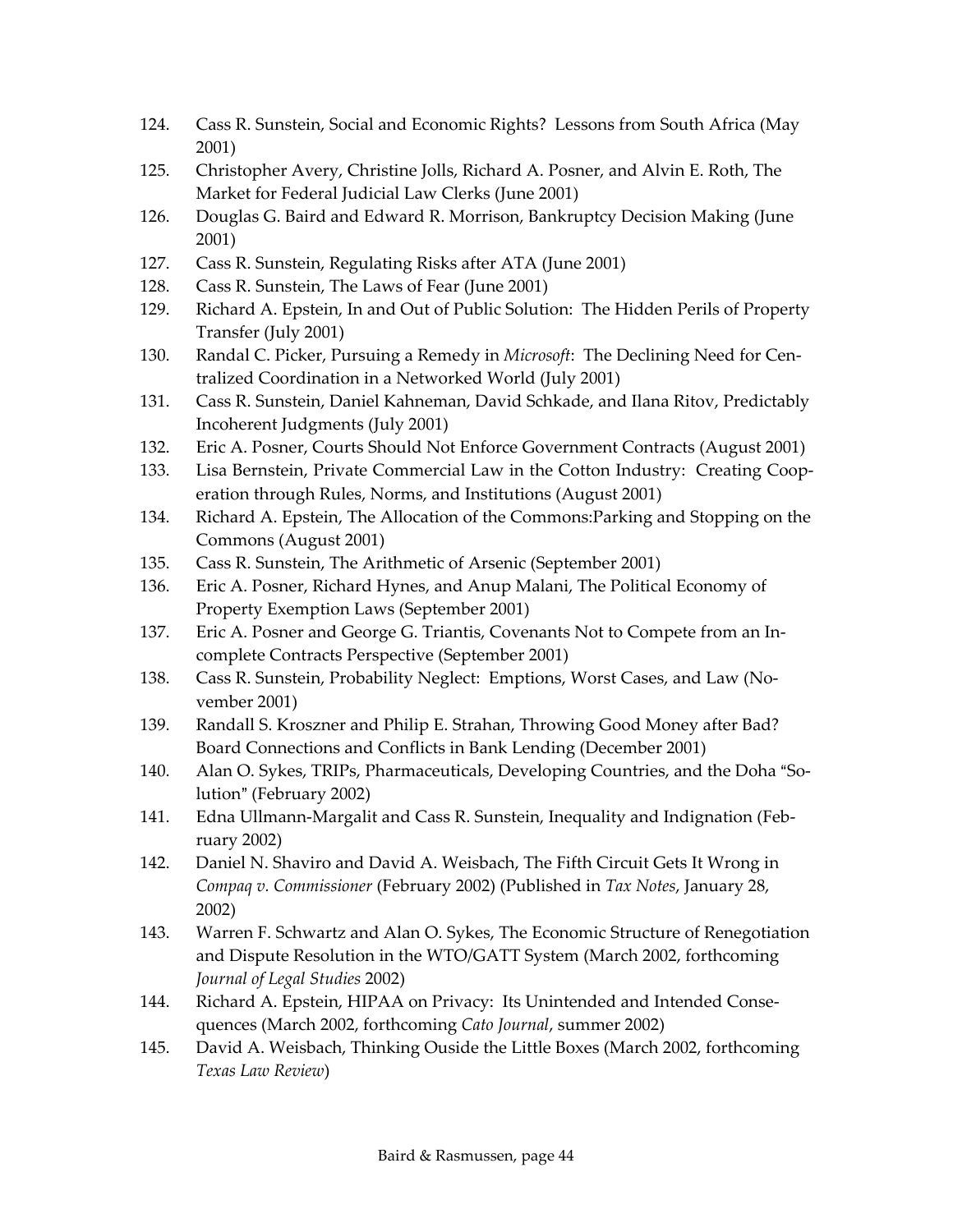- 124. Cass R. Sunstein, Social and Economic Rights? Lessons from South Africa (May 2001)
- 125. Christopher Avery, Christine Jolls, Richard A. Posner, and Alvin E. Roth, The Market for Federal Judicial Law Clerks (June 2001)
- 126. Douglas G. Baird and Edward R. Morrison, Bankruptcy Decision Making (June 2001)
- 127. Cass R. Sunstein, Regulating Risks after ATA (June 2001)
- 128. Cass R. Sunstein, The Laws of Fear (June 2001)
- 129. Richard A. Epstein, In and Out of Public Solution: The Hidden Perils of Property Transfer (July 2001)
- 130. Randal C. Picker, Pursuing a Remedy in *Microsoft*: The Declining Need for Centralized Coordination in a Networked World (July 2001)
- 131. Cass R. Sunstein, Daniel Kahneman, David Schkade, and Ilana Ritov, Predictably Incoherent Judgments (July 2001)
- 132. Eric A. Posner, Courts Should Not Enforce Government Contracts (August 2001)
- 133. Lisa Bernstein, Private Commercial Law in the Cotton Industry: Creating Cooperation through Rules, Norms, and Institutions (August 2001)
- 134. Richard A. Epstein, The Allocation of the Commons:Parking and Stopping on the Commons (August 2001)
- 135. Cass R. Sunstein, The Arithmetic of Arsenic (September 2001)
- 136. Eric A. Posner, Richard Hynes, and Anup Malani, The Political Economy of Property Exemption Laws (September 2001)
- 137. Eric A. Posner and George G. Triantis, Covenants Not to Compete from an Incomplete Contracts Perspective (September 2001)
- 138. Cass R. Sunstein, Probability Neglect: Emptions, Worst Cases, and Law (November 2001)
- 139. Randall S. Kroszner and Philip E. Strahan, Throwing Good Money after Bad? Board Connections and Conflicts in Bank Lending (December 2001)
- 140. Alan O. Sykes, TRIPs, Pharmaceuticals, Developing Countries, and the Doha "Solution" (February 2002)
- 141. Edna Ullmann-Margalit and Cass R. Sunstein, Inequality and Indignation (February 2002)
- 142. Daniel N. Shaviro and David A. Weisbach, The Fifth Circuit Gets It Wrong in *Compaq v. Commissioner* (February 2002) (Published in *Tax Notes*, January 28, 2002)
- 143. Warren F. Schwartz and Alan O. Sykes, The Economic Structure of Renegotiation and Dispute Resolution in the WTO/GATT System (March 2002, forthcoming *Journal of Legal Studies* 2002)
- 144. Richard A. Epstein, HIPAA on Privacy: Its Unintended and Intended Consequences (March 2002, forthcoming *Cato Journal*, summer 2002)
- 145. David A. Weisbach, Thinking Ouside the Little Boxes (March 2002, forthcoming *Texas Law Review*)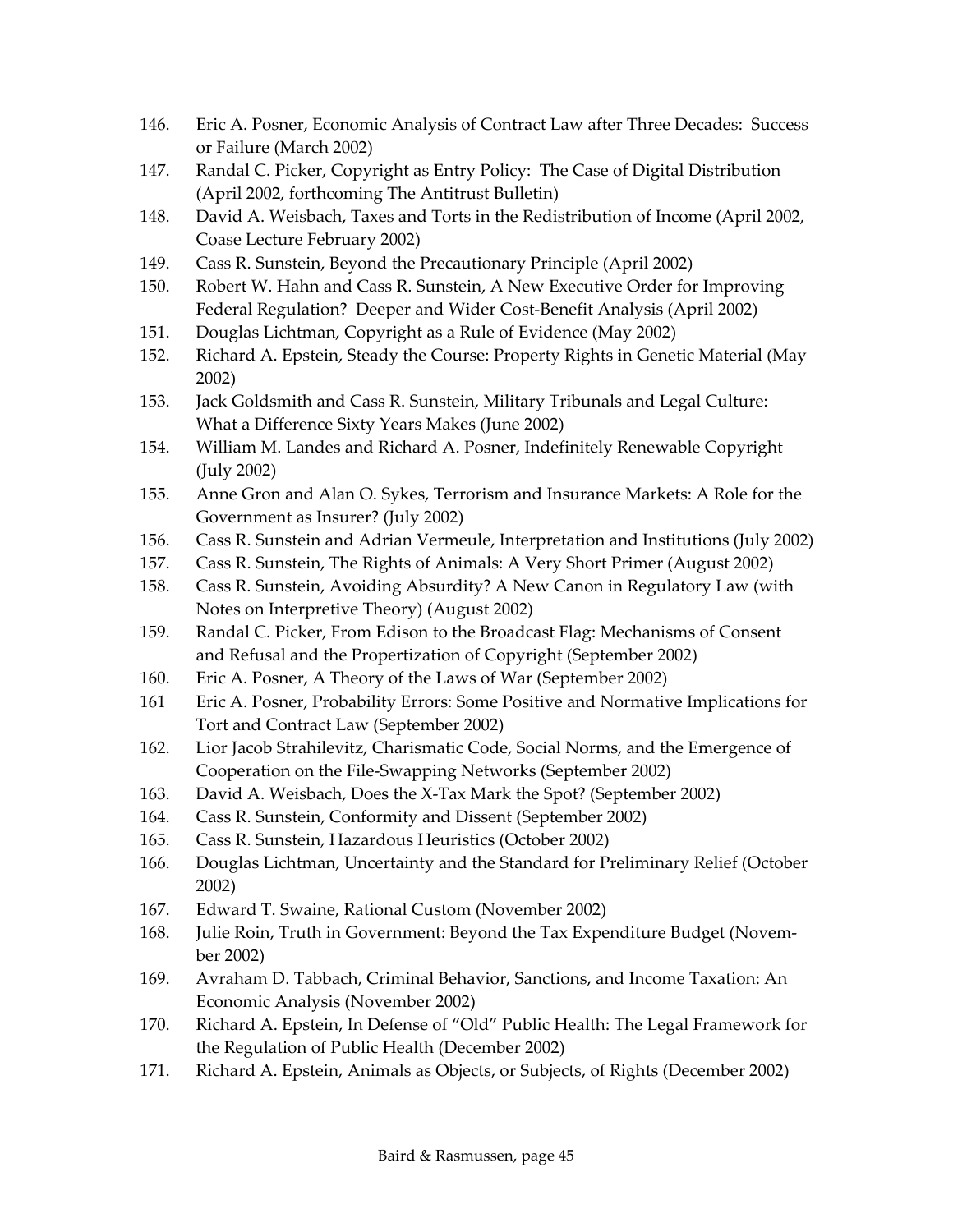- 146. Eric A. Posner, Economic Analysis of Contract Law after Three Decades: Success or Failure (March 2002)
- 147. Randal C. Picker, Copyright as Entry Policy: The Case of Digital Distribution (April 2002, forthcoming The Antitrust Bulletin)
- 148. David A. Weisbach, Taxes and Torts in the Redistribution of Income (April 2002, Coase Lecture February 2002)
- 149. Cass R. Sunstein, Beyond the Precautionary Principle (April 2002)
- 150. Robert W. Hahn and Cass R. Sunstein, A New Executive Order for Improving Federal Regulation? Deeper and Wider Cost-Benefit Analysis (April 2002)
- 151. Douglas Lichtman, Copyright as a Rule of Evidence (May 2002)
- 152. Richard A. Epstein, Steady the Course: Property Rights in Genetic Material (May 2002)
- 153. Jack Goldsmith and Cass R. Sunstein, Military Tribunals and Legal Culture: What a Difference Sixty Years Makes (June 2002)
- 154. William M. Landes and Richard A. Posner, Indefinitely Renewable Copyright (July 2002)
- 155. Anne Gron and Alan O. Sykes, Terrorism and Insurance Markets: A Role for the Government as Insurer? (July 2002)
- 156. Cass R. Sunstein and Adrian Vermeule, Interpretation and Institutions (July 2002)
- 157. Cass R. Sunstein, The Rights of Animals: A Very Short Primer (August 2002)
- 158. Cass R. Sunstein, Avoiding Absurdity? A New Canon in Regulatory Law (with Notes on Interpretive Theory) (August 2002)
- 159. Randal C. Picker, From Edison to the Broadcast Flag: Mechanisms of Consent and Refusal and the Propertization of Copyright (September 2002)
- 160. Eric A. Posner, A Theory of the Laws of War (September 2002)
- 161 Eric A. Posner, Probability Errors: Some Positive and Normative Implications for Tort and Contract Law (September 2002)
- 162. Lior Jacob Strahilevitz, Charismatic Code, Social Norms, and the Emergence of Cooperation on the File-Swapping Networks (September 2002)
- 163. David A. Weisbach, Does the X-Tax Mark the Spot? (September 2002)
- 164. Cass R. Sunstein, Conformity and Dissent (September 2002)
- 165. Cass R. Sunstein, Hazardous Heuristics (October 2002)
- 166. Douglas Lichtman, Uncertainty and the Standard for Preliminary Relief (October 2002)
- 167. Edward T. Swaine, Rational Custom (November 2002)
- 168. Julie Roin, Truth in Government: Beyond the Tax Expenditure Budget (November 2002)
- 169. Avraham D. Tabbach, Criminal Behavior, Sanctions, and Income Taxation: An Economic Analysis (November 2002)
- 170. Richard A. Epstein, In Defense of "Old" Public Health: The Legal Framework for the Regulation of Public Health (December 2002)
- 171. Richard A. Epstein, Animals as Objects, or Subjects, of Rights (December 2002)